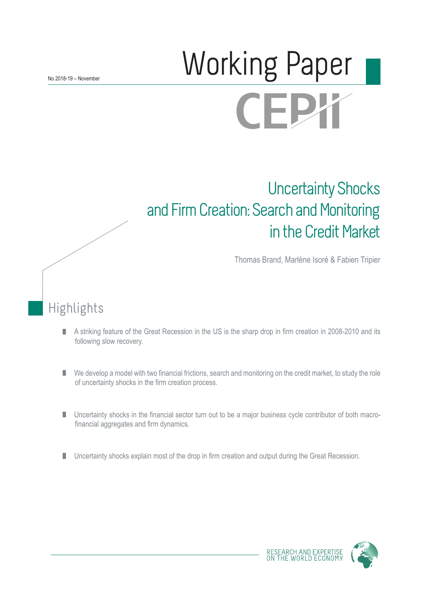# Norking Paper **CEPX**

# Uncertainty Shocks and Firm Creation: Search and Monitoring in the Credit Market

Thomas Brand, Marlène Isoré & Fabien Tripier

# Highlights

- A striking feature of the Great Recession in the US is the sharp drop in firm creation in 2008-2010 and its П following slow recovery.
- We develop a model with two financial frictions, search and monitoring on the credit market, to study the role П of uncertainty shocks in the firm creation process.
- Uncertainty shocks in the financial sector turn out to be a major business cycle contributor of both macro-П financial aggregates and firm dynamics.
- Uncertainty shocks explain most of the drop in firm creation and output during the Great Recession. ×



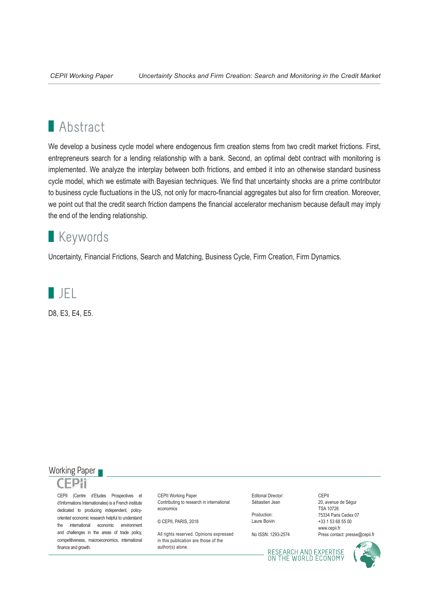# **Abstract**

We develop a business cycle model where endogenous firm creation stems from two credit market frictions. First, entrepreneurs search for a lending relationship with a bank. Second, an optimal debt contract with monitoring is implemented. We analyze the interplay between both frictions, and embed it into an otherwise standard business cycle model, which we estimate with Bayesian techniques. We find that uncertainty shocks are a prime contributor to business cycle fluctuations in the US, not only for macro-financial aggregates but also for firm creation. Moreover, we point out that the credit search friction dampens the financial accelerator mechanism because default may imply the end of the lending relationship.

# **Keywords**

Uncertainty, Financial Frictions, Search and Matching, Business Cycle, Firm Creation, Firm Dynamics.

JEL

D8, E3, E4, E5.



CEPII (Centre d'Etudes Prospectives et d'Informations Internationales) is a French institute dedicated to producing independent, policyoriented economic research helpful to understand the international economic environment and challenges in the areas of trade policy, competitiveness, macroeconomics, international finance and growth.

CEPII Working Paper Contributing to research in international economics

© CEPII, PARIS, 2018

All rights reserved. Opinions expressed. in this publication are those of the author(s) alone.

Editorial Director: Sébastien Jean

Production: Laure Boivin

No ISSN: 1293-2574

CEPII 20, avenue de Ségur TSA 10726 75334 Paris Cedex 07 +33 1 53 68 55 00 www.cepii.fr Press contact: presse@cepii.fr

RESEARCH AND EXPERTISE<br>ON THE WORLD ECONOMY

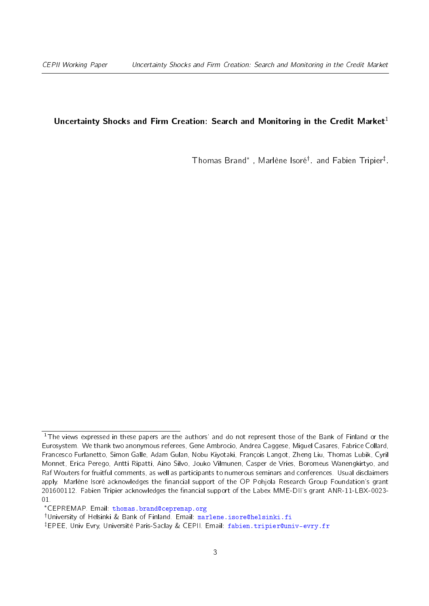## <span id="page-2-0"></span>Uncertainty Shocks and Firm Creation: Search and Monitoring in the Credit Market<sup>1</sup>

Thomas Brand\*, Marlène Isoré<sup>†</sup>. and Fabien Tripier<sup>‡</sup>.

<sup>&</sup>lt;sup>1</sup>The views expressed in these papers are the authors' and do not represent those of the Bank of Finland or the Eurosystem. We thank two anonymous referees, Gene Ambrocio, Andrea Caggese, Miguel Casares, Fabrice Collard, Francesco Furlanetto, Simon Galle, Adam Gulan, Nobu Kiyotaki, François Langot, Zheng Liu, Thomas Lubik, Cyril Monnet, Erica Perego, Antti Ripatti, Aino Silvo, Jouko Vilmunen, Casper de Vries, Boromeus Wanengkirtyo, and Raf Wouters for fruitful comments, as well as participants to numerous seminars and conferences. Usual disclaimers apply. Marlène Isoré acknowledges the financial support of the OP Pohjola Research Group Foundation's grant 201600112. Fabien Tripier acknowledges the financial support of the Labex MME-DII's grant ANR-11-LBX-0023-01.

CEPREMAP. Email: <thomas.brand@cepremap.org>

<sup>&</sup>lt;sup>†</sup>University of Helsinki & Bank of Finland. Email: <marlene.isore@helsinki.fi>

<sup>&</sup>lt;sup>‡</sup>EPEE, Univ Evry, Université Paris-Saclay & CEPII. Email: <fabien.tripier@univ-evry.fr>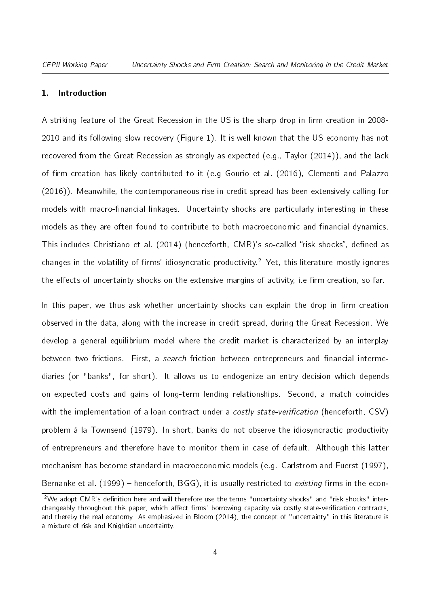### <span id="page-3-0"></span>1. Introduction

A striking feature of the Great Recession in the US is the sharp drop in firm creation in 2008-2010 and its following slow recovery (Figure [1\)](#page-4-0). It is well known that the US economy has not recovered from the Great Recession as strongly as expected (e.g., [Taylor](#page-47-0) [\(2014\)](#page-47-0)), and the lack of firm creation has likely contributed to it (e.g [Gourio et al.](#page-45-0) [\(2016\)](#page-45-0). [Clementi and Palazzo](#page-44-0) [\(2016\)](#page-44-0)). Meanwhile, the contemporaneous rise in credit spread has been extensively calling for models with macro-financial linkages. Uncertainty shocks are particularly interesting in these models as they are often found to contribute to both macroeconomic and financial dynamics. This includes [Christiano et al.](#page-44-1) [\(2014\)](#page-44-1) (henceforth, CMR)'s so-called "risk shocks", defined as changes in the volatility of firms' idiosyncratic productivity.<sup>[2](#page-2-0)</sup> Yet, this literature mostly ignores the effects of uncertainty shocks on the extensive margins of activity, i.e firm creation, so far.

In this paper, we thus ask whether uncertainty shocks can explain the drop in firm creation observed in the data, along with the increase in credit spread, during the Great Recession. We develop a general equilibrium model where the credit market is characterized by an interplay between two frictions. First, a search friction between entrepreneurs and financial intermediaries (or "banks", for short). It allows us to endogenize an entry decision which depends on expected costs and gains of long-term lending relationships. Second, a match coincides with the implementation of a loan contract under a *costly state-verification* (henceforth, CSV) problem à la [Townsend](#page-48-0) [\(1979\)](#page-48-0). In short, banks do not observe the idiosyncractic productivity of entrepreneurs and therefore have to monitor them in case of default. Although this latter mechanism has become standard in macroeconomic models (e.g. [Carlstrom and Fuerst](#page-44-2) [\(1997\)](#page-44-2), [Bernanke et al.](#page-43-0)  $(1999)$  – henceforth, BGG), it is usually restricted to existing firms in the econ-

<sup>&</sup>lt;sup>2</sup>We adopt CMR's definition here and will therefore use the terms "uncertainty shocks" and "risk shocks" interchangeably throughout this paper, which affect firms' borrowing capacity via costly state-verification contracts, and thereby the real economy. As emphasized in [Bloom](#page-44-3) [\(2014\)](#page-44-3), the concept of "uncertainty" in this literature is a mixture of risk and Knightian uncertainty.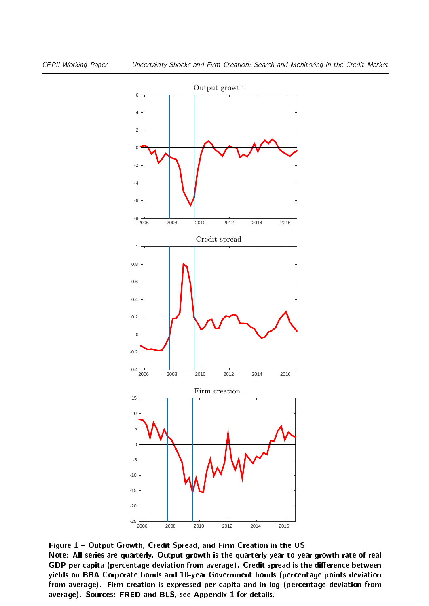<span id="page-4-0"></span>

Figure 1 - Output Growth, Credit Spread, and Firm Creation in the US. Note: All series are quarterly. Output growth is the quarterly year-to-year growth rate of real GDP per capita (percentage deviation from average). Credit spread is the difference between yields on BBA Corporate bonds and 10-year Government bonds (percentage points deviation from average). Firm creation is expressed per capita and in log (percentage deviation from average). Sources: FRED and BLS, see Appendix [1](#page-3-0) for details.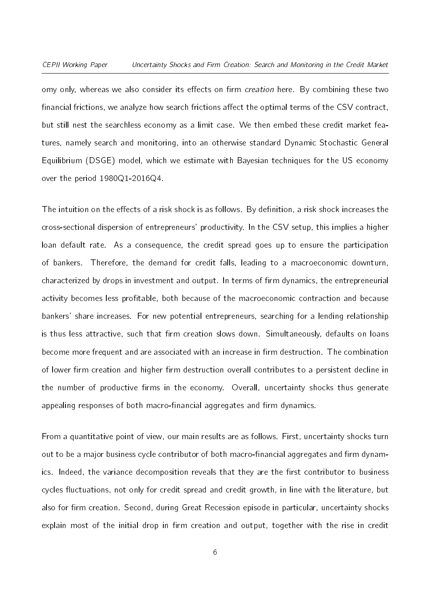omy only, whereas we also consider its effects on firm *creation* here. By combining these two financial frictions, we analyze how search frictions affect the optimal terms of the CSV contract, but still nest the searchless economy as a limit case. We then embed these credit market features, namely search and monitoring, into an otherwise standard Dynamic Stochastic General Equilibrium (DSGE) model, which we estimate with Bayesian techniques for the US economy over the period 1980Q1-2016Q4.

The intuition on the effects of a risk shock is as follows. By definition, a risk shock increases the cross-sectional dispersion of entrepreneurs' productivity. In the CSV setup, this implies a higher loan default rate. As a consequence, the credit spread goes up to ensure the participation of bankers. Therefore, the demand for credit falls, leading to a macroeconomic downturn, characterized by drops in investment and output. In terms of firm dynamics, the entrepreneurial activity becomes less profitable, both because of the macroeconomic contraction and because bankers' share increases. For new potential entrepreneurs, searching for a lending relationship is thus less attractive, such that firm creation slows down. Simultaneously, defaults on loans become more frequent and are associated with an increase in firm destruction. The combination of lower firm creation and higher firm destruction overall contributes to a persistent decline in the number of productive firms in the economy. Overall, uncertainty shocks thus generate appealing responses of both macro-financial aggregates and firm dynamics.

From a quantitative point of view, our main results are as follows. First, uncertainty shocks turn out to be a major business cycle contributor of both macro-financial aggregates and firm dynamics. Indeed, the variance decomposition reveals that they are the first contributor to business cycles fluctuations, not only for credit spread and credit growth, in line with the literature, but also for firm creation. Second, during Great Recession episode in particular, uncertainty shocks explain most of the initial drop in firm creation and output, together with the rise in credit

6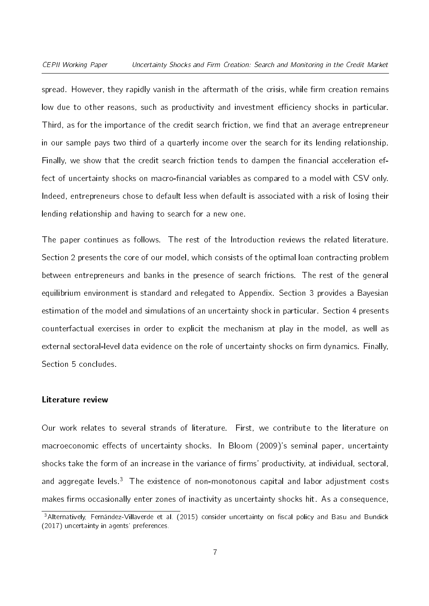spread. However, they rapidly vanish in the aftermath of the crisis, while firm creation remains low due to other reasons, such as productivity and investment efficiency shocks in particular. Third, as for the importance of the credit search friction, we find that an average entrepreneur in our sample pays two third of a quarterly income over the search for its lending relationship. Finally, we show that the credit search friction tends to dampen the financial acceleration effect of uncertainty shocks on macro-financial variables as compared to a model with CSV only. Indeed, entrepreneurs chose to default less when default is associated with a risk of losing their lending relationship and having to search for a new one.

The paper continues as follows. The rest of the Introduction reviews the related literature. Section [2](#page-9-0) presents the core of our model, which consists of the optimal loan contracting problem between entrepreneurs and banks in the presence of search frictions. The rest of the general equilibrium environment is standard and relegated to Appendix. Section [3](#page-21-0) provides a Bayesian estimation of the model and simulations of an uncertainty shock in particular. Section [4](#page-33-0) presents counterfactual exercises in order to explicit the mechanism at play in the model, as well as external sectoral-level data evidence on the role of uncertainty shocks on firm dynamics. Finally, Section [5](#page-42-0) concludes.

## Literature review

Our work relates to several strands of literature. First, we contribute to the literature on macroeconomic effects of uncertainty shocks. In [Bloom](#page-44-4) [\(2009\)](#page-44-4)'s seminal paper, uncertainty shocks take the form of an increase in the variance of firms' productivity, at individual, sectoral, and aggregate levels.<sup>[3](#page-2-0)</sup> The existence of non-monotonous capital and labor adjustment costs makes firms occasionally enter zones of inactivity as uncertainty shocks hit. As a consequence,

 $3$ Alternatively, [Fernández-Villaverde et al.](#page-45-1) [\(2015\)](#page-45-1) consider uncertainty on fiscal policy and [Basu and Bundick](#page-43-1) [\(2017\)](#page-43-1) uncertainty in agents' preferences.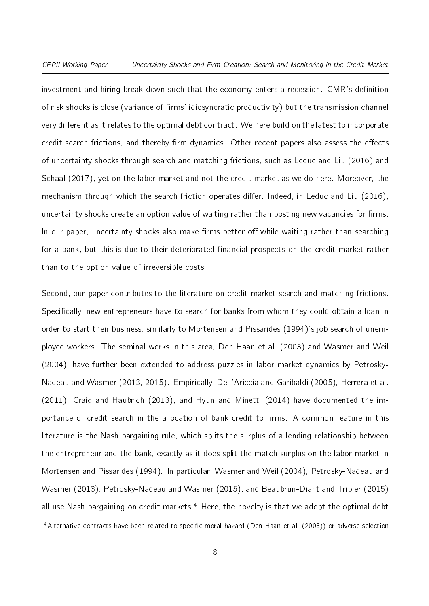investment and hiring break down such that the economy enters a recession. CMR's definition of risk shocks is close (variance of firms' idiosyncratic productivity) but the transmission channel very different as it relates to the optimal debt contract. We here build on the latest to incorporate credit search frictions, and thereby firm dynamics. Other recent papers also assess the effects of uncertainty shocks through search and matching frictions, such as [Leduc and Liu](#page-46-0) [\(2016\)](#page-46-0) and [Schaal](#page-47-1) [\(2017\)](#page-47-1), yet on the labor market and not the credit market as we do here. Moreover, the mechanism through which the search friction operates differ. Indeed, in [Leduc and Liu](#page-46-0)  $(2016)$ , uncertainty shocks create an option value of waiting rather than posting new vacancies for firms. In our paper, uncertainty shocks also make firms better off while waiting rather than searching for a bank, but this is due to their deteriorated financial prospects on the credit market rather than to the option value of irreversible costs.

Second, our paper contributes to the literature on credit market search and matching frictions. Specifically, new entrepreneurs have to search for banks from whom they could obtain a loan in order to start their business, similarly to [Mortensen and Pissarides](#page-47-2) [\(1994\)](#page-47-2)'s job search of unemployed workers. The seminal works in this area, [Den Haan et al.](#page-45-2) [\(2003\)](#page-45-2) and [Wasmer and Weil](#page-48-1) [\(2004\)](#page-48-1), have further been extended to address puzzles in labor market dynamics by [Petrosky-](#page-47-3)[Nadeau and Wasmer](#page-47-3) [\(2013,](#page-47-3) [2015\)](#page-47-4). Empirically, [Dell'Ariccia and Garibaldi](#page-45-3) [\(2005\)](#page-45-3), [Herrera et al.](#page-45-4) [\(2011\)](#page-45-4), [Craig and Haubrich](#page-45-5) [\(2013\)](#page-45-5), and [Hyun and Minetti](#page-46-1) [\(2014\)](#page-46-1) have documented the importance of credit search in the allocation of bank credit to firms. A common feature in this literature is the Nash bargaining rule, which splits the surplus of a lending relationship between the entrepreneur and the bank, exactly as it does split the match surplus on the labor market in [Mortensen and Pissarides](#page-47-2) [\(1994\)](#page-47-2). In particular, [Wasmer and Weil](#page-48-1) [\(2004\)](#page-48-1), [Petrosky-Nadeau and](#page-47-3) [Wasmer](#page-47-3) [\(2013\)](#page-47-3), [Petrosky-Nadeau and Wasmer](#page-47-4) [\(2015\)](#page-47-4), and [Beaubrun-Diant and Tripier](#page-43-2) [\(2015\)](#page-43-2) all use Nash bargaining on credit markets.<sup>[4](#page-2-0)</sup> Here, the novelty is that we adopt the optimal debt

 $4$ Alternative contracts have been related to specific moral hazard [\(Den Haan et al.](#page-45-2) [\(2003\)](#page-45-2)) or adverse selection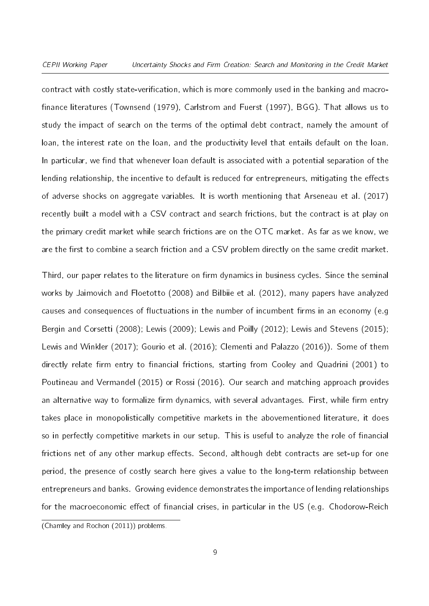contract with costly state-verification, which is more commonly used in the banking and macro-finance literatures [\(Townsend](#page-48-0) [\(1979\)](#page-48-0), [Carlstrom and Fuerst](#page-44-2) [\(1997\)](#page-44-2), BGG). That allows us to study the impact of search on the terms of the optimal debt contract, namely the amount of loan, the interest rate on the loan, and the productivity level that entails default on the loan. In particular, we find that whenever loan default is associated with a potential separation of the lending relationship, the incentive to default is reduced for entrepreneurs, mitigating the effects of adverse shocks on aggregate variables. It is worth mentioning that [Arseneau et al.](#page-43-3) [\(2017\)](#page-43-3) recently built a model with a CSV contract and search frictions, but the contract is at play on the primary credit market while search frictions are on the OTC market. As far as we know, we are the first to combine a search friction and a CSV problem directly on the same credit market.

Third, our paper relates to the literature on firm dynamics in business cycles. Since the seminal works by [Jaimovich and Floetotto](#page-46-2) [\(2008\)](#page-46-2) and [Bilbiie et al.](#page-43-4) [\(2012\)](#page-43-4), many papers have analyzed causes and consequences of fluctuations in the number of incumbent firms in an economy (e.g. [Bergin and Corsetti](#page-43-5) [\(2008\)](#page-43-5); [Lewis](#page-46-3) [\(2009\)](#page-46-3); [Lewis and Poilly](#page-46-4) [\(2012\)](#page-46-4); [Lewis and Stevens](#page-46-5) [\(2015\)](#page-46-5); [Lewis and Winkler](#page-46-6) [\(2017\)](#page-46-6); [Gourio et al.](#page-45-0) [\(2016\)](#page-45-0); [Clementi and Palazzo](#page-44-0) [\(2016\)](#page-44-0)). Some of them directly relate firm entry to financial frictions, starting from [Cooley and Quadrini](#page-44-5) [\(2001\)](#page-44-5) to [Poutineau and Vermandel](#page-47-5) [\(2015\)](#page-47-5) or [Rossi](#page-47-6) [\(2016\)](#page-47-6). Our search and matching approach provides an alternative way to formalize firm dynamics, with several advantages. First, while firm entry takes place in monopolistically competitive markets in the abovementioned literature, it does so in perfectly competitive markets in our setup. This is useful to analyze the role of financial frictions net of any other markup effects. Second, although debt contracts are set-up for one period, the presence of costly search here gives a value to the long-term relationship between entrepreneurs and banks. Growing evidence demonstrates the importance of lending relationships for the macroeconomic effect of financial crises, in particular in the US (e.g. [Chodorow-Reich](#page-44-6)

[<sup>\(</sup>Chamley and Rochon](#page-44-7) [\(2011\)](#page-44-7)) problems.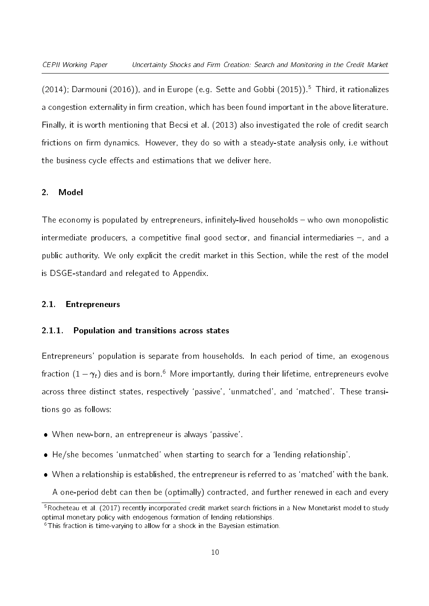[\(2014\)](#page-44-6); [Darmouni](#page-45-6) [\(2016\)](#page-45-6)), and in Europe (e.g. [Sette and Gobbi](#page-47-7) [\(2015\)](#page-47-7)).<sup>[5](#page-2-0)</sup> Third, it rationalizes a congestion externality in firm creation, which has been found important in the above literature. Finally, it is worth mentioning that [Becsi et al.](#page-43-6) [\(2013\)](#page-43-6) also investigated the role of credit search frictions on firm dynamics. However, they do so with a steady-state analysis only, i.e without the business cycle effects and estimations that we deliver here.

#### <span id="page-9-0"></span>2. Model

The economy is populated by entrepreneurs, infinitely-lived households  $-$  who own monopolistic intermediate producers, a competitive final good sector, and financial intermediaries  $-$ , and a public authority. We only explicit the credit market in this Section, while the rest of the model is DSGE-standard and relegated to Appendix.

# 2.1. Entrepreneurs

### 2.1.1. Population and transitions across states

Entrepreneurs' population is separate from households. In each period of time, an exogenous fraction  $(1 - \gamma_t)$  dies and is born.<sup>[6](#page-2-0)</sup> More importantly, during their lifetime, entrepreneurs evolve across three distinct states, respectively 'passive', 'unmatched', and 'matched'. These transitions go as follows:

- When new-born, an entrepreneur is always `passive'.
- He/she becomes 'unmatched' when starting to search for a 'lending relationship'.
- When a relationship is established, the entrepreneur is referred to as 'matched' with the bank.

A one-period debt can then be (optimally) contracted, and further renewed in each and every

<sup>&</sup>lt;sup>5</sup> [Rocheteau et al.](#page-47-8) [\(2017\)](#page-47-8) recently incorporated credit market search frictions in a New Monetarist model to study optimal monetary policy with endogenous formation of lending relationships.

<sup>&</sup>lt;sup>6</sup>This fraction is time-varying to allow for a shock in the Bayesian estimation.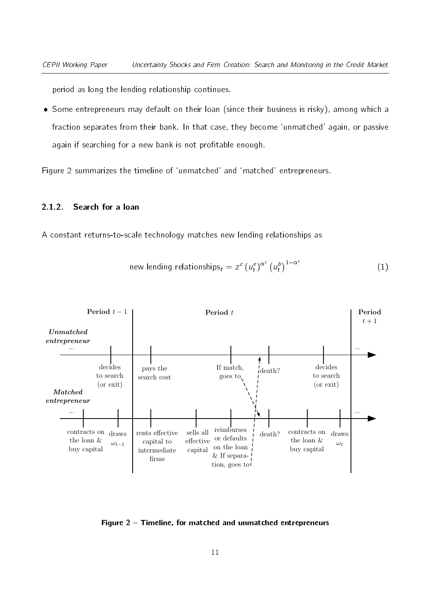period as long the lending relationship continues.

 Some entrepreneurs may default on their loan (since their business is risky), among which a fraction separates from their bank. In that case, they become `unmatched' again, or passive again if searching for a new bank is not profitable enough.

Figure [2](#page-10-0) summarizes the timeline of `unmatched' and `matched' entrepreneurs.

## 2.1.2. Search for a loan

A constant returns-to-scale technology matches new lending relationships as

<span id="page-10-1"></span>new lending relationship<sub>t</sub> = 
$$
z^{c} (u_{t}^{e})^{\alpha^{c}} (u_{t}^{b})^{1-\alpha^{c}}
$$
 (1)

<span id="page-10-0"></span>

Figure 2 - Timeline, for matched and unmatched entrepreneurs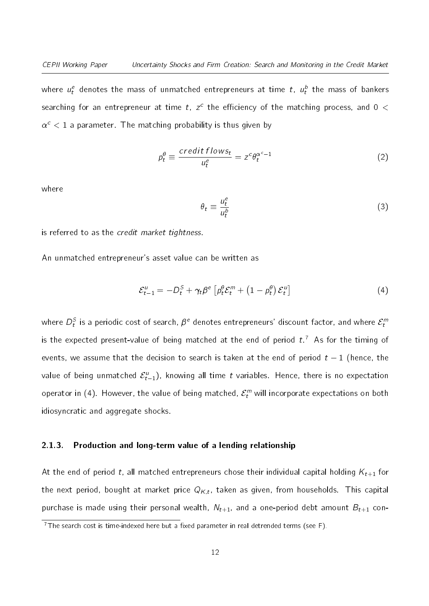where  $u_t^e$  denotes the mass of unmatched entrepreneurs at time  $t$ ,  $u_t^b$  the mass of bankers searching for an entrepreneur at time t,  $z^c$  the efficiency of the matching process, and 0  $<$  $\alpha^{\text{\rm\tiny{c}}} < 1$  a parameter. The matching probability is thus given by

$$
\rho_t^{\theta} \equiv \frac{\text{credit flows}_t}{u_t^e} = z^c \theta_t^{\alpha^c - 1} \tag{2}
$$

where

<span id="page-11-1"></span><span id="page-11-0"></span>
$$
\theta_t \equiv \frac{u_t^e}{u_t^b} \tag{3}
$$

is referred to as the credit market tightness.

An unmatched entrepreneur's asset value can be written as

$$
\mathcal{E}_{t-1}^{u} = -D_t^S + \gamma_t \beta^e \left[ p_t^{\theta} \mathcal{E}_t^m + \left( 1 - p_t^{\theta} \right) \mathcal{E}_t^u \right] \tag{4}
$$

where  $D_t^S$  is a periodic cost of search,  $\pmb{\beta}^e$  denotes entrepreneurs' discount factor, and where  $\mathcal{E}_t^m$ is the expected present-value of being matched at the end of period  $t.^7$  $t.^7$  As for the timing of events, we assume that the decision to search is taken at the end of period  $t - 1$  (hence, the value of being unmatched  ${\mathcal E}_{t-1}^u$ ), knowing all time  $t$  variables. Hence, there is no expectation operator in [\(4\)](#page-11-0). However, the value of being matched,  $\mathcal{E}_t^{\,m}$  will incorporate expectations on both idiosyncratic and aggregate shocks.

# 2.1.3. Production and long-term value of a lending relationship

At the end of period t, all matched entrepreneurs chose their individual capital holding  $K_{t+1}$  for the next period, bought at market price  $Q_{K,t}$ , taken as given, from households. This capital purchase is made using their personal wealth,  $N_{t+1}$ , and a one-period debt amount  $B_{t+1}$  con-

 $7$ The search cost is time-indexed here but a fixed parameter in real detrended terms (see [F\)](#page-30-0).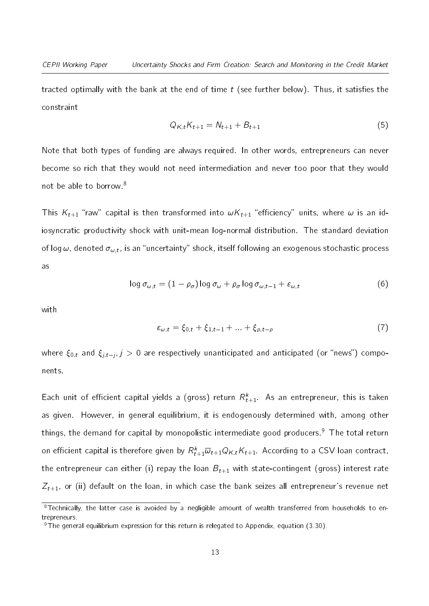<span id="page-12-0"></span>tracted optimally with the bank at the end of time  $t$  (see further below). Thus, it satisfies the constraint

$$
Q_{K,t}K_{t+1} = N_{t+1} + B_{t+1}
$$
\n(5)

Note that both types of funding are always required. In other words, entrepreneurs can never become so rich that they would not need intermediation and never too poor that they would not be able to borrow.<sup>[8](#page-2-0)</sup>

This  $K_{t+1}$  "raw" capital is then transformed into  $\omega K_{t+1}$  "efficiency" units, where  $\omega$  is an idiosyncratic productivity shock with unit-mean log-normal distribution. The standard deviation of log  $\omega$ , denoted  $\sigma_{\omega,t}$ , is an "uncertainty" shock, itself following an exogenous stochastic process as

$$
\log \sigma_{\omega,t} = (1 - \rho_{\sigma}) \log \sigma_{\omega} + \rho_{\sigma} \log \sigma_{\omega,t-1} + \varepsilon_{\omega,t} \tag{6}
$$

with

$$
\varepsilon_{\omega,t} = \xi_{0,t} + \xi_{1,t-1} + \ldots + \xi_{p,t-p} \tag{7}
$$

where  $\xi_{0,t}$  and  $\xi_{j,t-j}, j>0$  are respectively unanticipated and anticipated (or "news") components.

Each unit of efficient capital yields a (gross) return  $R^k_{t+1}$ . As an entrepreneur, this is taken as given. However, in general equilibrium, it is endogenously determined with, among other things, the demand for capital by monopolistic intermediate good producers.<sup>[9](#page-2-0)</sup> The total return on efficient capital is therefore given by  $R^k_{t+1}\overline{\omega}_{t+1}Q_{K,t}K_{t+1}$ . According to a CSV loan contract, the entrepreneur can either (i) repay the loan  $B_{t+1}$  with state-contingent (gross) interest rate  $Z_{t+1}$ , or (ii) default on the loan, in which case the bank seizes all entrepreneur's revenue net

 $\overline{\text{B}}$  8Technically, the latter case is avoided by a negligible amount of wealth transferred from households to entrepreneurs.

 $9$ The general equilibrium expression for this return is relegated to Appendix, equation [\(3.30\)](#page-70-0).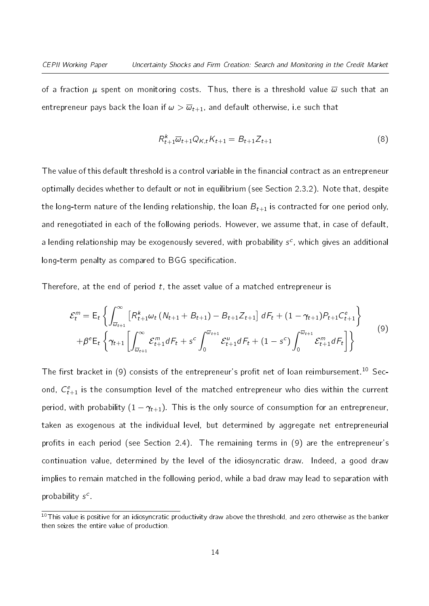of a fraction  $\mu$  spent on monitoring costs. Thus, there is a threshold value  $\overline{\omega}$  such that an entrepreneur pays back the loan if  $\omega > \overline{\omega}_{t+1}$ , and default otherwise, i.e such that

<span id="page-13-1"></span><span id="page-13-0"></span>
$$
R_{t+1}^{k} \overline{\omega}_{t+1} Q_{K,t} K_{t+1} = B_{t+1} Z_{t+1}
$$
\n(8)

The value of this default threshold is a control variable in the financial contract as an entrepreneur optimally decides whether to default or not in equilibrium (see Section [2.3.2\)](#page-16-0). Note that, despite the long-term nature of the lending relationship, the loan  $B_{t+1}$  is contracted for one period only, and renegotiated in each of the following periods. However, we assume that, in case of default, a lending relationship may be exogenously severed, with probability  $s^c$ , which gives an additional long-term penalty as compared to BGG specification.

Therefore, at the end of period  $t$ , the asset value of a matched entrepreneur is

$$
\mathcal{E}_{t}^{m} = \mathsf{E}_{t} \left\{ \int_{\overline{\omega}_{t+1}}^{\infty} \left[ R_{t+1}^{k} \omega_{t} \left( N_{t+1} + B_{t+1} \right) - B_{t+1} Z_{t+1} \right] dF_{t} + (1 - \gamma_{t+1}) P_{t+1} C_{t+1}^{e} \right\} + \beta^{e} \mathsf{E}_{t} \left\{ \gamma_{t+1} \left[ \int_{\overline{\omega}_{t+1}}^{\infty} \mathcal{E}_{t+1}^{m} dF_{t} + s^{c} \int_{0}^{\overline{\omega}_{t+1}} \mathcal{E}_{t+1}^{u} dF_{t} + (1 - s^{c}) \int_{0}^{\overline{\omega}_{t+1}} \mathcal{E}_{t+1}^{m} dF_{t} \right] \right\}
$$
(9)

The first bracket in [\(9\)](#page-13-0) consists of the entrepreneur's profit net of loan reimbursement.<sup>[10](#page-2-0)</sup> Second,  $C_{t+1}^e$  is the consumption level of the matched entrepreneur who dies within the current period, with probability  $(1 - \gamma_{t+1})$ . This is the only source of consumption for an entrepreneur, taken as exogenous at the individual level, but determined by aggregate net entrepreneurial profits in each period (see Section [2.4\)](#page-18-0). The remaining terms in  $(9)$  are the entrepreneur's continuation value, determined by the level of the idiosyncratic draw. Indeed, a good draw implies to remain matched in the following period, while a bad draw may lead to separation with probability s<sup>c</sup>

 $10$ This value is positive for an idiosyncratic productivity draw above the threshold, and zero otherwise as the banker then seizes the entire value of production.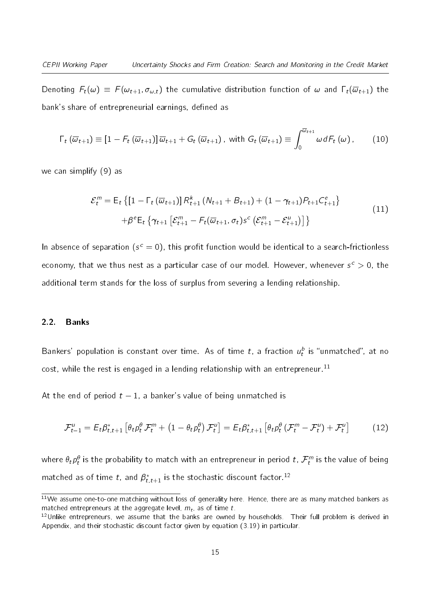Denoting  $F_t(\omega) \equiv F(\omega_{t+1}, \sigma_{\omega,t})$  the cumulative distribution function of  $\omega$  and  $\Gamma_t(\overline{\omega}_{t+1})$  the bank's share of entrepreneurial earnings, defined as

$$
\Gamma_t(\overline{\omega}_{t+1}) \equiv [1 - F_t(\overline{\omega}_{t+1})] \overline{\omega}_{t+1} + G_t(\overline{\omega}_{t+1}), \text{ with } G_t(\overline{\omega}_{t+1}) \equiv \int_0^{\overline{\omega}_{t+1}} \omega dF_t(\omega), \qquad (10)
$$

we can simplify [\(9\)](#page-13-0) as

<span id="page-14-1"></span><span id="page-14-0"></span>
$$
\mathcal{E}_{t}^{m} = \mathsf{E}_{t} \left\{ \left[ 1 - \Gamma_{t} \left( \overline{\omega}_{t+1} \right) \right] R_{t+1}^{k} \left( N_{t+1} + B_{t+1} \right) + (1 - \gamma_{t+1}) P_{t+1} C_{t+1}^{e} \right\} + \beta^{e} \mathsf{E}_{t} \left\{ \gamma_{t+1} \left[ \mathcal{E}_{t+1}^{m} - F_{t} (\overline{\omega}_{t+1}, \sigma_{t}) s^{c} \left( \mathcal{E}_{t+1}^{m} - \mathcal{E}_{t+1}^{u} \right) \right] \right\}
$$
\n(11)

In absence of separation  $(s^c=0)$ , this profit function would be identical to a search-frictionless economy, that we thus nest as a particular case of our model. However, whenever  $s^c>0$ , the additional term stands for the loss of surplus from severing a lending relationship.

# 2.2. Banks

Bankers' population is constant over time. As of time  $t$ , a fraction  $u_t^b$  is "unmatched", at no cost, while the rest is engaged in a lending relationship with an entrepreneur.<sup>[11](#page-2-0)</sup>

At the end of period  $t - 1$ , a banker's value of being unmatched is

<span id="page-14-2"></span>
$$
\mathcal{F}_{t-1}^{\nu} = E_t \beta_{t,t+1}^* \left[ \theta_t p_t^{\theta} \mathcal{F}_t^m + \left( 1 - \theta_t p_t^{\theta} \right) \mathcal{F}_t^{\nu} \right] = E_t \beta_{t,t+1}^* \left[ \theta_t p_t^{\theta} \left( \mathcal{F}_t^m - \mathcal{F}_t^{\nu} \right) + \mathcal{F}_t^{\nu} \right] \tag{12}
$$

where  $\theta_t\rho^\theta_t$  is the probability to match with an entrepreneur in period  $t$ ,  $\mathcal{F}_t^m$  is the value of being matched as of time  $t$ , and  $\pmb{\beta}^\star_{t,t+1}$  is the stochastic discount factor. $^{12}$  $^{12}$  $^{12}$ 

 $11$ We assume one-to-one matching without loss of generality here. Hence, there are as many matched bankers as matched entrepreneurs at the aggregate level,  $m_t$ , as of time  $t$ .

<sup>&</sup>lt;sup>12</sup>Unlike entrepreneurs, we assume that the banks are owned by households. Their full problem is derived in Appendix, and their stochastic discount factor given by equation [\(3.19\)](#page-64-0) in particular.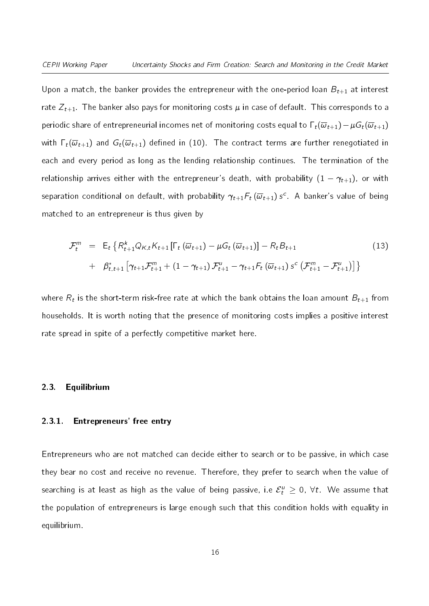Upon a match, the banker provides the entrepreneur with the one-period loan  $B_{t+1}$  at interest rate  $Z_{t+1}$ . The banker also pays for monitoring costs  $\mu$  in case of default. This corresponds to a periodic share of entrepreneurial incomes net of monitoring costs equal to  $\Gamma_t(\overline{\omega}_{t+1})-\mu G_t(\overline{\omega}_{t+1})$ with  $\Gamma_t(\overline{\omega}_{t+1})$  and  $G_t(\overline{\omega}_{t+1})$  defined in [\(10\)](#page-14-0). The contract terms are further renegotiated in each and every period as long as the lending relationship continues. The termination of the relationship arrives either with the entrepreneur's death, with probability  $(1 - \gamma_{t+1})$ , or with separation conditional on default, with probability  $\gamma_{t+1}$   $F_t$   $(\overline{\omega}_{t+1})$   $s^c$  . A banker's value of being matched to an entrepreneur is thus given by

<span id="page-15-0"></span>
$$
\mathcal{F}_{t}^{m} = \mathsf{E}_{t} \left\{ R_{t+1}^{k} Q_{K,t} K_{t+1} \left[ \Gamma_{t} \left( \overline{\omega}_{t+1} \right) - \mu G_{t} \left( \overline{\omega}_{t+1} \right) \right] - R_{t} B_{t+1} \right. \tag{13}
$$
\n
$$
+ \beta_{t,t+1}^{*} \left[ \gamma_{t+1} \mathcal{F}_{t+1}^{m} + \left( 1 - \gamma_{t+1} \right) \mathcal{F}_{t+1}^{u} - \gamma_{t+1} F_{t} \left( \overline{\omega}_{t+1} \right) s^{c} \left( \mathcal{F}_{t+1}^{m} - \mathcal{F}_{t+1}^{u} \right) \right] \right\}
$$

where  $R_t$  is the short-term risk-free rate at which the bank obtains the loan amount  $B_{t+1}$  from households. It is worth noting that the presence of monitoring costs implies a positive interest rate spread in spite of a perfectly competitive market here.

#### 2.3. Equilibrium

# 2.3.1. Entrepreneurs' free entry

Entrepreneurs who are not matched can decide either to search or to be passive, in which case they bear no cost and receive no revenue. Therefore, they prefer to search when the value of searching is at least as high as the value of being passive, i.e  ${\cal E}_t^u \geq 0,~\forall t.$  We assume that the population of entrepreneurs is large enough such that this condition holds with equality in equilibrium.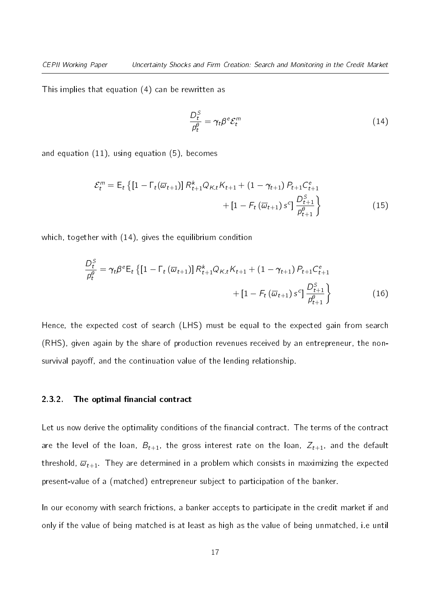This implies that equation [\(4\)](#page-11-0) can be rewritten as

<span id="page-16-1"></span>
$$
\frac{D_t^S}{p_t^\theta} = \gamma_t \beta^e \mathcal{E}_t^m \tag{14}
$$

and equation [\(11\)](#page-14-1), using equation [\(5\)](#page-12-0), becomes

<span id="page-16-2"></span>
$$
\mathcal{E}_{t}^{m} = \mathsf{E}_{t} \left\{ \left[ 1 - \Gamma_{t}(\overline{\omega}_{t+1}) \right] R_{t+1}^{k} Q_{K,t} K_{t+1} + \left( 1 - \gamma_{t+1} \right) P_{t+1} C_{t+1}^{e} + \left[ 1 - F_{t}(\overline{\omega}_{t+1}) s^{c} \right] \frac{D_{t+1}^{S}}{p_{t+1}^{0}} \right\}
$$
(15)

which, together with [\(14\)](#page-16-1), gives the equilibrium condition

<span id="page-16-3"></span>
$$
\frac{D_t^S}{\rho_t^{\theta}} = \gamma_t \beta^e E_t \left\{ \left[ 1 - \Gamma_t \left( \overline{\omega}_{t+1} \right) \right] R_{t+1}^k Q_{K,t} K_{t+1} + \left( 1 - \gamma_{t+1} \right) P_{t+1} C_{t+1}^e + \left[ 1 - \overline{P}_t \left( \overline{\omega}_{t+1} \right) s^c \right] \frac{D_{t+1}^S}{\rho_{t+1}^{\theta}} \right\} \tag{16}
$$

Hence, the expected cost of search (LHS) must be equal to the expected gain from search (RHS), given again by the share of production revenues received by an entrepreneur, the nonsurvival payoff, and the continuation value of the lending relationship.

# <span id="page-16-0"></span>2.3.2. The optimal financial contract

Let us now derive the optimality conditions of the financial contract. The terms of the contract are the level of the loan,  $B_{t+1}$ , the gross interest rate on the loan,  $Z_{t+1}$ , and the default threshold,  $\overline{\omega}_{t+1}$ . They are determined in a problem which consists in maximizing the expected present-value of a (matched) entrepreneur subject to participation of the banker.

In our economy with search frictions, a banker accepts to participate in the credit market if and only if the value of being matched is at least as high as the value of being unmatched, i.e until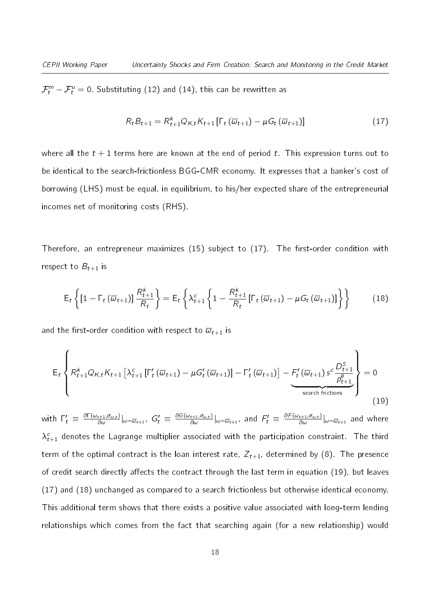$\mathcal{F}_t^m - \mathcal{F}_t^u = 0$ . Substituting [\(12\)](#page-14-2) and [\(14\)](#page-15-0), this can be rewritten as

<span id="page-17-0"></span>
$$
R_t B_{t+1} = R_{t+1}^k Q_{K,t} K_{t+1} \left[ \Gamma_t \left( \overline{\omega}_{t+1} \right) - \mu G_t \left( \overline{\omega}_{t+1} \right) \right]
$$
 (17)

where all the  $t + 1$  terms here are known at the end of period t. This expression turns out to be identical to the search-frictionless BGG-CMR economy. It expresses that a banker's cost of borrowing (LHS) must be equal, in equilibrium, to his/her expected share of the entrepreneurial incomes net of monitoring costs (RHS).

Therefore, an entrepreneur maximizes  $(15)$  subject to  $(17)$ . The first-order condition with respect to  $B_{t+1}$  is

<span id="page-17-2"></span><span id="page-17-1"></span>
$$
E_{t}\left\{ \left[1-\Gamma_{t}\left(\overline{\omega}_{t+1}\right)\right]\frac{R_{t+1}^{k}}{R_{t}}\right\} = E_{t}\left\{ \lambda_{t+1}^{c}\left\{1-\frac{R_{t+1}^{k}}{R_{t}}\left[\Gamma_{t}\left(\overline{\omega}_{t+1}\right)-\mu G_{t}\left(\overline{\omega}_{t+1}\right)\right]\right\} \right\}
$$
(18)

and the first-order condition with respect to  $\overline{\omega}_{t+1}$  is

$$
E_{t}\left\{R_{t+1}^{k}Q_{K,t}K_{t+1}\left[\lambda_{t+1}^{c}\left[\Gamma_{t}'\left(\overline{\omega}_{t+1}\right)-\mu G_{t}'\left(\overline{\omega}_{t+1}\right)\right]-\Gamma_{t}'\left(\overline{\omega}_{t+1}\right)\right]-\underbrace{F_{t}'\left(\overline{\omega}_{t+1}\right)s^{c}\frac{D_{t+1}^{S}}{p_{t+1}^{\theta}}}_{\text{search frictions}}\right\}=0
$$
\n(19)

with  $\Gamma'_t \equiv \frac{\partial \Gamma(\omega_{t+1},\sigma_{\omega,t})}{\partial \omega}|_{\omega=\overline{\omega}_{t+1}},$   $G'_t \equiv \frac{\partial G(\omega_{t+1},\sigma_{\omega,t})}{\partial \omega}|_{\omega=\overline{\omega}_{t+1}},$  and  $F'_t \equiv \frac{\partial F(\omega_{t+1},\sigma_{\omega,t})}{\partial \omega}|_{\omega=\overline{\omega}_{t+1}}$  and where  $\lambda_{t+1}^c$  denotes the Lagrange multiplier associated with the participation constraint. The third term of the optimal contract is the loan interest rate,  $Z_{t+1}$ , determined by [\(8\)](#page-13-1). The presence of credit search directly affects the contract through the last term in equation [\(19\)](#page-17-1), but leaves [\(17\)](#page-17-0) and [\(18\)](#page-17-2) unchanged as compared to a search frictionless but otherwise identical economy. This additional term shows that there exists a positive value associated with long-term lending relationships which comes from the fact that searching again (for a new relationship) would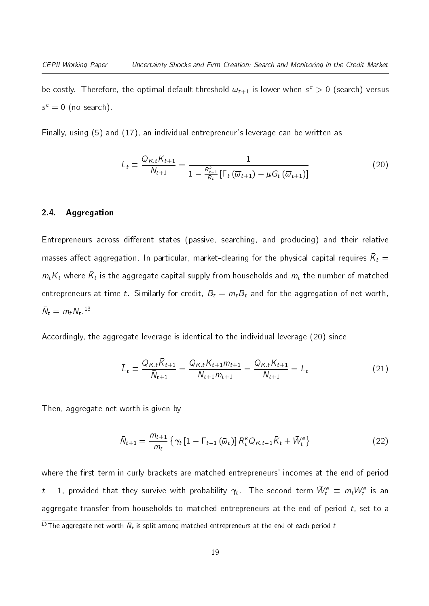be costly. Therefore, the optimal default threshold  $\bar{\omega}_{t+1}$  is lower when  $s^c > 0$  (search) versus  $s^c = 0$  (no search).

Finally, using [\(5\)](#page-12-0) and [\(17\)](#page-17-0), an individual entrepreneur's leverage can be written as

<span id="page-18-1"></span>
$$
L_{t} \equiv \frac{Q_{K,t}K_{t+1}}{N_{t+1}} = \frac{1}{1 - \frac{R_{t+1}^{k}}{R_{t}}\left[\Gamma_{t}\left(\overline{\omega}_{t+1}\right) - \mu G_{t}\left(\overline{\omega}_{t+1}\right)\right]}
$$
(20)

#### <span id="page-18-0"></span>2.4. Aggregation

Entrepreneurs across different states (passive, searching, and producing) and their relative masses affect aggregation. In particular, market-clearing for the physical capital requires  $\bar{K}_t =$  $m_t K_t$  where  $\bar{K}_t$  is the aggregate capital supply from households and  $m_t$  the number of matched entrepreneurs at time t. Similarly for credit,  $\bar{B}_t = m_t B_t$  and for the aggregation of net worth,  $\bar{N}_t = m_t N_t^{-13}$  $\bar{N}_t = m_t N_t^{-13}$  $\bar{N}_t = m_t N_t^{-13}$ 

Accordingly, the aggregate leverage is identical to the individual leverage [\(20\)](#page-18-1) since

<span id="page-18-2"></span>
$$
\bar{L}_t \equiv \frac{Q_{K,t}\bar{K}_{t+1}}{\bar{N}_{t+1}} = \frac{Q_{K,t}K_{t+1}m_{t+1}}{N_{t+1}m_{t+1}} = \frac{Q_{K,t}K_{t+1}}{N_{t+1}} = L_t
$$
\n(21)

Then, aggregate net worth is given by

$$
\bar{N}_{t+1} = \frac{m_{t+1}}{m_t} \left\{ \gamma_t \left[ 1 - \Gamma_{t-1} \left( \bar{\omega}_t \right) \right] R_t^k Q_{K,t-1} \bar{K}_t + \bar{W}_t^e \right\} \tag{22}
$$

where the first term in curly brackets are matched entrepreneurs' incomes at the end of period  $t-1$ , provided that they survive with probability  $\gamma_t$ . The second term  $\bar{W}^e_t \, \equiv \, m_t W^e_t$  is an aggregate transfer from households to matched entrepreneurs at the end of period  $t$ , set to a

 $^{13}$ The aggregate net worth  $\bar{N}_t$  is split among matched entrepreneurs at the end of each period  $t$ .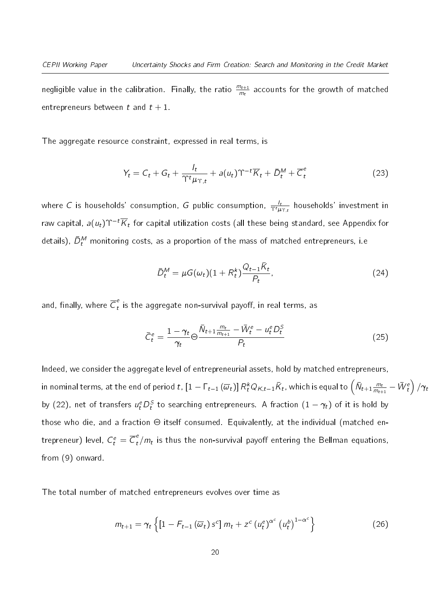negligible value in the calibration. Finally, the ratio  $\frac{m_{t+1}}{m_t}$  accounts for the growth of matched entrepreneurs between t and  $t + 1$ .

The aggregate resource constraint, expressed in real terms, is

$$
Y_t = C_t + G_t + \frac{I_t}{\gamma t \mu_{\gamma,t}} + a(u_t) \gamma^{-t} \overline{K}_t + \bar{D}_t^M + \overline{C}_t^e
$$
 (23)

where  $C$  is households' consumption,  $G$  public consumption,  $\frac{l_t}{\Upsilon^t\mu_{T,t}}$  households' investment in raw capital,  $a(u_t)\Upsilon^{-t}\overline{K}_t$  for capital utilization costs (all these being standard, see Appendix for details),  $\bar{D}_t^M$  monitoring costs, as a proportion of the mass of matched entrepreneurs, i.e

$$
\bar{D}_t^M = \mu G(\omega_t)(1 + R_t^k) \frac{Q_{t-1} \bar{K}_t}{P_t},
$$
\n(24)

and, finally, where  $\overline{\mathcal{C}}_t^e$  $\frac{1}{t}$  is the aggregate non-survival payoff, in real terms, as

$$
\bar{C}_t^e = \frac{1 - \gamma_t}{\gamma_t} \Theta \frac{\bar{N}_{t+1} \frac{m_t}{m_{t+1}} - \bar{W}_t^e - u_t^e D_t^S}{P_t}
$$
(25)

Indeed, we consider the aggregate level of entrepreneurial assets, hold by matched entrepreneurs, in nominal terms, at the end of period  $t$ ,  $[1-\Gamma_{t-1}(\overline{\omega}_t)]$   $R_t^kQ_{K,t-1}\bar{K}_t$ , which is equal to  $\left(\bar{N}_{t+1}\frac{m_t}{m_{t+1}}\right)$  $\frac{m_t}{m_{t+1}} - \bar{W}_t^e \Big) / \pmb{\gamma}_t$ by [\(22\)](#page-18-2), net of transfers  $u_t^e D_t^S$  to searching entrepreneurs. A fraction  $(1 - \gamma_t)$  of it is hold by those who die, and a fraction  $\Theta$  itself consumed. Equivalently, at the individual (matched entrepreneur) level,  $C_t^e=\overline{C}_t^e/m_t$  is thus the non-survival payoff entering the Bellman equations, from [\(9\)](#page-13-0) onward.

The total number of matched entrepreneurs evolves over time as

$$
m_{t+1} = \gamma_t \left\{ \left[ 1 - F_{t-1} \left( \overline{\omega}_t \right) s^c \right] m_t + z^c \left( u_t^e \right)^{\alpha^c} \left( u_t^b \right)^{1-\alpha^c} \right\} \tag{26}
$$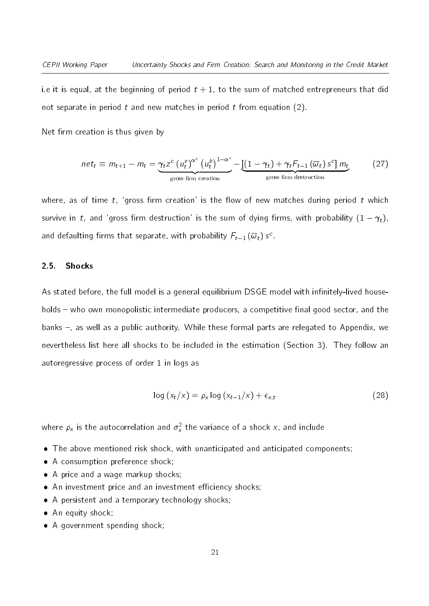i.e it is equal, at the beginning of period  $t + 1$ , to the sum of matched entrepreneurs that did not separate in period  $t$  and new matches in period  $t$  from equation [\(2\)](#page-11-1).

Net firm creation is thus given by

$$
net_t \equiv m_{t+1} - m_t = \underbrace{\gamma_t z^c (u_t^e)^{\alpha^c} (u_t^b)^{1-\alpha^c}}_{\text{gross firm creation}} - \underbrace{[(1-\gamma_t) + \gamma_t F_{t-1}(\overline{\omega}_t) s^c]}_{\text{gross firm destination}} m_t}_{\text{gross firm destination}} \tag{27}
$$

where, as of time t, 'gross firm creation' is the flow of new matches during period t which survive in t, and 'gross firm destruction' is the sum of dying firms, with probability  $(1 - \gamma_t)$ , and defaulting firms that separate, with probability  $F_{t-1}\left(\overline{\omega}_t\right) s^c.$ 

# <span id="page-20-0"></span>2.5. Shocks

As stated before, the full model is a general equilibrium DSGE model with infinitely-lived households  $-$  who own monopolistic intermediate producers, a competitive final good sector, and the banks  $-$ , as well as a public authority. While these formal parts are relegated to Appendix, we nevertheless list here all shocks to be included in the estimation (Section [3\)](#page-21-0). They follow an autoregressive process of order 1 in logs as

$$
\log\left(x_t/x\right) = \rho_x \log\left(x_{t-1}/x\right) + \epsilon_{x,t} \tag{28}
$$

where  $\rho_{\mathsf{x}}$  is the autocorrelation and  $\sigma_{\mathsf{x}}^2$  the variance of a shock  ${\mathsf x},$  and include

- The above mentioned risk shock, with unanticipated and anticipated components;
- A consumption preference shock;
- A price and a wage markup shocks;
- An investment price and an investment efficiency shocks;
- A persistent and a temporary technology shocks;
- An equity shock;
- A government spending shock;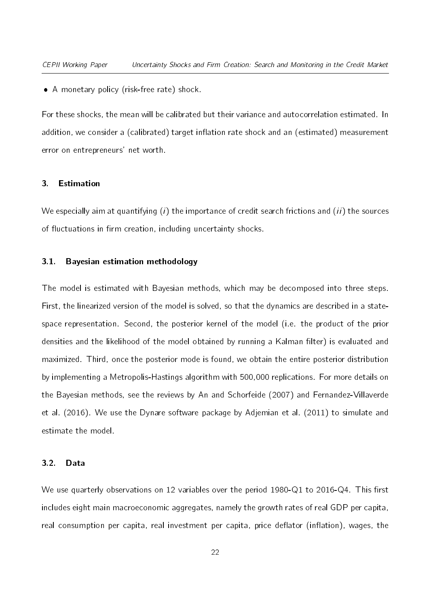A monetary policy (risk-free rate) shock.

For these shocks, the mean will be calibrated but their variance and autocorrelation estimated. In addition, we consider a (calibrated) target inflation rate shock and an (estimated) measurement error on entrepreneurs' net worth.

#### <span id="page-21-0"></span>3. Estimation

We especially aim at quantifying  $(i)$  the importance of credit search frictions and  $(ii)$  the sources of fluctuations in firm creation, including uncertainty shocks.

#### 3.1. Bayesian estimation methodology

The model is estimated with Bayesian methods, which may be decomposed into three steps. First, the linearized version of the model is solved, so that the dynamics are described in a statespace representation. Second, the posterior kernel of the model (i.e. the product of the prior densities and the likelihood of the model obtained by running a Kalman filter) is evaluated and maximized. Third, once the posterior mode is found, we obtain the entire posterior distribution by implementing a Metropolis-Hastings algorithm with 500,000 replications. For more details on the Bayesian methods, see the reviews by [An and Schorfeide](#page-43-7) [\(2007\)](#page-43-7) and [Fernandez-Villaverde](#page-45-7) [et al.](#page-45-7) [\(2016\)](#page-45-7). We use the Dynare software package by [Adjemian et al.](#page-43-8) [\(2011\)](#page-43-8) to simulate and estimate the model.

#### <span id="page-21-1"></span>3.2. Data

We use quarterly observations on 12 variables over the period  $1980$ -Q1 to  $2016$ -Q4. This first includes eight main macroeconomic aggregates, namely the growth rates of real GDP per capita, real consumption per capita, real investment per capita, price deflator (inflation), wages, the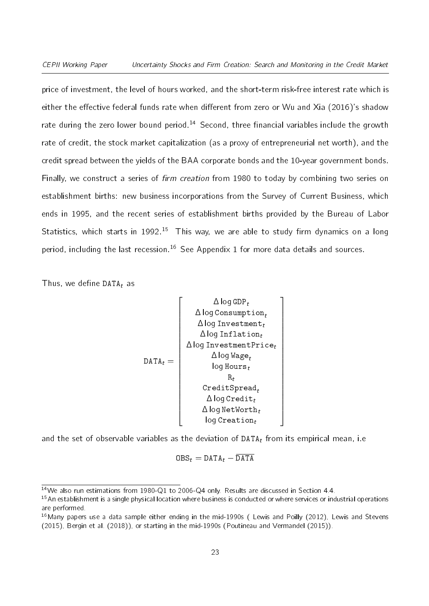price of investment, the level of hours worked, and the short-term risk-free interest rate which is either the effective federal funds rate when different from zero or [Wu and Xia](#page-48-2) [\(2016\)](#page-48-2)'s shadow rate during the zero lower bound period.<sup>[14](#page-2-0)</sup> Second, three financial variables include the growth rate of credit, the stock market capitalization (as a proxy of entrepreneurial net worth), and the credit spread between the yields of the BAA corporate bonds and the 10-year government bonds. Finally, we construct a series of firm creation from 1980 to today by combining two series on establishment births: new business incorporations from the Survey of Current Business, which ends in 1995, and the recent series of establishment births provided by the Bureau of Labor Statistics, which starts in 1992.<sup>[15](#page-2-0)</sup> This way, we are able to study firm dynamics on a long period, including the last recession.<sup>[16](#page-2-0)</sup> See Appendix [1](#page-3-0) for more data details and sources.

Thus, we define  $DATA_t$  as

$$
\text{DATA}_t = \left[ \begin{array}{c} \Delta \log \text{GDP}_t \\ \Delta \log \text{Consumption}_t \\ \Delta \log \text{Investment}_t \\ \Delta \log \text{Inrelation}_t \\ \Delta \log \text{InvestmentPrice}_t \\ \Delta \log \text{Wage}_t \\ \log \text{Hours}_t \\ \text{CreditSpread}_t \\ \Delta \log \text{Credit}_t \\ \Delta \log \text{NetWorth}_t \\ \log \text{Creaction}_t \end{array} \right]
$$

and the set of observable variables as the deviation of  $DATA_t$  from its empirical mean, i.e

$$
OBS_t = DATA_t - \overline{DATA}
$$

<sup>&</sup>lt;sup>14</sup>We also run estimations from 1980-Q1 to 2006-Q4 only. Results are discussed in Section [4.4.](#page-40-0)

<sup>&</sup>lt;sup>15</sup>An establishment is a single physical location where business is conducted or where services or industrial operations are performed.

<sup>&</sup>lt;sup>16</sup> Many papers use a data sample either ending in the mid-1990s ([Lewis and Poilly](#page-46-4) [\(2012\)](#page-46-4). [Lewis and Stevens](#page-46-5) [\(2015\)](#page-46-5), [Bergin et al.](#page-43-9) [\(2018\)](#page-43-9)), or starting in the mid-1990s [\(Poutineau and Vermandel](#page-47-5) [\(2015\)](#page-47-5)).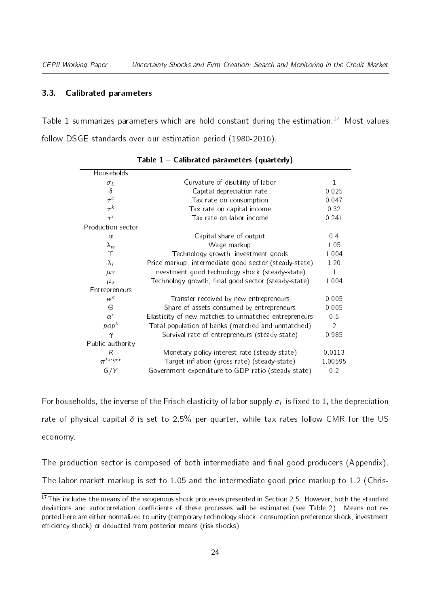# 3.3. Calibrated parameters

<span id="page-23-0"></span>Table [1](#page-23-0) summarizes parameters which are hold constant during the estimation.<sup>[17](#page-2-0)</sup> Most values follow DSGE standards over our estimation period (1980-2016).

| Households           |                                                       |              |
|----------------------|-------------------------------------------------------|--------------|
| $\sigma_L$           | Curvature of disutility of labor                      | 1            |
| $\delta$             | Capital depreciation rate                             | 0.025        |
| $\tau^c$             | Tax rate on consumption                               | 0.047        |
| $\tau^{k}$           | Tax rate on capital income                            | 0.32         |
| $\tau^l$             | Tax rate on labor income                              | 0.241        |
| Production sector    |                                                       |              |
| $\alpha$             | Capital share of output                               | 0.4          |
| $\lambda_w$          | Wage markup                                           | 1.05         |
| Υ                    | Technology growth, investment goods                   | 1.004        |
| $\lambda_f$          | Price markup, intermediate good sector (steady-state) | 1.20         |
| $\mu_{\Upsilon}$     | Investment good technology shock (steady-state)       | $\mathbf{1}$ |
| $\mu_{7}$            | Technology growth, final good sector (steady-state)   | 1.004        |
| <b>Entrepreneurs</b> |                                                       |              |
| $w^e$                | Transfer received by new entrepreneurs                | 0.005        |
| Θ                    | Share of assets consumed by entrepreneurs             | 0.005        |
| $\alpha^{c}$         | Elasticity of new matches to unmatched entrepreneurs  | 0.5          |
| pop <sup>b</sup>     | Total population of banks (matched and unmatched)     | 2            |
| $\gamma$             | Survival rate of entrepreneurs (steady-state)         | 0.985        |
| Public authority     |                                                       |              |
| R                    | Monetary policy interest rate (steady-state)          | 0.0113       |
| $\pi$ target         | Target inflation (gross rate) (steady-state)          | 1.00595      |
| G/Y                  | Government expenditure to GDP ratio (steady-state)    | 0.2          |

Table  $1 -$  Calibrated parameters (quarterly)

For households, the inverse of the Frisch elasticity of labor supply  $\sigma_L$  is fixed to 1, the depreciation rate of physical capital  $\delta$  is set to 2.5% per quarter, while tax rates follow CMR for the US economy.

The production sector is composed of both intermediate and final good producers (Appendix). The labor market markup is set to 1.05 and the intermediate good price markup to 1.2 [\(Chris-](#page-44-8)

<sup>&</sup>lt;sup>17</sup>[This includes the means of the exogenous shock processes presented in Section](#page-44-8) [2.5.](#page-20-0) However, both the standard deviations and autocorrelation coefficients of these processes will be estimated (see Table [2\)](#page-25-0). Means not re[ported here are either normalized to unity \(temporary technology shock, consumption preference shock, investment](#page-44-8) efficiency shock) or deducted from posterior means (risk shocks).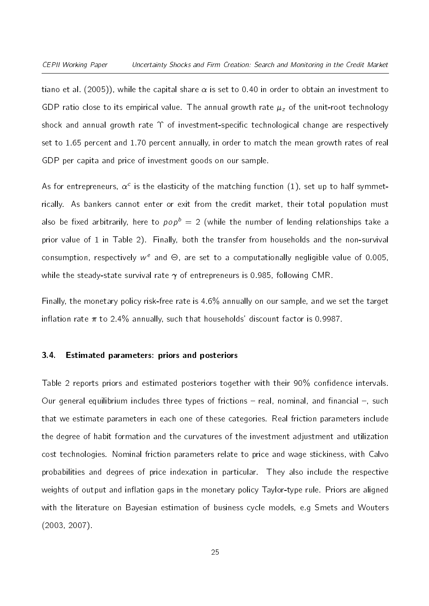[tiano et al.](#page-44-8) [\(2005\)](#page-44-8)), while the capital share  $\alpha$  is set to 0.40 in order to obtain an investment to GDP ratio close to its empirical value. The annual growth rate  $\mu_z$  of the unit-root technology shock and annual growth rate  $\Upsilon$  of investment-specific technological change are respectively set to 1.65 percent and 1.70 percent annually, in order to match the mean growth rates of real GDP per capita and price of investment goods on our sample.

As for entrepreneurs,  $\alpha^c$  is the elasticity of the matching function [\(1\)](#page-10-1), set up to half symmetrically. As bankers cannot enter or exit from the credit market, their total population must also be fixed arbitrarily, here to  $p \circ p^b = 2$  (while the number of lending relationships take a prior value of 1 in Table [2\)](#page-25-0). Finally, both the transfer from households and the non-survival consumption, respectively  $w^e$  and  $\Theta$ , are set to a computationally negligible value of 0.005, while the steady-state survival rate  $\gamma$  of entrepreneurs is 0.985, following CMR.

Finally, the monetary policy risk-free rate is 4.6% annually on our sample, and we set the target inflation rate  $\pi$  to 2.4% annually, such that households' discount factor is 0.9987.

### 3.4. Estimated parameters: priors and posteriors

Table [2](#page-25-0) reports priors and estimated posteriors together with their 90% confidence intervals. Our general equilibrium includes three types of frictions  $-$  real, nominal, and financial  $-$ , such that we estimate parameters in each one of these categories. Real friction parameters include the degree of habit formation and the curvatures of the investment adjustment and utilization cost technologies. Nominal friction parameters relate to price and wage stickiness, with Calvo probabilities and degrees of price indexation in particular. They also include the respective weights of output and inflation gaps in the monetary policy Taylor-type rule. Priors are aligned with the literature on Bayesian estimation of business cycle models, e.g [Smets and Wouters](#page-47-9) [\(2003,](#page-47-9) [2007\)](#page-47-10).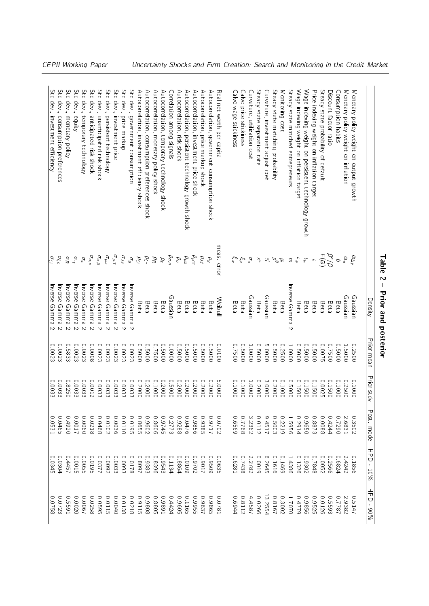<span id="page-25-0"></span>

|                                                      | Table 2                                       | - Prior and posterior                    |                   |            |                    |                           |                               |
|------------------------------------------------------|-----------------------------------------------|------------------------------------------|-------------------|------------|--------------------|---------------------------|-------------------------------|
|                                                      |                                               | Density                                  | <b>Prior mean</b> | Prior stdv | Post. mode         | モセ<br>$\mathbf{I}$<br>10% | $\frac{1}{\sigma}$<br>$%06 -$ |
| Monetary policy weight on output growth              | αΔy                                           | Gaussian                                 | 0.2500            | 0.1000     | 0.3502             | 0.1856                    | $\circ$<br>147                |
| Monetary policy weight on inflation                  | $\alpha_\pi$                                  | uerssner                                 | 1.5000            | 0.2500     | 26831              | 24242                     | 29382                         |
| Consumption habits                                   | $\sigma$                                      | Beta                                     | 00950             | 00010      | 06220              | 0.6824                    | 18110                         |
| Discount factor ratio                                | $\beta^e/\beta$                               | Beta                                     | 00520             | 00910      | 04244              | 0.2566                    | 0 5593                        |
| Steady state probability of default                  | $F(\omega)$                                   | Beta                                     | <b>92000</b>      | 0.0025     | 88000              | 75000                     | 0.0126                        |
| Price indexing weight on inflation target            | $\overline{\phantom{0}}$                      | Beta                                     | 00090             | 00510      | 0.8873             | 84870                     | 0.9525                        |
| Wage indexing weight on persistent technology growth | $t_{\mu}$                                     | Beta                                     | 00090             | 00910      | 05960              | 0 9302                    | 95860                         |
| Wage indexing weight on inflation target             | $\epsilon_{\rm w}$                            | Beta                                     | 00090             | 00510      | 0.2914             | 0.1326                    | 04779                         |
| Steady state matched entrepreneurs                   |                                               | Inverse Gamma 2                          | 10000             | 00090      | 15956              | 14386                     | 1.7070                        |
| Monitoring cost                                      | $N$ $\mathcal{L}$ $\mathcal{L}$ $\mathcal{I}$ | Beta                                     | 02500             | 00010      | 0.2219             | 0 1469                    | 0 3002                        |
| Steady state matching probability                    |                                               | Beta                                     | 00090             | 00020      | 0 5003             | 0.1616                    | 08167                         |
| Curvature, investment adjust cost                    |                                               | Gaussian                                 | 0000              | 30000      | 9.4517             | 6 2645                    | 13 2554                       |
| Steady state separation rate                         | $S_c$                                         | Beta                                     | 00090             | 00020      | 0.0112             | 61000                     | 00266                         |
| Curvature, utilization cost                          | $\sigma_{\rm a}$                              | Gaussian                                 | 1.0000            | 1.0000     | 3 2362             | 22782                     | 4 4587                        |
| Calvo price stickiness                               |                                               | Beta                                     | 00090             | 00010      | 89220              | 0 7438                    | 0.8112                        |
| Calvo wage stickiness                                | $\xi$ or $\xi$                                | Beta                                     | 0.7500            | 00010      | 59590              | 0.6281                    | tt690                         |
| Real net worth per capita                            | meas. error                                   | Weibull                                  | 00100             | 00009      | 70702              | 0.635                     | 18200                         |
| Autocorrelation, government consumption shock        | $\rho_g$                                      | Beta                                     | <b>0.500C</b>     | 00000      | 21790              | 60560                     | G9860                         |
| Autocorrelation, price markup shock                  | PXf                                           | Beta                                     | <b>0.500C</b>     | 00020      | 0 9385             | 21060                     | 0.9637                        |
| Autocorrelation, investment price shock              | PµT                                           | Beta                                     | 00090             | 00020      | 95860              | 70260                     | GS660                         |
| Autocorrelation, persistent technology growth shock  | $\rho_{\mu z}$                                | Beta                                     | 0.5000            | 00020      | 0.0476             | 60100                     | 0 1165                        |
| Autocorrelation, risk shock                          | $\rho_{\sigma}$                               | Beta                                     | <b>2005</b>       | 00020      | 88760              | 0.8864                    | G0960                         |
| Correlation among signals                            | $\rho_{\sigma,\eta}$                          | Gaussian                                 | 00000             | 00090      | 0.2773             | 0.1134                    | 04424                         |
| Autocorrelation, temporary technology shock          | $\varrho_{\varepsilon}$                       | Beta                                     | 00090             | 00020      | Gb <sub>16</sub> 0 | 0.9543                    | 16860                         |
| Autocorrelation, monetary policy shock               | $\rho_R$                                      | Beta                                     | 005200            | 0.1000     | 0.8606             | 0 8396                    | G0880                         |
| Autocorrelation, consumption preferences shock       | $\rho_{\zeta c}$                              | Beta                                     | 00090             | 00020      | 70960              | 0 9383                    | 80860                         |
| Autocorrelation, investment efficiency shock         | ρçi                                           | Beta                                     | 00090             | 0.2000     | 0 8655             | 26080                     | 0.9115                        |
| Std dev., government consumption                     | $\sigma_g$                                    | Inverse Gamma                            | 0 0023            | 0.0033     | 00195              | 0.0178                    | 0218                          |
| Std dev., price markup                               | $\sigma_{\lambda f}$                          | Inverse Gamma<br>$\sim$                  | 0 0023            | 0.0033     | 01100              | <b>C6000</b>              | 0.0138                        |
| Std dev, investment price                            | $\sigma_\mu \gamma$                           | Inverse Gamma<br>$\sim$                  | 00023             | 0.0033     | 0.0036             | 0 0033                    | 00040                         |
| Std dev., persistent technology                      | $\sigma_{\mu z}$                              | Inverse Gamma<br>$\sim$                  | 0.0023            | 0 0033     | 0 0102             | <b>26000</b>              | 0.0115                        |
| Std dev., unanticipated risk shock                   | $\sigma_{\sigma,0}$                           | Inverse Gamma<br>$\sim$                  | 0.0023            | 00033      | 0.0468             | 0377                      | GG <sub>30</sub> 0            |
| Std dev.,<br>anticipated risk shock                  | $\sigma_{\sigma,n}$                           | Inverse Gamma<br>$\sim$                  | 80000             | 0.0012     | 0.0218             | G610 <sup>0</sup>         | 0.0258                        |
| Std dev., temporary technology                       | $\sigma_{\varepsilon}$                        | Inverse Gamma<br>$\sim$                  | 0.0023            | 00033      | 09000              | GS00 0                    | 00067                         |
| Std dev., equity                                     | $\sigma_{\gamma}$                             | Inverse Gamma<br>$\overline{\mathsf{C}}$ | 0 0023            | 0.0033     | 0.0017             | 0.0015                    | 02000                         |
| Std dev, monetary policy                             | $\sigma_R$                                    | Inverse Gamma<br>$\sim$                  | 0.5833            | 03250      | 0764.0             | 1500                      | 16990                         |
| Std dev, consumption preferences                     | ्ट                                            | Inverse Gamma                            | 0.0023            | 0.0033     | 0.0465             | 0.0304                    | 0.0723                        |
| Std dev, investment efficiency                       | $\overline{o_{\zeta i}}$                      | nverse Gamma<br>$\sim$                   | 0.0023            | 0.0033     | 0.0531             | 0.0345                    | 8920                          |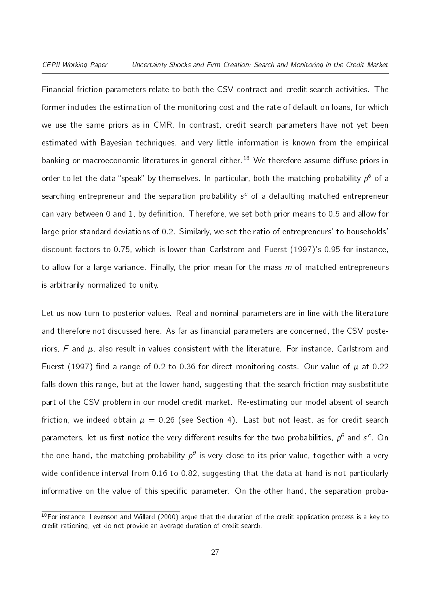Financial friction parameters relate to both the CSV contract and credit search activities. The former includes the estimation of the monitoring cost and the rate of default on loans, for which we use the same priors as in CMR. In contrast, credit search parameters have not yet been estimated with Bayesian techniques, and very little information is known from the empirical banking or macroeconomic literatures in general either.<sup>[18](#page-2-0)</sup> We therefore assume diffuse priors in order to let the data "speak" by themselves. In particular, both the matching probability  $\rho^\theta$  of a searching entrepreneur and the separation probability  $s^c$  of a defaulting matched entrepreneur can vary between 0 and 1, by definition. Therefore, we set both prior means to 0.5 and allow for large prior standard deviations of 0.2. Similarly, we set the ratio of entrepreneurs' to households' discount factors to 0.75, which is lower than [Carlstrom and Fuerst](#page-44-2) [\(1997\)](#page-44-2)'s 0.95 for instance, to allow for a large variance. Finally, the prior mean for the mass  $m$  of matched entrepreneurs is arbitrarily normalized to unity.

Let us now turn to posterior values. Real and nominal parameters are in line with the literature and therefore not discussed here. As far as financial parameters are concerned, the CSV posteriors, F and  $\mu$ , also result in values consistent with the literature. For instance, [Carlstrom and](#page-44-2) [Fuerst](#page-44-2) [\(1997\)](#page-44-2) find a range of 0.2 to 0.36 for direct monitoring costs. Our value of  $\mu$  at 0.22 falls down this range, but at the lower hand, suggesting that the search friction may susbstitute part of the CSV problem in our model credit market. Re-estimating our model absent of search friction, we indeed obtain  $\mu = 0.26$  (see Section [4\)](#page-33-0). Last but not least, as for credit search parameters, let us first notice the very different results for the two probabilities,  $\rho^\theta$  and  $s^c$ . On the one hand, the matching probability  $\rho^\theta$  is very close to its prior value, together with a very wide confidence interval from 0.16 to 0.82, suggesting that the data at hand is not particularly informative on the value of this specific parameter. On the other hand, the separation proba-

 $18$ For instance, [Levenson and Willard](#page-46-7) [\(2000\)](#page-46-7) argue that the duration of the credit application process is a key to credit rationing, yet do not provide an average duration of credit search.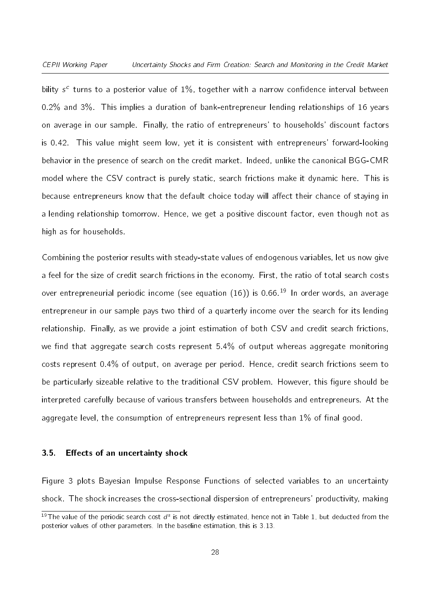bility  $s^c$  turns to a posterior value of  $1\%$ , together with a narrow confidence interval between 0.2% and 3%. This implies a duration of bank-entrepreneur lending relationships of 16 years on average in our sample. Finally, the ratio of entrepreneurs' to households' discount factors is 0.42. This value might seem low, yet it is consistent with entrepreneurs' forward-looking behavior in the presence of search on the credit market. Indeed, unlike the canonical BGG-CMR model where the CSV contract is purely static, search frictions make it dynamic here. This is because entrepreneurs know that the default choice today will affect their chance of staying in a lending relationship tomorrow. Hence, we get a positive discount factor, even though not as high as for households.

Combining the posterior results with steady-state values of endogenous variables, let us now give a feel for the size of credit search frictions in the economy. First, the ratio of total search costs over entrepreneurial periodic income (see equation  $(16)$ ) is 0.66.<sup>[19](#page-2-0)</sup> In order words, an average entrepreneur in our sample pays two third of a quarterly income over the search for its lending relationship. Finally, as we provide a joint estimation of both CSV and credit search frictions, we find that aggregate search costs represent  $5.4\%$  of output whereas aggregate monitoring costs represent 0.4% of output, on average per period. Hence, credit search frictions seem to be particularly sizeable relative to the traditional CSV problem. However, this figure should be interpreted carefully because of various transfers between households and entrepreneurs. At the aggregate level, the consumption of entrepreneurs represent less than  $1\%$  of final good.

# 3.5. Effects of an uncertainty shock

Figure [3](#page-28-0) plots Bayesian Impulse Response Functions of selected variables to an uncertainty shock. The shock increases the cross-sectional dispersion of entrepreneurs' productivity, making

<sup>&</sup>lt;sup>19</sup>The value of the periodic search cost  $d^s$  is not directly estimated, hence not in Table [1,](#page-23-0) but deducted from the posterior values of other parameters. In the baseline estimation, this is 3.13.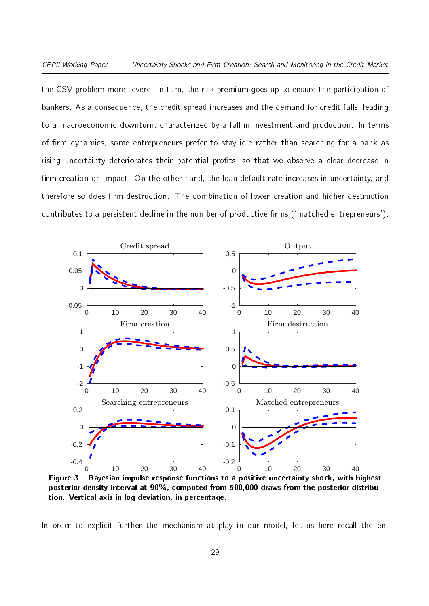the CSV problem more severe. In turn, the risk premium goes up to ensure the participation of bankers. As a consequence, the credit spread increases and the demand for credit falls, leading to a macroeconomic downturn, characterized by a fall in investment and production. In terms of firm dynamics, some entrepreneurs prefer to stay idle rather than searching for a bank as rising uncertainty deteriorates their potential profits, so that we observe a clear decrease in firm creation on impact. On the other hand, the loan default rate increases in uncertainty, and therefore so does firm destruction. The combination of lower creation and higher destruction contributes to a persistent decline in the number of productive firms ('matched entrepreneurs').

<span id="page-28-0"></span>

Figure  $3$  – Bayesian impulse response functions to a positive uncertainty shock, with highest posterior density interval at 90%, computed from 500,000 draws from the posterior distribution. Vertical axis in log-deviation, in percentage.

In order to explicit further the mechanism at play in our model, let us here recall the en-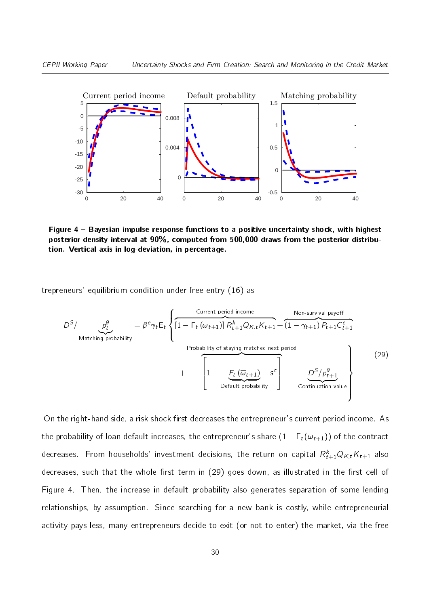<span id="page-29-1"></span>

Figure 4 - Bayesian impulse response functions to a positive uncertainty shock, with highest posterior density interval at 90%, computed from 500,000 draws from the posterior distribution. Vertical axis in log-deviation, in percentage.

trepreneurs' equilibrium condition under free entry [\(16\)](#page-16-3) as

<span id="page-29-0"></span>neurs' equilibrium condition under free entry (16) as  
\n
$$
D^{S}/\underbrace{\rho_{t}^{\theta}}_{\text{Matching probability}} = \beta^{e} \gamma_{t} E_{t} \left\{ \frac{\text{Current period income}}{[1 - \Gamma_{t} (\overline{\omega}_{t+1})] R_{t+1}^{k} Q_{K,t} K_{t+1} + (1 - \gamma_{t+1}) P_{t+1} C_{t+1}^{e}}_{\text{Probability of staying matched next period}} + \left[ 1 - \underbrace{\frac{F_{t} (\overline{\omega}_{t+1})}{F_{t+1}} S^{c}}_{\text{Default probability}} \right]_{\text{Continuation value}} \right\}
$$
\n(29)

On the right-hand side, a risk shock first decreases the entrepreneur's current period income. As the probability of loan default increases, the entrepreneur's share  $(1-\Gamma_t(\bar{\omega}_{t+1}))$  of the contract decreases. From households' investment decisions, the return on capital  $R^k_{t+1}Q_{\mathcal{K},t}K_{t+1}$  also decreases, such that the whole first term in [\(29\)](#page-29-0) goes down, as illustrated in the first cell of Figure [4.](#page-29-1) Then, the increase in default probability also generates separation of some lending relationships, by assumption. Since searching for a new bank is costly, while entrepreneurial activity pays less, many entrepreneurs decide to exit (or not to enter) the market, via the free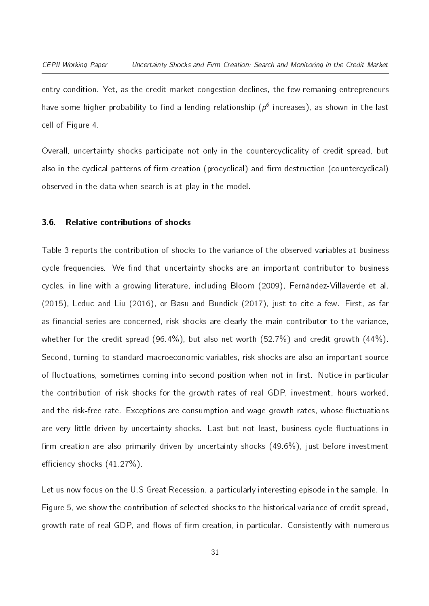entry condition. Yet, as the credit market congestion declines, the few remaning entrepreneurs have some higher probability to find a lending relationship ( $\rho^\theta$  increases), as shown in the last cell of Figure [4.](#page-29-1)

Overall, uncertainty shocks participate not only in the countercyclicality of credit spread, but also in the cyclical patterns of firm creation (procyclical) and firm destruction (countercyclical) observed in the data when search is at play in the model.

#### <span id="page-30-0"></span>3.6. Relative contributions of shocks

Table [3](#page-31-0) reports the contribution of shocks to the variance of the observed variables at business cycle frequencies. We find that uncertainty shocks are an important contributor to business cycles, in line with a growing literature, including [Bloom](#page-44-4) [\(2009\)](#page-44-4), [Fernández-Villaverde et al.](#page-45-1) [\(2015\)](#page-45-1), [Leduc and Liu](#page-46-0) [\(2016\)](#page-46-0), or [Basu and Bundick](#page-43-1) [\(2017\)](#page-43-1), just to cite a few. First, as far as financial series are concerned, risk shocks are clearly the main contributor to the variance, whether for the credit spread (96.4%), but also net worth (52.7%) and credit growth (44%). Second, turning to standard macroeconomic variables, risk shocks are also an important source of fluctuations, sometimes coming into second position when not in first. Notice in particular the contribution of risk shocks for the growth rates of real GDP, investment, hours worked, and the risk-free rate. Exceptions are consumption and wage growth rates, whose fluctuations are very little driven by uncertainty shocks. Last but not least, business cycle fluctuations in firm creation are also primarily driven by uncertainty shocks  $(49.6%)$ , just before investment efficiency shocks  $(41.27%)$ .

Let us now focus on the U.S Great Recession, a particularly interesting episode in the sample. In Figure [5,](#page-32-0) we show the contribution of selected shocks to the historical variance of credit spread, growth rate of real GDP, and flows of firm creation, in particular. Consistently with numerous

31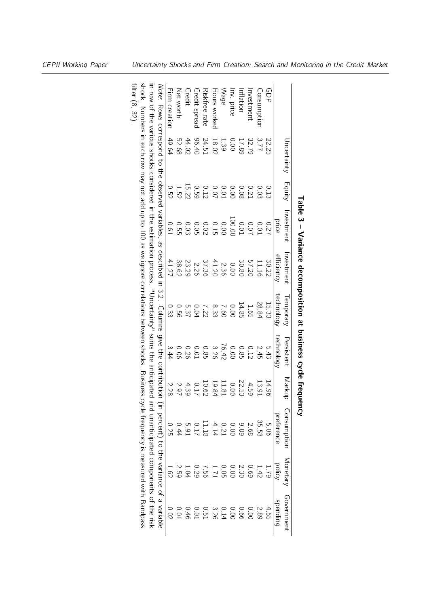|                                                                                                                                                                                                |              |                                       |                 |            | Table 3 - Variance decomposition at business cycle freque |            |                    | تەر<br>2                                                                                                                                            |                      |             |
|------------------------------------------------------------------------------------------------------------------------------------------------------------------------------------------------|--------------|---------------------------------------|-----------------|------------|-----------------------------------------------------------|------------|--------------------|-----------------------------------------------------------------------------------------------------------------------------------------------------|----------------------|-------------|
|                                                                                                                                                                                                | Uncertainty  | Equity                                | Investment      | Investment | Temporary                                                 | Persistent | Markup             | Consumption                                                                                                                                         | <b>Monetary</b>      | Government  |
|                                                                                                                                                                                                |              |                                       | price           | ethclency  | technology                                                | technology |                    | preference                                                                                                                                          | Sollcy               | spending    |
| ep<br>J                                                                                                                                                                                        | 22.25        | <b>C13</b>                            | 170             | 30.22      | 15 33                                                     | 543        | 14.96              | <b>506</b>                                                                                                                                          | 621                  | 4 55        |
| Consumptior                                                                                                                                                                                    | 3.77         | 0.03                                  | 0.01            | 11.16      | <b>28.84</b>                                              | 245        | 13.91              | 35 53                                                                                                                                               | 142                  | 582         |
| nvestment                                                                                                                                                                                      | 32.79        |                                       | <b>200</b>      | 57.20      | 1.65                                                      | 0.12       | 4.59               | 268                                                                                                                                                 | 69.0                 | 000         |
| nflation                                                                                                                                                                                       | 17.89        | 0.21                                  | 0.01            | 30.80      | 14.85                                                     | 98         | 22.53              | 686                                                                                                                                                 | 230                  | 990         |
| m price                                                                                                                                                                                        | 000          |                                       | 100.00          | 000        | 000                                                       | 000        | 0.00               |                                                                                                                                                     | 000                  | 000         |
| <b>Mage</b>                                                                                                                                                                                    | 1.39         | 0 0 0 0 0<br>0 0 0 0 0<br>0 0 0 0 0 0 |                 | 2.36       | 09 <sub>l</sub>                                           | 7642       | $\frac{11}{19}$ 84 |                                                                                                                                                     |                      |             |
| Hours worked                                                                                                                                                                                   | $18\ 02$     |                                       |                 | 41.20      |                                                           | 326        |                    |                                                                                                                                                     |                      |             |
| Riskfree rate                                                                                                                                                                                  | 24.51        |                                       |                 | 37.36      | 833                                                       | 0.85       | 10.62              |                                                                                                                                                     | 0<br>175<br>29<br>29 |             |
| Credit spread                                                                                                                                                                                  | 06.40        |                                       |                 | 2.26       |                                                           | 0.01       | <b>SL7</b>         |                                                                                                                                                     |                      |             |
| Credit                                                                                                                                                                                         | 44.02        | 15.22                                 | 0.03            | 23.29      | 0.04<br>5.37                                              | 0.26       | 4.39               |                                                                                                                                                     | 1.04                 |             |
| Net worth                                                                                                                                                                                      | <b>52.68</b> | 1.52                                  | GS <sub>D</sub> | 38.62      | <b>950</b>                                                | 0.06       | 297                |                                                                                                                                                     | 559                  | <b>D.O1</b> |
| Firm creation                                                                                                                                                                                  | 49.64        | <b>D.52</b>                           | <b>0.61</b>     | 4127       | 0.33                                                      | 344        | 228                | 0.25                                                                                                                                                | 1.62                 | <b>0.02</b> |
| Note: Rows correspond to the observed variables, as described in 3.2. Columns give the<br>n row of the various shocks considered in the estimation process. "Uncertainty" sums the anticipated |              |                                       |                 |            |                                                           |            | contribution       | and unanticipated components of the risk<br>In percent) to the variance of a variable                                                               |                      |             |
|                                                                                                                                                                                                |              |                                       |                 |            |                                                           |            |                    | shock. Mumbers in each row may not add up to 100 as we ignore correlations between shocks. Business cycle fraguency is measured with Bandbass sycle |                      |             |
| filter $(8, 32)$                                                                                                                                                                               |              |                                       |                 |            |                                                           |            |                    |                                                                                                                                                     |                      |             |

| ı<br>O<br>ť<br>l<br>Í                      |
|--------------------------------------------|
| Ī                                          |
| l<br>ׇ֠֕֡֡֡<br>i                           |
| j<br>í<br>֠<br>Ï                           |
| יינה היה ווהוחונה<br>ī<br>֠<br>ı<br>E<br>I |
|                                            |
| í<br>ı                                     |
| t<br>l                                     |
| ı<br>ļ<br>ī<br>֠                           |

<span id="page-31-0"></span>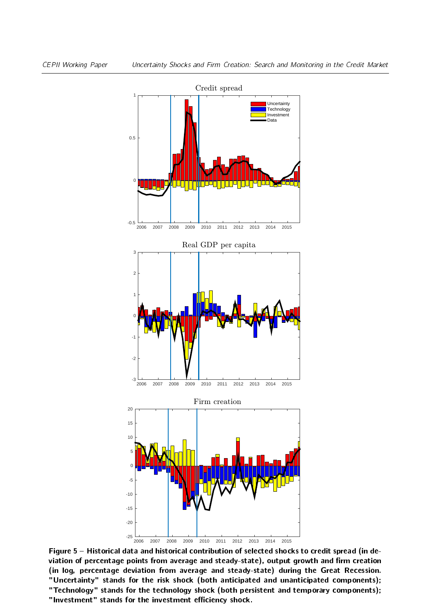<span id="page-32-0"></span>

Figure 5 - Historical data and historical contribution of selected shocks to credit spread (in deviation of percentage points from average and steady-state), output growth and firm creation (in log, percentage deviation from average and steady-state) during the Great Recession. "Uncertainty" stands for the risk shock (both anticipated and unanticipated components); "Technology" stands for the technology shock (both persistent and temporary components); "Investment" stands for the investment efficiency shock.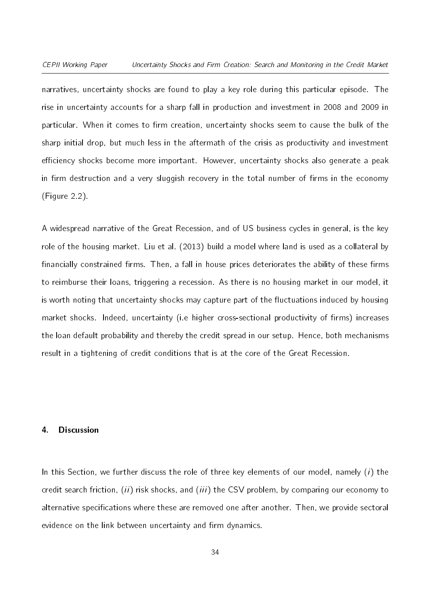narratives, uncertainty shocks are found to play a key role during this particular episode. The rise in uncertainty accounts for a sharp fall in production and investment in 2008 and 2009 in particular. When it comes to firm creation, uncertainty shocks seem to cause the bulk of the sharp initial drop, but much less in the aftermath of the crisis as productivity and investment efficiency shocks become more important. However, uncertainty shocks also generate a peak in firm destruction and a very sluggish recovery in the total number of firms in the economy (Figure [2.2\)](#page-52-0).

A widespread narrative of the Great Recession, and of US business cycles in general, is the key role of the housing market. [Liu et al.](#page-46-8) [\(2013\)](#page-46-8) build a model where land is used as a collateral by financially constrained firms. Then, a fall in house prices deteriorates the ability of these firms to reimburse their loans, triggering a recession. As there is no housing market in our model, it is worth noting that uncertainty shocks may capture part of the fluctuations induced by housing market shocks. Indeed, uncertainty (i.e higher cross-sectional productivity of firms) increases the loan default probability and thereby the credit spread in our setup. Hence, both mechanisms result in a tightening of credit conditions that is at the core of the Great Recession.

#### <span id="page-33-0"></span>4. Discussion

In this Section, we further discuss the role of three key elements of our model, namely  $(i)$  the credit search friction, (ii) risk shocks, and (iii) the CSV problem, by comparing our economy to alternative specifications where these are removed one after another. Then, we provide sectoral evidence on the link between uncertainty and firm dynamics.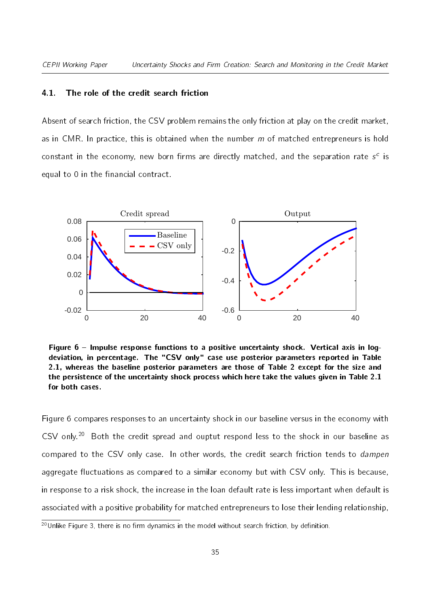## 4.1. The role of the credit search friction

Absent of search friction, the CSV problem remains the only friction at play on the credit market, as in CMR. In practice, this is obtained when the number  $m$  of matched entrepreneurs is hold constant in the economy, new born firms are directly matched, and the separation rate  $s^c$  is equal to  $0$  in the financial contract.

<span id="page-34-0"></span>

Figure 6 - Impulse response functions to a positive uncertainty shock. Vertical axis in logdeviation, in percentage. The "CSV only" case use posterior parameters reported in Table [2.1,](#page-53-0) whereas the baseline posterior parameters are those of Table [2](#page-25-0) except for the size and the persistence of the uncertainty shock process which here take the values given in Table [2.1](#page-53-0) for both cases.

Figure [6](#page-34-0) compares responses to an uncertainty shock in our baseline versus in the economy with CSV only.<sup>[20](#page-2-0)</sup> Both the credit spread and ouptut respond less to the shock in our baseline as compared to the CSV only case. In other words, the credit search friction tends to dampen aggregate fluctuations as compared to a similar economy but with CSV only. This is because, in response to a risk shock, the increase in the loan default rate is less important when default is associated with a positive probability for matched entrepreneurs to lose their lending relationship,

 $20$ Unlike Figure [3,](#page-28-0) there is no firm dynamics in the model without search friction, by definition.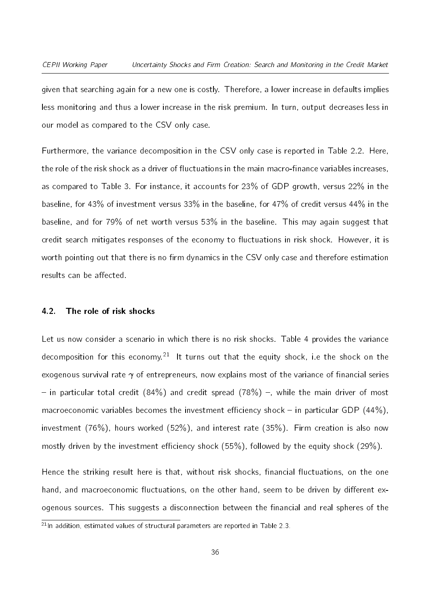given that searching again for a new one is costly. Therefore, a lower increase in defaults implies less monitoring and thus a lower increase in the risk premium. In turn, output decreases less in our model as compared to the CSV only case.

Furthermore, the variance decomposition in the CSV only case is reported in Table [2.2.](#page-54-0) Here, the role of the risk shock as a driver of fluctuations in the main macro-finance variables increases, as compared to Table [3.](#page-31-0) For instance, it accounts for 23% of GDP growth, versus 22% in the baseline, for 43% of investment versus 33% in the baseline, for 47% of credit versus 44% in the baseline, and for 79% of net worth versus 53% in the baseline. This may again suggest that credit search mitigates responses of the economy to fluctuations in risk shock. However, it is worth pointing out that there is no firm dynamics in the CSV only case and therefore estimation results can be affected.

# 4.2. The role of risk shocks

Let us now consider a scenario in which there is no risk shocks. Table [4](#page-36-0) provides the variance decomposition for this economy.<sup>[21](#page-2-0)</sup> It turns out that the equity shock, i.e the shock on the exogenous survival rate  $\gamma$  of entrepreneurs, now explains most of the variance of financial series  $-$  in particular total credit (84%) and credit spread (78%) –, while the main driver of most macroeconomic variables becomes the investment efficiency shock  $-$  in particular GDP (44%), investment (76%), hours worked (52%), and interest rate (35%). Firm creation is also now mostly driven by the investment efficiency shock (55%), followed by the equity shock (29%).

Hence the striking result here is that, without risk shocks, financial fluctuations, on the one hand, and macroeconomic fluctuations, on the other hand, seem to be driven by different exogenous sources. This suggests a disconnection between the financial and real spheres of the

 $\frac{1}{21}$ In addition, estimated values of structural parameters are reported in Table [2.3.](#page-55-0)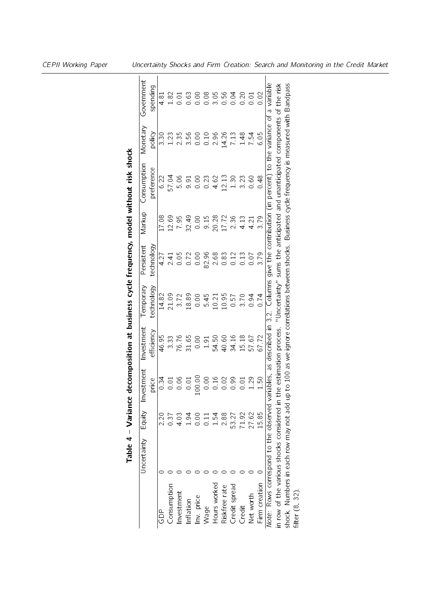|                                           |             | Table 4 – Variance |                                                     |                                             |               |                                                                      |                                             | decomposition at business cycle frequency, model without risk shock                                   |                         |                |
|-------------------------------------------|-------------|--------------------|-----------------------------------------------------|---------------------------------------------|---------------|----------------------------------------------------------------------|---------------------------------------------|-------------------------------------------------------------------------------------------------------|-------------------------|----------------|
|                                           | Uncertainty | Equity In          | restment                                            | nvestment                                   | Temporary     | Persistent                                                           | Markup                                      | Consumption                                                                                           | Monetary                | Government     |
|                                           |             |                    | price                                               | efficiency                                  | technology    | technology                                                           |                                             | preterence                                                                                            | Yollod                  | spending       |
| a<br>G                                    |             | 2.20               | 0.34                                                | 46.95                                       | 14.82         | 4.27                                                                 | 1708                                        | 6 22                                                                                                  | $\frac{30}{3}$          | 4.81           |
| Consumption                               |             | 0.37               | 0.01                                                | $\frac{33}{5}$                              | 21.09         |                                                                      | 12.69                                       | 57.04                                                                                                 | 1.23                    |                |
| nvestment                                 |             | 4.03               | $\begin{array}{c} 0.06 \\ 0.01 \\ 0.00 \end{array}$ | 76.76                                       | 3.72          | $\frac{41}{1000}$                                                    | 795                                         |                                                                                                       |                         |                |
| nflation                                  |             | 1900               |                                                     | 3165                                        | 1889          |                                                                      | 32.49                                       |                                                                                                       |                         |                |
| Inv. price                                |             |                    |                                                     |                                             |               |                                                                      |                                             |                                                                                                       |                         |                |
| Wage                                      |             | $\overline{0}$     | 0.00                                                | $\begin{array}{c} 0.00 \\ 1.91 \end{array}$ |               | 82.96                                                                |                                             |                                                                                                       |                         |                |
| Hours worked                              |             | 1.54               |                                                     | 54.50                                       |               |                                                                      |                                             | 462                                                                                                   | 2.96                    |                |
| Riskfree rate                             |             | 288                | 016<br>0000<br>0000                                 | 40.60                                       |               | $\begin{array}{c} 68 \\ 0.83 \\ 0.01 \\ 0.00 \\ 0.00 \\ \end{array}$ | 0 0 15<br>0 15<br>0 20 2<br>17<br>17<br>17  | 1213                                                                                                  | 14.26                   |                |
| Credit spread                             |             | 5327               |                                                     | 34 16                                       |               |                                                                      |                                             | 130                                                                                                   |                         |                |
| Credit                                    |             | 7192               |                                                     | 1518                                        |               |                                                                      | $\begin{array}{c} 2.36 \\ 4.13 \end{array}$ | 3.23                                                                                                  | $713$<br>$148$<br>$754$ |                |
| Net worth                                 |             | 2762               | 1.29                                                | 57.67                                       |               |                                                                      | 4.21                                        | 0.60                                                                                                  |                         |                |
| Firm creation                             |             | 1585               | 1.50                                                | 6772                                        | 0.74          | 3.79                                                                 | 379                                         | 0.48                                                                                                  | 6.05                    | 0 <sup>o</sup> |
| Note: Rows correspond to the observed va  |             |                    |                                                     | iriables, as described in                   | 3.2 Columns   |                                                                      |                                             | give the contribution (in percent) to the variance of a variable                                      |                         |                |
| n row of the various shocks considered in |             |                    |                                                     | the estimation process                      | "Uncertainty" | sums the anticipated                                                 |                                             | and unanticipated components of the risk                                                              |                         |                |
| shock. Numbers in each row may not add u  |             |                    |                                                     |                                             |               |                                                                      |                                             | p to 100 as we ignore correlations between shocks. Business cycle frequency is measured with Bandpass |                         |                |
| filter (8, 32)                            |             |                    |                                                     |                                             |               |                                                                      |                                             |                                                                                                       |                         |                |

Table 4 - Variance decomposition at business cycle frequency, model without risk shock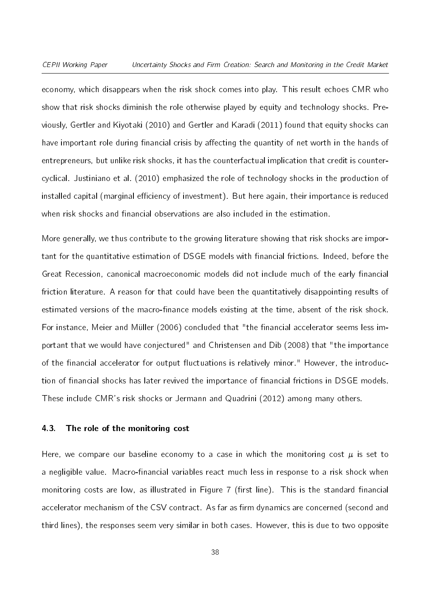#### CEPII Working Paper Uncertainty Shocks and Firm Creation: Search and Monitoring in the Credit Market

economy, which disappears when the risk shock comes into play. This result echoes CMR who show that risk shocks diminish the role otherwise played by equity and technology shocks. Previously, [Gertler and Kiyotaki](#page-45-0) [\(2010\)](#page-45-0) and [Gertler and Karadi](#page-45-1) [\(2011\)](#page-45-1) found that equity shocks can have important role during financial crisis by affecting the quantity of net worth in the hands of entrepreneurs, but unlike risk shocks, it has the counterfactual implication that credit is countercyclical. [Justiniano et al.](#page-46-0) [\(2010\)](#page-46-0) emphasized the role of technology shocks in the production of installed capital (marginal efficiency of investment). But here again, their importance is reduced when risk shocks and financial observations are also included in the estimation.

More generally, we thus contribute to the growing literature showing that risk shocks are important for the quantitative estimation of DSGE models with financial frictions. Indeed, before the Great Recession, canonical macroeconomic models did not include much of the early financial friction literature. A reason for that could have been the quantitatively disappointing results of estimated versions of the macro-finance models existing at the time, absent of the risk shock. For instance, [Meier and Müller](#page-46-1) [\(2006\)](#page-46-1) concluded that "the financial accelerator seems less important that we would have conjectured" and [Christensen and Dib](#page-44-0) [\(2008\)](#page-44-0) that "the importance of the financial accelerator for output fluctuations is relatively minor." However, the introduction of financial shocks has later revived the importance of financial frictions in DSGE models. These include CMR's risk shocks or [Jermann and Quadrini](#page-46-2) [\(2012\)](#page-46-2) among many others.

### 4.3. The role of the monitoring cost

Here, we compare our baseline economy to a case in which the monitoring cost  $\mu$  is set to a negligible value. Macro-financial variables react much less in response to a risk shock when monitoring costs are low, as illustrated in Figure [7](#page-38-0) (first line). This is the standard financial accelerator mechanism of the CSV contract. As far as firm dynamics are concerned (second and third lines), the responses seem very similar in both cases. However, this is due to two opposite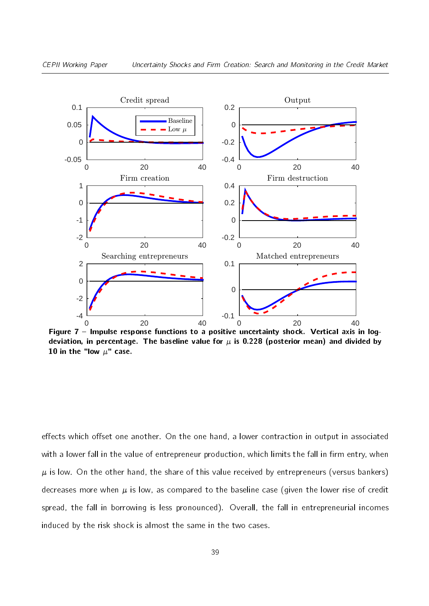<span id="page-38-0"></span>

Figure 7 - Impulse response functions to a positive uncertainty shock. Vertical axis in logdeviation, in percentage. The baseline value for  $\mu$  is 0.228 (posterior mean) and divided by 10 in the "low  $\mu$ " case.

effects which offset one another. On the one hand, a lower contraction in output in associated with a lower fall in the value of entrepreneur production, which limits the fall in firm entry, when  $\mu$  is low. On the other hand, the share of this value received by entrepreneurs (versus bankers) decreases more when  $\mu$  is low, as compared to the baseline case (given the lower rise of credit spread, the fall in borrowing is less pronounced). Overall, the fall in entrepreneurial incomes induced by the risk shock is almost the same in the two cases.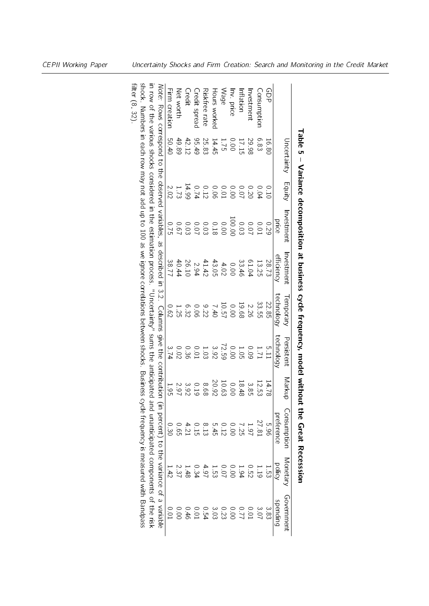|                                                                                                                                                                                                      | Table 5 - Variance decomposition at business cycle frequency, model without |              |             |                 |                               |               |              | the Great Recession                       |                   |                                                             |
|------------------------------------------------------------------------------------------------------------------------------------------------------------------------------------------------------|-----------------------------------------------------------------------------|--------------|-------------|-----------------|-------------------------------|---------------|--------------|-------------------------------------------|-------------------|-------------------------------------------------------------|
|                                                                                                                                                                                                      | Uncertainty                                                                 | Equity       | Investment  | Investment      | Temporary                     | Persistent    | Markup       | Consumption                               | <b>Monetary</b>   | Government                                                  |
|                                                                                                                                                                                                      |                                                                             |              | price       | efficiency      | technology                    | technology    |              | preference                                | <b>Solicy</b>     | spending                                                    |
| 95                                                                                                                                                                                                   | 16.80                                                                       | 010          | 670         | 2873            | <b>22.85</b>                  | $\frac{5}{1}$ | 14.78        | 96 <sup>G</sup>                           | 1.53              | သ<br>သ                                                      |
| Consumption                                                                                                                                                                                          | E8 <sub>9</sub>                                                             | 0.04         | 0.01        | 13.25           | 33 55                         | 1/1           | 12.53        | 27.81                                     | <b>1.19</b>       | 3.07                                                        |
| nvestment                                                                                                                                                                                            | <b>29.98</b>                                                                | 0.20         | <b>100</b>  | 61.04           | 226                           | <b>600</b>    | 385          |                                           | <b>D.52</b>       | <b>DO1</b>                                                  |
| nflation                                                                                                                                                                                             | 1715                                                                        | 200          | 0.03        | 33.46           | <b>1968</b>                   | 105           | 1848         | 17600580405<br>955054515146               | 1.94              | 220                                                         |
| m price                                                                                                                                                                                              | 00.00                                                                       | 00.00        | 100.00      | 0.00            | 000                           | 000           | 000          |                                           |                   | 000                                                         |
| <b>Mage</b>                                                                                                                                                                                          | $\frac{1}{7}$                                                               |              | 0.00        |                 | <b>10.57</b>                  | 69 22         | 10.63        |                                           | $\frac{20}{00}$   |                                                             |
| Hours worked                                                                                                                                                                                         | 14.45                                                                       | 0.01<br>0.06 | 810         | $402$<br>$4305$ |                               | 392           | 20 92        |                                           |                   |                                                             |
| Riskfree rate                                                                                                                                                                                        | 2583                                                                        | 0.74         | 0.03        | 41.42           | 7<br>4 2 2 9 8 1<br>4 2 9 8 9 | 1.03          | 898          |                                           | $1400$<br>0 3 3 4 | $\begin{array}{c} 0.23 \\ 0.05 \\ 0.07 \\ 0.01 \end{array}$ |
| Credit spread                                                                                                                                                                                        | 95.49                                                                       |              | <b>200</b>  | 2.94            |                               | 1000          | 6 I O        |                                           |                   |                                                             |
| Credit                                                                                                                                                                                               | 4212                                                                        | 14.99        | 0.03        | 26.10           |                               | 0.36          | 3.92         |                                           | $148$<br>237      | 0.46                                                        |
| Net worth                                                                                                                                                                                            | 49.89                                                                       | 221          | <b>0.67</b> | 40.44           |                               | <b>0.02</b>   | 2.97         |                                           |                   | 0.00                                                        |
| Firm creation                                                                                                                                                                                        | <b>50.40</b>                                                                | 202          | 520         | 38.77           | <b>Co.</b>                    | 374           | 1 95         | 0.30                                      | 1.42              | 0.01                                                        |
| Note: Rows correspond to the observed variables, as described in 3.2. Columns give the                                                                                                               |                                                                             |              |             |                 |                               |               | contribution | In percent) to the variance of a variable |                   |                                                             |
| filter $(8, 32)$<br>shock. Mumbers in each row may not add up to 100 as we ignore correlations between shocks. Business cycle fragency, in measured with Bandbass sycle frage is measured with $\mu$ |                                                                             |              |             |                 |                               |               |              |                                           |                   |                                                             |
|                                                                                                                                                                                                      |                                                                             |              |             |                 |                               |               |              |                                           |                   |                                                             |

| I                                                                                                                                                                                                                              |
|--------------------------------------------------------------------------------------------------------------------------------------------------------------------------------------------------------------------------------|
|                                                                                                                                                                                                                                |
| ׇ֚֡֕<br>֧֚֚֚֚֚֚֚֚֚֚֚֚֚֚֚֝<br>֧֚֚֝                                                                                                                                                                                              |
|                                                                                                                                                                                                                                |
| $\frac{1}{2}$ , and in the case of $\frac{1}{2}$ , and $\frac{1}{2}$ , and $\frac{1}{2}$                                                                                                                                       |
|                                                                                                                                                                                                                                |
|                                                                                                                                                                                                                                |
| -<br>-<br>-                                                                                                                                                                                                                    |
| it is a series of the contract of the contract of the contract of the contract of the contract of the contract of the contract of the contract of the contract of the contract of the contract of the contract of the contract |
|                                                                                                                                                                                                                                |
|                                                                                                                                                                                                                                |
| į<br>I                                                                                                                                                                                                                         |

<span id="page-39-0"></span>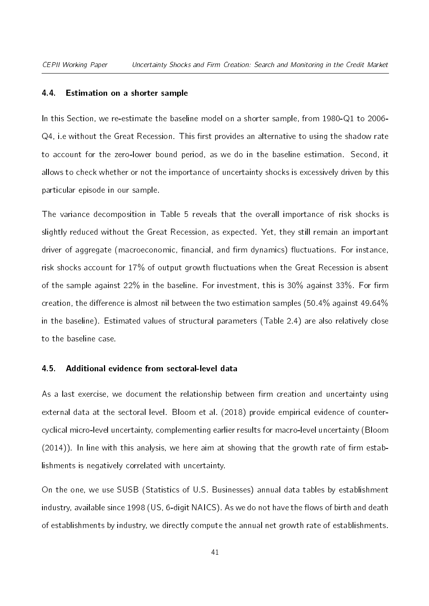#### 4.4. Estimation on a shorter sample

In this Section, we re-estimate the baseline model on a shorter sample, from 1980-Q1 to 2006-  $Q4$ , i.e without the Great Recession. This first provides an alternative to using the shadow rate to account for the zero-lower bound period, as we do in the baseline estimation. Second, it allows to check whether or not the importance of uncertainty shocks is excessively driven by this particular episode in our sample.

The variance decomposition in Table [5](#page-39-0) reveals that the overall importance of risk shocks is slightly reduced without the Great Recession, as expected. Yet, they still remain an important driver of aggregate (macroeconomic, financial, and firm dynamics) fluctuations. For instance, risk shocks account for  $17\%$  of output growth fluctuations when the Great Recession is absent of the sample against  $22\%$  in the baseline. For investment, this is  $30\%$  against  $33\%$ . For firm creation, the difference is almost nil between the two estimation samples (50.4% against 49.64% in the baseline). Estimated values of structural parameters (Table [2.4\)](#page-56-0) are also relatively close to the baseline case.

### 4.5. Additional evidence from sectoral-level data

As a last exercise, we document the relationship between firm creation and uncertainty using external data at the sectoral level. [Bloom et al.](#page-44-1) [\(2018\)](#page-44-1) provide empirical evidence of countercyclical micro-level uncertainty, complementing earlier results for macro-level uncertainty [\(Bloom](#page-44-2)  $(2014)$ ). In line with this analysis, we here aim at showing that the growth rate of firm establishments is negatively correlated with uncertainty.

On the one, we use SUSB (Statistics of U.S. Businesses) annual data tables by establishment industry, available since 1998 (US, 6-digit NAICS). As we do not have the flows of birth and death of establishments by industry, we directly compute the annual net growth rate of establishments.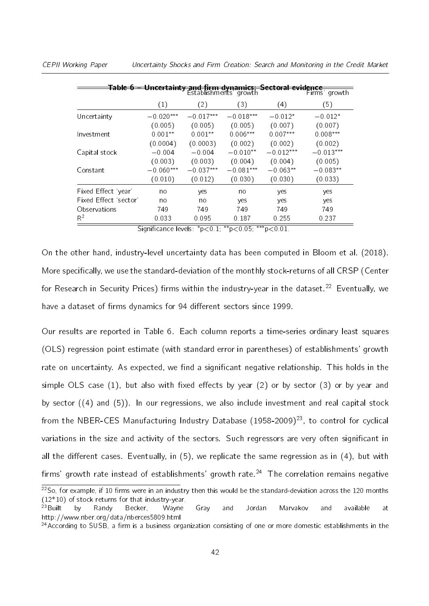<span id="page-41-0"></span>

|                       |             |                   |             |             | <b>Table 6 – Uncertainty and firm dynamics: Sectoral evidence</b><br>Establishments' growth the Hirms' growth |
|-----------------------|-------------|-------------------|-------------|-------------|---------------------------------------------------------------------------------------------------------------|
|                       | (1)         | $\left( 2\right)$ | (3)         | (4)         | $\left(5\right)$                                                                                              |
| Uncertainty           | $-0.020***$ | $-0.017***$       | $-0.018***$ | $-0.012*$   | $-0.012*$                                                                                                     |
|                       | (0.005)     | (0.005)           | (0.005)     | (0.007)     | (0.007)                                                                                                       |
| Investment            | $0.001**$   | $0.001**$         | $0.006***$  | $0.007***$  | $0.008***$                                                                                                    |
|                       | (0.0004)    | (0.0003)          | (0.002)     | (0.002)     | (0.002)                                                                                                       |
| Capital stock         | $-0.004$    | $-0.004$          | $-0.010**$  | $-0.012***$ | $-0.013***$                                                                                                   |
|                       | (0.003)     | (0.003)           | (0.004)     | (0.004)     | (0.005)                                                                                                       |
| Constant              | $-0.060***$ | $-0.037***$       | $-0.081***$ | $-0.063**$  | $-0.083**$                                                                                                    |
|                       | (0.010)     | (0.012)           | (0.030)     | (0.030)     | (0.033)                                                                                                       |
| Fixed Effect 'year'   | no          | yes               | no          | yes         | yes                                                                                                           |
| Fixed Effect 'sector' | no          | no                | yes         | yes         | yes                                                                                                           |
| Observations          | 749         | 749               | 749         | 749         | 749                                                                                                           |
| $R^2$                 | 0.033       | 0.095             | 0.187       | 0.255       | 0.237                                                                                                         |

 $S$ ignificance levels:  $p < 0.1$ ;  $p < 0.05$ ;  $p > 0.01$ .

On the other hand, industry-level uncertainty data has been computed in [Bloom et al.](#page-44-1) [\(2018\)](#page-44-1). More specifically, we use the standard-deviation of the monthly stock-returns of all CRSP (Center for Research in Security Prices) firms within the industry-year in the dataset.<sup>[22](#page-2-0)</sup> Eventually, we have a dataset of firms dynamics for 94 different sectors since 1999.

Our results are reported in Table [6.](#page-41-0) Each column reports a time-series ordinary least squares (OLS) regression point estimate (with standard error in parentheses) of establishments' growth rate on uncertainty. As expected, we find a significant negative relationship. This holds in the simple OLS case  $(1)$ , but also with fixed effects by year  $(2)$  or by sector  $(3)$  or by year and by sector ((4) and (5)). In our regressions, we also include investment and real capital stock from the NBER-CES Manufacturing Industry Database  $(1958-2009)^{23}$  $(1958-2009)^{23}$  $(1958-2009)^{23}$ , to control for cyclical variations in the size and activity of the sectors. Such regressors are very often significant in all the different cases. Eventually, in  $(5)$ , we replicate the same regression as in  $(4)$ , but with firms' growth rate instead of establishments' growth rate.<sup>[24](#page-2-0)</sup> The correlation remains negative

 $22$ So, for example, if 10 firms were in an industry then this would be the standard-deviation across the 120 months  $(12*10)$  of stock returns for that industry-year.<br><sup>23</sup> Built by Randy Becker. Wayne

<sup>&</sup>lt;sup>23</sup>Built by Randy Becker, Wayne Gray and Jordan Marvakov and available at http://www.nber.org/data/nberces5809.html

 $24$ According to SUSB, a firm is a business organization consisting of one or more domestic establishments in the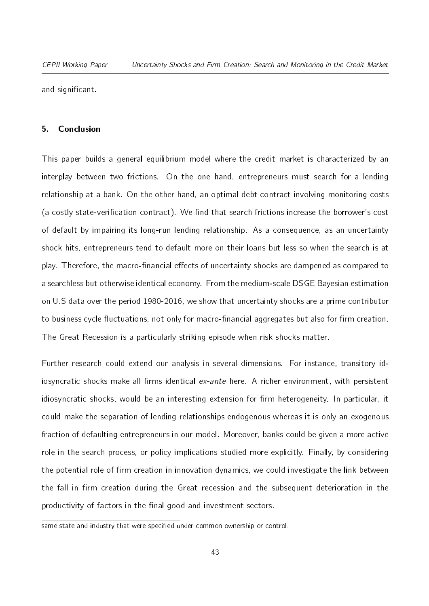and significant.

#### 5. Conclusion

This paper builds a general equilibrium model where the credit market is characterized by an interplay between two frictions. On the one hand, entrepreneurs must search for a lending relationship at a bank. On the other hand, an optimal debt contract involving monitoring costs (a costly state-verification contract). We find that search frictions increase the borrower's cost of default by impairing its long-run lending relationship. As a consequence, as an uncertainty shock hits, entrepreneurs tend to default more on their loans but less so when the search is at play. Therefore, the macro-financial effects of uncertainty shocks are dampened as compared to a searchless but otherwise identical economy. From the medium-scale DSGE Bayesian estimation on U.S data over the period 1980-2016, we show that uncertainty shocks are a prime contributor to business cycle fluctuations, not only for macro-financial aggregates but also for firm creation. The Great Recession is a particularly striking episode when risk shocks matter.

Further research could extend our analysis in several dimensions. For instance, transitory idiosyncratic shocks make all firms identical ex-ante here. A richer environment, with persistent idiosyncratic shocks, would be an interesting extension for firm heterogeneity. In particular, it could make the separation of lending relationships endogenous whereas it is only an exogenous fraction of defaulting entrepreneurs in our model. Moreover, banks could be given a more active role in the search process, or policy implications studied more explicitly. Finally, by considering the potential role of firm creation in innovation dynamics, we could investigate the link between the fall in firm creation during the Great recession and the subsequent deterioration in the productivity of factors in the final good and investment sectors.

same state and industry that were specified under common ownership or control.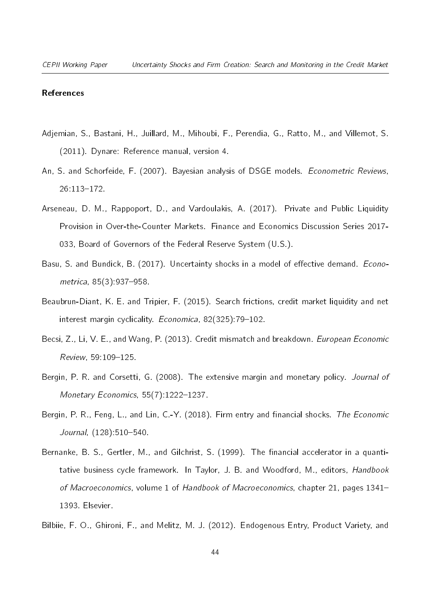#### References

- Adjemian, S., Bastani, H., Juillard, M., Mihoubi, F., Perendia, G., Ratto, M., and Villemot, S. (2011). Dynare: Reference manual, version 4.
- An, S. and Schorfeide, F. (2007). Bayesian analysis of DSGE models. Econometric Reviews, 26.113-172
- Arseneau, D. M., Rappoport, D., and Vardoulakis, A. (2017). Private and Public Liquidity Provision in Over-the-Counter Markets. Finance and Economics Discussion Series 2017- 033, Board of Governors of the Federal Reserve System (U.S.).
- Basu, S. and Bundick, B. (2017). Uncertainty shocks in a model of effective demand. Econometrica, 85(3):937-958.
- Beaubrun-Diant, K. E. and Tripier, F. (2015). Search frictions, credit market liquidity and net interest margin cyclicality. Economica, 82(325):79-102.
- Becsi, Z., Li, V. E., and Wang, P. (2013). Credit mismatch and breakdown. *European Economic* Review, 59:109-125.
- Bergin, P. R. and Corsetti, G. (2008). The extensive margin and monetary policy. Journal of Monetary Economics, 55(7): 1222-1237.
- Bergin, P. R., Feng, L., and Lin, C.-Y. (2018). Firm entry and financial shocks. The Economic Journal, (128): 510-540.
- Bernanke, B. S., Gertler, M., and Gilchrist, S. (1999). The financial accelerator in a quantitative business cycle framework. In Taylor, J. B. and Woodford, M., editors, Handbook of Macroeconomics, volume 1 of Handbook of Macroeconomics, chapter 21, pages 1341-1393. Elsevier.

Bilbiie, F. O., Ghironi, F., and Melitz, M. J. (2012). Endogenous Entry, Product Variety, and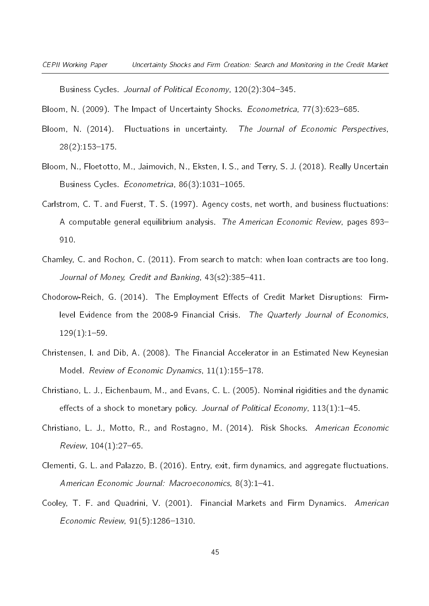Business Cycles. Journal of Political Economy, 120(2):304-345.

<span id="page-44-2"></span>Bloom, N. (2009). The Impact of Uncertainty Shocks. Econometrica, 77(3):623–685.

- Bloom, N. (2014). Fluctuations in uncertainty. The Journal of Economic Perspectives, 28(2):153-175.
- <span id="page-44-1"></span>Bloom, N., Floetotto, M., Jaimovich, N., Eksten, I. S., and Terry, S. J. (2018). Really Uncertain Business Cycles. Econometrica,  $86(3)$ : 1031-1065.
- Carlstrom, C. T. and Fuerst, T. S. (1997). Agency costs, net worth, and business fluctuations: A computable general equilibrium analysis. The American Economic Review, pages 893-910.
- Chamley, C. and Rochon, C. (2011). From search to match: when loan contracts are too long. Journal of Money, Credit and Banking, 43(s2):385-411.
- Chodorow-Reich, G. (2014). The Employment Effects of Credit Market Disruptions: Firmlevel Evidence from the 2008-9 Financial Crisis. The Quarterly Journal of Economics,  $129(1):1-59$ .
- <span id="page-44-0"></span>Christensen, I. and Dib, A. (2008). The Financial Accelerator in an Estimated New Keynesian Model. Review of Economic Dynamics,  $11(1)$ :155-178.
- Christiano, L. J., Eichenbaum, M., and Evans, C. L. (2005). Nominal rigidities and the dynamic effects of a shock to monetary policy. Journal of Political Economy,  $113(1)$ : 1-45.
- Christiano, L. J., Motto, R., and Rostagno, M. (2014). Risk Shocks. American Economic  $Review, 104(1):27-65.$
- Clementi, G. L. and Palazzo, B. (2016). Entry, exit, firm dynamics, and aggregate fluctuations. American Economic Journal: Macroeconomics, 8(3):1-41.
- Cooley, T. F. and Quadrini, V. (2001). Financial Markets and Firm Dynamics. American Economic Review, 91(5):1286-1310.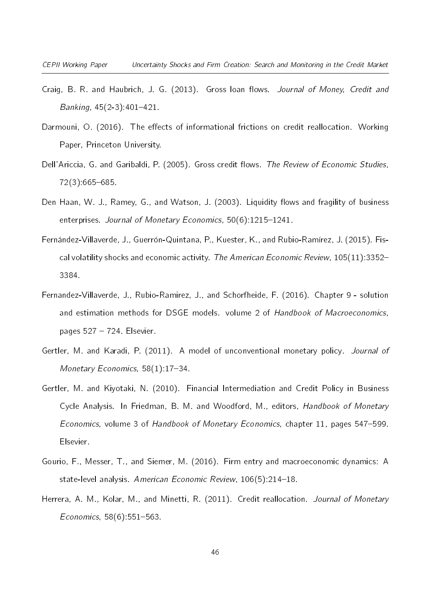- Craig, B. R. and Haubrich, J. G. (2013). Gross loan flows. Journal of Money, Credit and  $Banking, 45(2-3).401-421.$
- Darmouni, O. (2016). The effects of informational frictions on credit reallocation. Working Paper, Princeton University.
- Dell'Ariccia, G. and Garibaldi, P. (2005). Gross credit flows. The Review of Economic Studies,  $72(3)$ : 665-685.
- Den Haan, W. J., Ramey, G., and Watson, J. (2003). Liquidity flows and fragility of business enterprises. Journal of Monetary Economics, 50(6):1215-1241.
- Fernández-Villaverde, J., Guerrón-Quintana, P., Kuester, K., and Rubio-Ramírez, J. (2015). Fiscal volatility shocks and economic activity. The American Economic Review, 105(11):3352-3384.
- Fernandez-Villaverde, J., Rubio-Ramirez, J., and Schorfheide, F. (2016). Chapter 9 solution and estimation methods for DSGE models. volume 2 of Handbook of Macroeconomics, pages  $527 - 724$ . Elsevier.
- <span id="page-45-1"></span>Gertler, M. and Karadi, P. (2011). A model of unconventional monetary policy. Journal of Monetary Economics, 58(1):17-34.
- <span id="page-45-0"></span>Gertler, M. and Kiyotaki, N. (2010). Financial Intermediation and Credit Policy in Business Cycle Analysis. In Friedman, B. M. and Woodford, M., editors, Handbook of Monetary Economics, volume 3 of Handbook of Monetary Economics, chapter 11, pages 547-599. Elsevier.
- Gourio, F., Messer, T., and Siemer, M. (2016). Firm entry and macroeconomic dynamics: A state-level analysis. American Economic Review, 106(5):214-18.
- Herrera, A. M., Kolar, M., and Minetti, R. (2011). Credit reallocation. Journal of Monetary  $Economics, 58(6), 551-563.$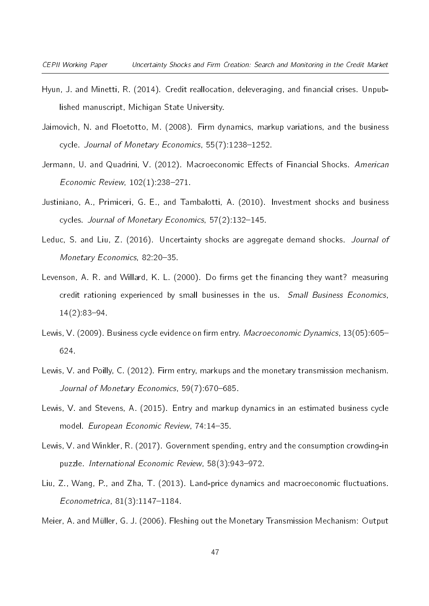- Hyun, J. and Minetti, R. (2014). Credit reallocation, deleveraging, and financial crises. Unpublished manuscript, Michigan State University.
- Jaimovich, N. and Floetotto, M. (2008). Firm dynamics, markup variations, and the business cycle. Journal of Monetary Economics,  $55(7)$ : 1238-1252.
- <span id="page-46-2"></span>Jermann, U. and Quadrini, V. (2012). Macroeconomic Effects of Financial Shocks. American Economic Review, 102(1):238-271.
- <span id="page-46-0"></span>Justiniano, A., Primiceri, G. E., and Tambalotti, A. (2010). Investment shocks and business cycles. Journal of Monetary Economics,  $57(2)$ : 132-145.
- Leduc, S. and Liu, Z. (2016). Uncertainty shocks are aggregate demand shocks. Journal of Monetary Economics, 82:20-35.
- Levenson, A. R. and Willard, K. L. (2000). Do firms get the financing they want? measuring credit rationing experienced by small businesses in the us. Small Business Economics,  $14(2):83-94.$
- Lewis, V. (2009). Business cycle evidence on firm entry. Macroeconomic Dynamics, 13(05):605-624.
- Lewis, V. and Poilly, C. (2012). Firm entry, markups and the monetary transmission mechanism. Journal of Monetary Economics, 59(7):670-685.
- Lewis, V. and Stevens, A. (2015). Entry and markup dynamics in an estimated business cycle model. European Economic Review, 74:14-35.
- Lewis, V. and Winkler, R. (2017). Government spending, entry and the consumption crowding-in puzzle. International Economic Review, 58(3):943-972.
- Liu, Z., Wang, P., and Zha, T. (2013). Land-price dynamics and macroeconomic fluctuations. Econometrica, 81(3):1147-1184.
- <span id="page-46-1"></span>Meier, A. and Müller, G. J. (2006). Fleshing out the Monetary Transmission Mechanism: Output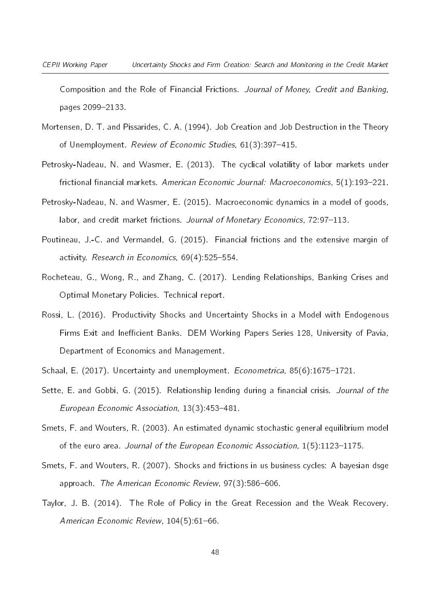Composition and the Role of Financial Frictions. Journal of Money, Credit and Banking, pages 2099-2133.

- Mortensen, D. T. and Pissarides, C. A. (1994). Job Creation and Job Destruction in the Theory of Unemployment. Review of Economic Studies, 61(3):397-415.
- Petrosky-Nadeau, N. and Wasmer, E. (2013). The cyclical volatility of labor markets under frictional financial markets. American Economic Journal: Macroeconomics, 5(1):193-221.
- Petrosky-Nadeau, N. and Wasmer, E. (2015). Macroeconomic dynamics in a model of goods, labor, and credit market frictions. Journal of Monetary Economics, 72:97-113.
- Poutineau, J.-C. and Vermandel, G. (2015). Financial frictions and the extensive margin of activity. Research in Economics, 69(4):525-554.
- Rocheteau, G., Wong, R., and Zhang, C. (2017). Lending Relationships, Banking Crises and Optimal Monetary Policies. Technical report.
- Rossi, L. (2016). Productivity Shocks and Uncertainty Shocks in a Model with Endogenous Firms Exit and Inefficient Banks. DEM Working Papers Series 128, University of Pavia, Department of Economics and Management.
- Schaal, E. (2017). Uncertainty and unemployment. Econometrica, 85(6):1675-1721.
- Sette, E. and Gobbi, G. (2015). Relationship lending during a financial crisis. Journal of the European Economic Association, 13(3):453-481.
- Smets, F. and Wouters, R. (2003). An estimated dynamic stochastic general equilibrium model of the euro area. Journal of the European Economic Association, 1(5):1123-1175.
- Smets, F. and Wouters, R. (2007). Shocks and frictions in us business cycles: A bayesian dsge approach. The American Economic Review, 97(3):586-606.
- Taylor, J. B. (2014). The Role of Policy in the Great Recession and the Weak Recovery. American Economic Review, 104(5): 61-66.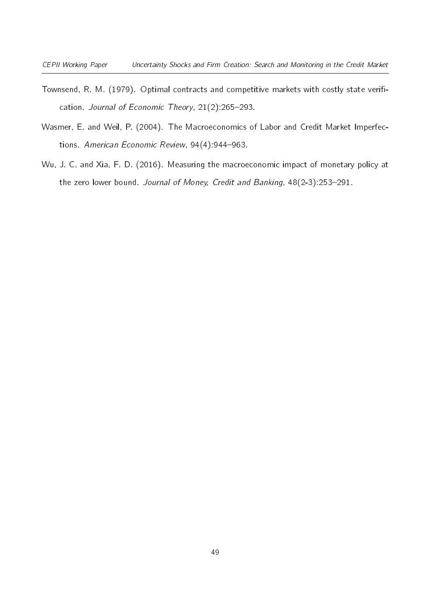- Townsend, R. M. (1979). Optimal contracts and competitive markets with costly state verification. Journal of Economic Theory,  $21(2)$ :265-293.
- Wasmer, E. and Weil, P. (2004). The Macroeconomics of Labor and Credit Market Imperfections. American Economic Review, 94(4):944-963.
- Wu, J. C. and Xia, F. D. (2016). Measuring the macroeconomic impact of monetary policy at the zero lower bound. Journal of Money, Credit and Banking, 48(2-3):253-291.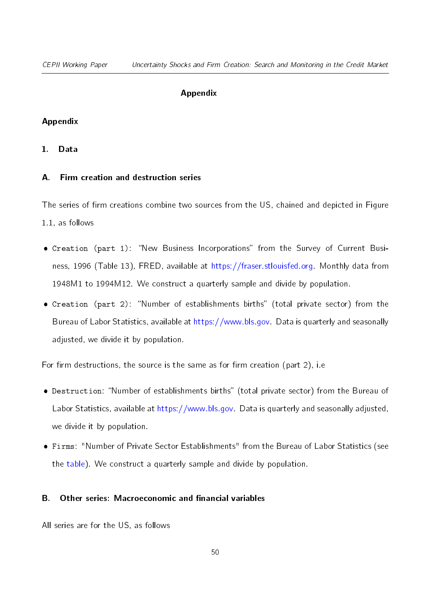### Appendix

### Appendix

### 1. Data

### A. Firm creation and destruction series

The series of firm creations combine two sources from the US, chained and depicted in Figure [1.1,](#page-50-0) as follows

- Creation (part 1): "New Business Incorporations" from the Survey of Current Business, 1996 (Table 13), FRED, available at [https://fraser.stlouisfed.org.](https://fraser.stlouisfed.org/scribd/?item_id=9911&filepath=/files/docs/publications/SCB/1990-99/SCB_011996.pdf&start_page=1#scribd-open) Monthly data from 1948M1 to 1994M12. We construct a quarterly sample and divide by population.
- Creation (part 2): "Number of establishments births" (total private sector) from the Bureau of Labor Statistics, available at [https://www.bls.gov.](https://www.bls.gov/web/cewbd/table9_1.txt) Data is quarterly and seasonally adjusted, we divide it by population.

For firm destructions, the source is the same as for firm creation (part 2), i.e

- Destruction: "Number of establishments births" (total private sector) from the Bureau of Labor Statistics, available at [https://www.bls.gov.](https://www.bls.gov/web/cewbd/table9_1.txt) Data is quarterly and seasonally adjusted, we divide it by population.
- Firms: "Number of Private Sector Establishments" from the Bureau of Labor Statistics (see the [table\)](https://www.bls.gov/bdm/us_age_naics_00_table5.txt). We construct a quarterly sample and divide by population.

# B. Other series: Macroeconomic and financial variables

All series are for the US, as follows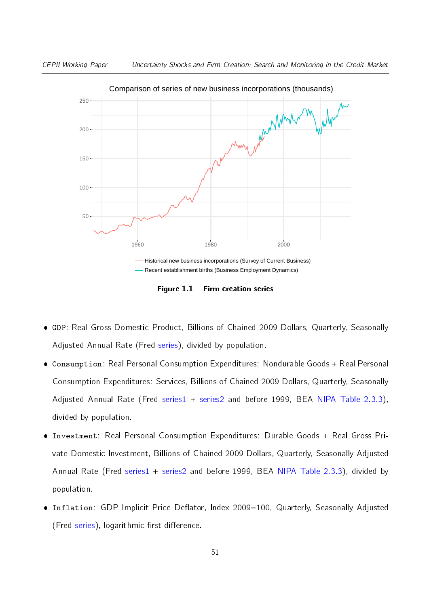<span id="page-50-0"></span>

Figure  $1.1$  – Firm creation series

- GDP: Real Gross Domestic Product, Billions of Chained 2009 Dollars, Quarterly, Seasonally Adjusted Annual Rate (Fred [series\)](http://research.stlouisfed.org/fred2/series/GDPC1), divided by population.
- Consumption: Real Personal Consumption Expenditures: Nondurable Goods + Real Personal Consumption Expenditures: Services, Billions of Chained 2009 Dollars, Quarterly, Seasonally Adjusted Annual Rate (Fred [series1](http://research.stlouisfed.org/fred2/series/PCNDGC96) + [series2](http://research.stlouisfed.org/fred2/series/PCESVC96) and before 1999, BEA [NIPA Table 2.3.3\)](http://www.bea.gov/iTable/iTable.cfm?ReqID=9&step=1#reqid=9&step=1&isuri=1), divided by population.
- Investment: Real Personal Consumption Expenditures: Durable Goods + Real Gross Private Domestic Investment, Billions of Chained 2009 Dollars, Quarterly, Seasonally Adjusted Annual Rate (Fred [series1](http://research.stlouisfed.org/fred2/series/PCDGCC96) + [series2](http://research.stlouisfed.org/fred2/series/GPDIC1) and before 1999, BEA [NIPA Table 2.3.3\)](http://www.bea.gov/iTable/iTable.cfm?ReqID=9&step=1#reqid=9&step=1&isuri=1), divided by population.
- Inflation: GDP Implicit Price Deflator, Index 2009=100, Quarterly, Seasonally Adjusted (Fred [series\)](http://research.stlouisfed.org/fred2/series/GDPDEF), logarithmic first difference.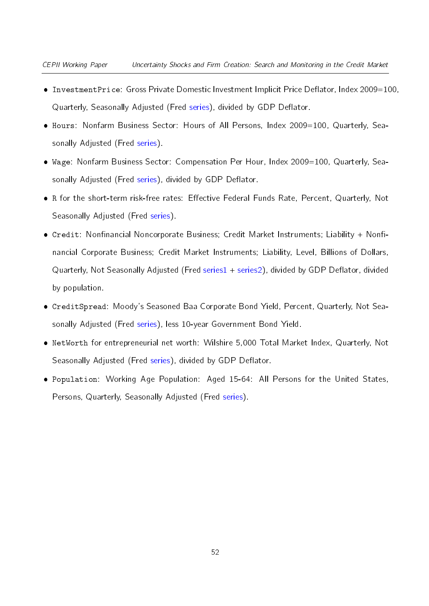- $\bullet$  InvestmentPrice: Gross Private Domestic Investment Implicit Price Deflator, Index 2009=100, Quarterly, Seasonally Adjusted (Fred [series\)](http://research.stlouisfed.org/fred2/series/A006RD3Q086SBEA), divided by GDP Deflator.
- Hours: Nonfarm Business Sector: Hours of All Persons, Index 2009=100, Quarterly, Seasonally Adjusted (Fred [series\)](http://research.stlouisfed.org/fred2/series/HOANBS).
- Wage: Nonfarm Business Sector: Compensation Per Hour, Index 2009=100, Quarterly, Seasonally Adjusted (Fred [series\)](http://research.stlouisfed.org/fred2/series/COMPNFB), divided by GDP Deflator.
- R for the short-term risk-free rates: Effective Federal Funds Rate, Percent, Quarterly, Not Seasonally Adjusted (Fred [series\)](http://research.stlouisfed.org/fred2/series/DFF).
- Credit: Nonfinancial Noncorporate Business; Credit Market Instruments; Liability + Nonfinancial Corporate Business; Credit Market Instruments; Liability, Level, Billions of Dollars, Quarterly, Not Seasonally Adjusted (Fred [series1](http://research.stlouisfed.org/fred2/series/NNBTCMDODNS)  $+$  [series2\)](http://research.stlouisfed.org/fred2/series/TCMILBSNNCB), divided by GDP Deflator, divided by population.
- CreditSpread: Moody's Seasoned Baa Corporate Bond Yield, Percent, Quarterly, Not Seasonally Adjusted (Fred [series\)](http://research.stlouisfed.org/fred2/series/BAA), less 10-year Government Bond Yield.
- NetWorth for entrepreneurial net worth: Wilshire 5,000 Total Market Index, Quarterly, Not Seasonally Adjusted (Fred [series\)](http://research.stlouisfed.org/fred2/series/WILL5000IND), divided by GDP Deflator.
- Population: Working Age Population: Aged 15-64: All Persons for the United States, Persons, Quarterly, Seasonally Adjusted (Fred [series\)](http://research.stlouisfed.org/fred2/series/LFWA64TTUSQ647S).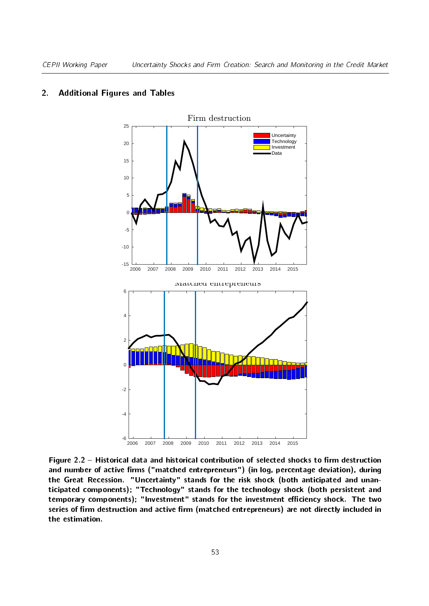

### 2. Additional Figures and Tables

Figure 2.2 - Historical data and historical contribution of selected shocks to firm destruction and number of active firms ("matched entrepreneurs") (in log, percentage deviation), during the Great Recession. "Uncertainty" stands for the risk shock (both anticipated and unanticipated components); "Technology" stands for the technology shock (both persistent and temporary components); "Investment" stands for the investment efficiency shock. The two series of firm destruction and active firm (matched entrepreneurs) are not directly included in the estimation.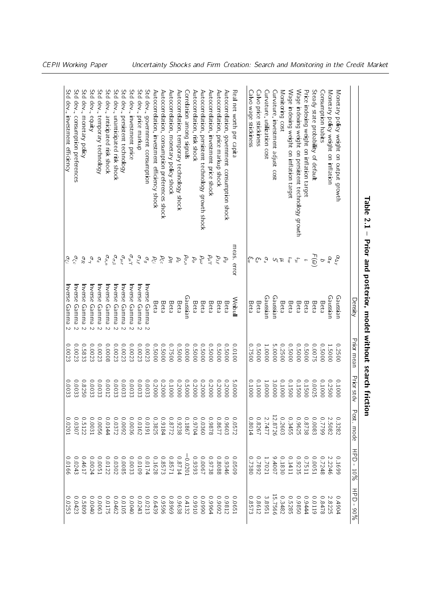|                                                      |                                | Table 2.1 – Prior and posterior, model without search fric |               |            | tion                                                                   |                                                                                            |                                                           |
|------------------------------------------------------|--------------------------------|------------------------------------------------------------|---------------|------------|------------------------------------------------------------------------|--------------------------------------------------------------------------------------------|-----------------------------------------------------------|
|                                                      |                                | Density                                                    | Prior mean    | Prior stdv | Post mode                                                              | 舌口<br>$\mathbf{I}$<br>10%                                                                  | $\overline{d}$<br>$\overline{1}$<br>%06                   |
| Monetary policy weight on output growth              | ŒΔy                            | Gaussian                                                   | 02500         | 0.1000     |                                                                        | 0 1699                                                                                     | 0.4904                                                    |
| Monetary policy weight on inflation                  | $\alpha_\pi$                   | Gaussian                                                   | 1.5000        | 00520      | 0.3282<br>2.5082                                                       | 2 2246                                                                                     | 28225                                                     |
| Consumption habits                                   | $\sigma$                       | Beta                                                       | 00090         | 0.1000     |                                                                        |                                                                                            | 84780                                                     |
| Steady state probability of default                  | $F(\bar{\omega})$              | Beta                                                       | G20000        | 0.0025     | 0 7799                                                                 | 0 7248                                                                                     | 0.0119                                                    |
| Price indexing weight on inflation target            | $\overline{r}$                 | Beta                                                       | 00090         | 00510      | 0 8738                                                                 | 11920                                                                                      |                                                           |
| Wage indexing weight on persistent technology growth | $t_{\mu}$                      | Beta                                                       | 00090         | 00510      |                                                                        | 0 9235                                                                                     |                                                           |
| Wage indexing weight on inflation target             | $\epsilon_{\nu\alpha}$         | Beta                                                       | 00090         | 00510      | 0 9625<br>0 3455                                                       | 0.1411                                                                                     | $\begin{array}{c} 0.9444 \\ 0.9850 \\ 0.5285 \end{array}$ |
| Monitoring cost                                      |                                | Beta                                                       | 0.2500        | 00010      | 0.2603                                                                 | 0.1830                                                                                     | 03482                                                     |
| Curvature,<br>investment adjust cost                 | $\check{\omega}$ $\mathcal{L}$ | Gaussian                                                   | <b>5.000C</b> | 30000      | 128726                                                                 | 200006                                                                                     | <b>157566</b>                                             |
| Curvature, utilization cost                          | $\sigma_{\theta}$              | Gaussian                                                   | 1.0000        | 1.0000     | 27477                                                                  | 12021                                                                                      | 38951                                                     |
| Calvo price stickiness                               |                                | Beta                                                       | 0.500C        | 0.1000     | 0 8267                                                                 | 78970                                                                                      | 0.8612                                                    |
| Calvo wage stickiness                                | ىق بىخ                         | Beta                                                       | 00920         | 0.1000     | 0 8014                                                                 | 08820                                                                                      | 08573                                                     |
| Real net worth per capita                            | meas. error                    | Weibul                                                     | 0.010         | 0000       |                                                                        |                                                                                            |                                                           |
| Autocorrelation, government consumption shock        | $\rho_g$                       | Beta                                                       | <b>0.500C</b> | 00020      |                                                                        | 0.0509                                                                                     | 0.0651                                                    |
| Autocorrelation, price markup shock                  | PXf                            | Beta                                                       | <b>0000</b>   | 00020      | 0.0572<br>0.8677<br>0.8678<br>0.9878                                   | 0 8088                                                                                     | 76060                                                     |
| Autocorrelation, investment price shock              | $\rho_\mu$ T                   | Beta                                                       | <b>0.500C</b> | 00020      |                                                                        | 0 9738                                                                                     | 0 9964                                                    |
| Autocorrelation, persistent technology growth shock  | $\rho_{\mu z}$                 | Beta                                                       | <b>0.500C</b> | 00020      | 0360                                                                   | 0 0067                                                                                     | 06600                                                     |
| Autocorrelation, risk shock                          | $\rho_\sigma$                  | Beta                                                       | 00090         | 00020      | 0.9704                                                                 | 0 9393                                                                                     | 01660                                                     |
| Correlation among signals                            | $\rho_{\sigma,n}$              | Gaussian                                                   | 0.0000        | 00090      |                                                                        | $-0.020$                                                                                   | 04132                                                     |
| Autocorrelation, temporary technology shock          | $\varphi_{\varepsilon}$        | Beta                                                       | 00090         | 00020      | $\begin{array}{c} 0.1867 \\ 0.9238 \\ 0.8772 \\ 0.9184 \\ \end{array}$ | $\begin{array}{l} 0.8714 \\ 0.85719 \\ 0.08578 \\ 0.0174 \\ 0.01109 \\ 0.0109 \end{array}$ | 96560<br>69680<br>88960                                   |
| Autocorrelation, monetary policy shock               | $\rho_R$                       | Beta                                                       | 00520         | 00010      |                                                                        |                                                                                            |                                                           |
| Autocorrelation, consumption preferences shock       | $\rho_\zeta c$                 | Beta                                                       | 00090         | 00020      |                                                                        |                                                                                            |                                                           |
| Autocorrelation, investment efficiency shock         | ρçi                            | Beta                                                       | 00090         | 00020      | 0.3825                                                                 |                                                                                            | 0 6439                                                    |
| Std dev., government consumption                     | $\sigma_g$                     | Inverse Gamma<br>$\sim$                                    | 0.0023        | 00033      |                                                                        |                                                                                            | 0.0213                                                    |
| <b>Std</b><br>I dev.,<br>price markup                | $\sigma_{\lambda f}$           | Inverse Gamma<br>$\sim$                                    | 0.0023        | 0.0033     | 0.0162                                                                 |                                                                                            | 0.0243                                                    |
| Std<br>dev.<br>mvestment price                       | $\sigma_\mu \gamma$            | Inverse Gamma<br>$\sim$                                    | 0.0023        | 00033      | 0.0036                                                                 | 0 0033                                                                                     | 0 0040                                                    |
| Std<br>dev.<br>persistent technology                 | $\sigma_{\mu z}$               | Inverse Gamma<br>$\sim$                                    | 0.0023        | 00033      | <b>C</b> 0092                                                          | $00085$                                                                                    | SOI00                                                     |
| Std<br>dev.<br>unanticipated risk shock              | $\sigma_{\sigma,0}$            | Inverse Gamma<br>$\sim$                                    | 0.0023        | 0.0033     | 0.0372                                                                 | 0 0302                                                                                     |                                                           |
| <b>Std</b><br>dev.,<br>anticipated risk shock        | $\sigma_{\sigma,n}$            | Inverse Gamma<br>$\sim$                                    | 80000         | 0.0012     | 0 0 144                                                                | 00122                                                                                      |                                                           |
| Std<br>dev., temporary technology                    | $\sigma_{\varepsilon}$         | Inverse Gamma<br>$\sim$                                    | 0.0023        | 0.0033     | 0.0056                                                                 | 15000                                                                                      | 00462<br>00175<br>00063                                   |
| Std<br>I dev.<br>Annbe                               | $\sigma_{\gamma}$              | Inverse Gamma<br>$\sim$                                    | 0.0023        | 0033       | 0 0031                                                                 | 0.0024                                                                                     | 00000                                                     |
| Std<br>dev, monetary policy                          | $\sigma_R$                     | Inverse<br>Gamma<br>$\sim$                                 | 05833         | 03280      | 0.5122                                                                 | 04617                                                                                      | 60890                                                     |
| Std<br>dev.,<br>consumption preferences              | ०८८                            | nverse<br>Gamma<br>$\sim$                                  | 0.0023        | 0.0033     | 0 0307                                                                 | 0.0243                                                                                     | 0.0423                                                    |
| Std dev, investment efficiency                       | σći                            | nverse Gamma<br>$\sim$                                     | 0.0023        | 0033       | 0 020 1                                                                | 0.0166                                                                                     | 0 0253                                                    |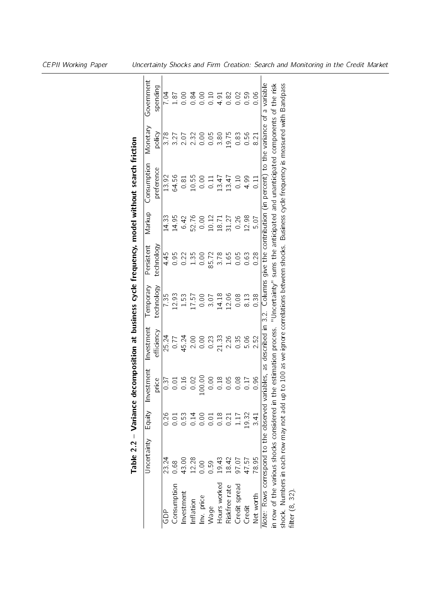|                                                                                                                                               | Table 2.2 – Variance d |            |          |                        |                   |            |                  | lecomposition at business cycle frequency, model without search friction |          |                      |
|-----------------------------------------------------------------------------------------------------------------------------------------------|------------------------|------------|----------|------------------------|-------------------|------------|------------------|--------------------------------------------------------------------------|----------|----------------------|
|                                                                                                                                               | Jncertainty            | Equity Inv | restment | nvestment              | lemporary         | Persistent | Markup           | Consumption                                                              | Monetary | Government           |
|                                                                                                                                               |                        |            | price    | efficiency             | technology        | technology |                  | preterence                                                               | policy   | spending             |
| a<br>G                                                                                                                                        | 23.24                  | 0.26       | 0.37     | 25.24                  | 735               | 4.45       | 1433             | 1392                                                                     | 378      | <b>ZO</b>            |
| Consumption                                                                                                                                   | 0.68                   | 0.01       | 0.01     | 0.77                   | 1293              | 0.95       | 14.95            | 64.56                                                                    | 3.27     |                      |
| Investment                                                                                                                                    | 43.00                  | 0.53       | 016      | 45.24                  |                   | 0.22       | 642              | 0.81                                                                     | 2.07     | $\frac{187}{000}$    |
| Inflation                                                                                                                                     | 1228                   | 0.14       | 0.02     | $0.88$<br>$0.88$       | $\frac{1}{17}$ 57 | 1.35       | 52.76            | <b>LO.55</b>                                                             | 232      | 0.84                 |
| Inv. price                                                                                                                                    | 0.00                   | 0.00       | 0000     |                        |                   | 0.00       | 0.00             | 0.00                                                                     | 0.00     |                      |
| Wage                                                                                                                                          | 0.59                   | 0.01       | 0.00     |                        | $0.00$<br>3.07    | 8572       | $1012$<br>$1871$ | 0.11                                                                     | 0.05     |                      |
| Hours worked                                                                                                                                  | 1943                   | 0.18       | 0.18     | 2133                   | 1418              | 378        |                  | 1347                                                                     | 380      |                      |
| Riskfree rate                                                                                                                                 | 1842                   | 0.21       | 0.05     | 2.26                   | 12.06             | 1.65       | 31.27            | 1347                                                                     | 1975     | $0.0400$<br>$0.0400$ |
| Credit spread                                                                                                                                 | 97.07                  | 117        | 0.08     | 0.35                   | 0.08              | 0.05       | 0.26             | 0.10                                                                     | 0.83     |                      |
| Credit                                                                                                                                        | 47.57                  | 1932       | 0.17     | 5.06                   | 813               | 0.63       | 12.98            | 4.99                                                                     | 0.56     | 0.59                 |
| Net worth                                                                                                                                     | 78.95                  | 341        | 0.96     | 252                    | 0.38              | 0.28       | 507              | $\overline{0}$                                                           | 821      | 0.06                 |
| Note: Rows correspond to the observed variables, as described in 3.2. Columns                                                                 |                        |            |          |                        |                   |            |                  | give the contribution (in percent) to the variance of a variable         |          |                      |
| n row of the various shocks considered in t                                                                                                   |                        |            |          | he estimation process. | "Uncertainty"     |            |                  | sums the anticipated and unanticipated components of the risk            |          |                      |
| shock. Numbers in each row may not add up to 100 as we ignore correlations between shocks. Business cycle frequency is measured with Bandpass |                        |            |          |                        |                   |            |                  |                                                                          |          |                      |
| filter $(8, 32)$                                                                                                                              |                        |            |          |                        |                   |            |                  |                                                                          |          |                      |
|                                                                                                                                               |                        |            |          |                        |                   |            |                  |                                                                          |          |                      |

Table 2.2 - Variance decomposition at business cycle frequency, model without search friction

CEPII Working Paper Uncertainty Shocks and Firm Creation: Search and Monitoring in the Credit Market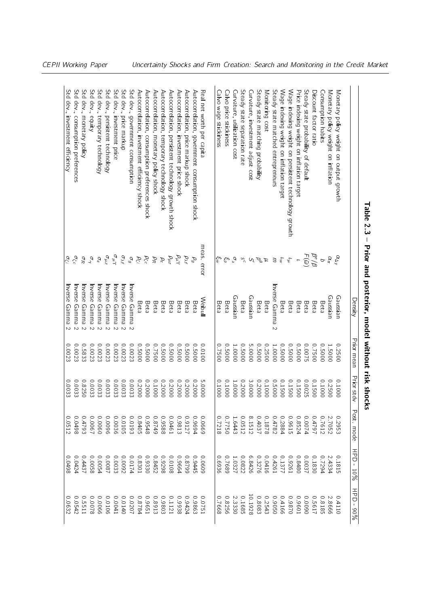|                                                      |                                                                                                                                      | Density                        | Prior mean    | Prior stdv | Post<br>mode      | 吉己<br>$\mathbf{I}$<br>10% | 공모<br>$\mathbf{I}$<br>9606 |
|------------------------------------------------------|--------------------------------------------------------------------------------------------------------------------------------------|--------------------------------|---------------|------------|-------------------|---------------------------|----------------------------|
| Monetary policy weight on output growth              | αΔy                                                                                                                                  | Gaussian                       | 0.2500        | 001000     | O<br>2953         | 0.18<br>G                 | $\circ$<br>4110            |
| Monetary policy weight on inflation                  | $\alpha_\pi$                                                                                                                         | Gaussian                       | 1.5000        | 0.2500     | 27052             | 24334                     | 28666                      |
| Consumption habits                                   | $\sigma$                                                                                                                             | Beta                           | <b>0.500C</b> | 0.1000     | 07612             | 0.7294                    | 0.8185                     |
| Discount factor ratio                                |                                                                                                                                      | Beta                           | 00920         | 0.1500     | 16140             | 0.1830                    | 2617                       |
| Steady state probability of default                  | $\begin{array}{l} \beta^e/\beta \ \digamma(\omega) \end{array}$                                                                      | Beta                           | 52000         | 0.0025     | 0.0074            | 0.0037                    | 06000                      |
| Price indexing weight on inflation target            | $\overline{\phantom{0}}$                                                                                                             | Beta                           | 00000         | 0031500    | 0.8524            | 08+80                     | 10960                      |
| Wage indexing weight on persistent technology growth |                                                                                                                                      | Beta                           | 00000         | 00510      | 9615              | 19260                     | 02860                      |
| Wage indexing weight on inflation target             | $\mathcal{L}_\mu$ is $\mathcal{L}_\mu$                                                                                               | Beta                           | 00090         | 0.1500     | 0.2884            | 0.1377                    | 0.4166                     |
| Steady state matched entrepreneurs                   |                                                                                                                                      | Inverse Gamma 2                | 10000         | 0.5000     | 04782             | 04261                     | 05060                      |
| Monitoring cost                                      | $\mathcal{L}% _{A}=\mathcal{L}_{A}\!\left( A;B\right) ,\ \mathcal{L}_{A}\!\left( A;B\right) ,\ \mathcal{L}_{A}\!\left( A;B\right) ,$ | Beta                           | 0.2500        | 00010      | 87810             | 0.0416                    | 0.2543                     |
| Steady state matching probability                    | $\mathcal{P}^{\theta}$                                                                                                               | Beta                           | 00090         | 00020      | 0 4037            | 0 3276                    | 0 8083                     |
| Curvature, investment adjust cost                    | $\sim$                                                                                                                               | Gaussian                       | <b>5.0000</b> | 30000      | 8 1512            | 6 8426                    | 10.1928                    |
| Steady state separation rate                         | s <sub>c</sub>                                                                                                                       | Beta                           | 00090         | 00020      | 0.512             | 0 0822                    | 0.1685                     |
| Curvature, utilization cost                          | $\sigma_{\sigma}$                                                                                                                    | Gaussian                       | 1.0000        | 1.0000     | 16443             | 1 0327                    | 2 3330                     |
| Calvo price stickiness                               |                                                                                                                                      | Beta                           | <b>0.500C</b> | 0.1000     | 05779             | 68920                     | 0.8256                     |
| Calvo wage stickiness                                | ىپى ئ                                                                                                                                | Beta                           | 00520         | 00000      | 0.7218            | 0.6936                    | 89920                      |
| Real net worth per capita                            | meas error                                                                                                                           | Weibul                         | 0.010         | 00005      | 69900             | 60900                     | $\circ$<br>1920            |
| Autocorrelation, government consumption shock        | $\mathcal{O}_g$                                                                                                                      | Beta                           | <b>0.500C</b> | 0.2000     | <b>t6960</b>      | 0.9445                    | C9860                      |
| Autocorrelation, price markup shock                  | PXf                                                                                                                                  | Beta                           | 00090         | 0.2000     | 12127             | 66280                     | 0 9424                     |
| Autocorrelation, investment price shock              | PµT                                                                                                                                  | Beta                           | <b>0.500C</b> | 0.2000     | 0 9813            | 0.9664                    | 82660                      |
| Autocorrelation, persistent technology growth shock  | $\rho_{\mu z}$                                                                                                                       | Beta                           | <b>0.500C</b> | 0.2000     | 0.0461            | 80100                     | 0.1121                     |
| Autocorrelation,<br>temporary technology shock       | $\varphi_{\varepsilon}$                                                                                                              | Beta                           | 00000         | 0.2000     | 88960             | 86760                     | 0.9803                     |
| Autocorrelation, monetary policy shock               | $\rho_R$                                                                                                                             | Beta                           | 00520         | 0.1000     | 64280             | 0 8452                    | 0.8913                     |
| Autocorrelation,<br>consumption preferences shock    | $\rho_{\zeta c}$                                                                                                                     | Beta                           | 00090         | 00020      | 0.9548            | 0330                      | 19960                      |
| Autocorrelation, investment efficiency shock         | ρçi                                                                                                                                  | Beta                           | 00000         | 00020      | 0.8405            | 10880                     | 18784                      |
| Std dev., government consumption                     | $\sigma_g$                                                                                                                           | <b>hverse Gamma</b><br>$\sim$  | 0.0023        | 0.0033     | 0 0193            | 0.0174                    | 0 0207                     |
| Std dev., price markup                               | $\sigma_{\lambda f}$                                                                                                                 | Inverse Gamma<br>$\sim$        | 0.0023        | 0 0033     | G010 <sup>0</sup> | <b>00022</b>              | 00140                      |
| Std<br>dev, investment price                         | σμΥ                                                                                                                                  | Inverse Gamma<br>$\sim$        | 0.0023        | 00033      | 0036              | 00033                     | 0.0041                     |
| Std<br>dev.<br>persistent technology                 | $\sigma_{\mu z}$                                                                                                                     | nverse<br>Gamma<br>$\mathbb N$ | 0.0023        | 00033      | 96000             | 18000                     | 90100                      |
| Std<br>dev.,<br>temporary technology                 | $\sigma_{\varepsilon}$                                                                                                               | nverse<br>Gamma<br>$\sim$      | 0 0023        | 00033      | 09000             | 0.0054                    | 99000                      |
| Std<br>dev.,<br>Anthe                                | σγ                                                                                                                                   | nverse<br>Gamma<br>$\sim$      | 0.0023        | 00033      | 19000             | 85000                     | 82000                      |
| Std<br>dev, monetary policy                          | σR                                                                                                                                   | nverse<br>Gamma<br>$\sim$      | 0.5833        | 03250      | 04793             | 04437                     | 0.5511                     |
| Std dev, consumption preferences                     | ०८८                                                                                                                                  | Inverse Gamma<br>$\sim$        | 0 0023        | 0.0033     | 0.0498            | 0.0424                    | 0.0542                     |
| Std dev,<br>investment ethclency                     | σći                                                                                                                                  | Inverse Gamma                  | 0 0023        | 0 0033     | <b>OS12</b>       | 86+00                     | 0632                       |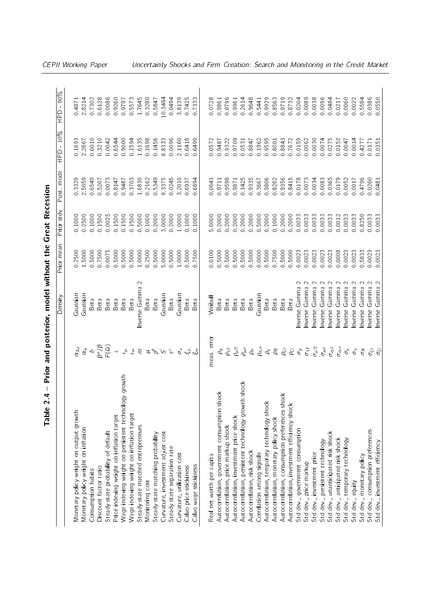<span id="page-56-0"></span>

| $\mathbf{I}$<br>24<br>Table                                         |                             | Prior and posterior, model without the Great Recession |            |            |           |                      |           |
|---------------------------------------------------------------------|-----------------------------|--------------------------------------------------------|------------|------------|-----------|----------------------|-----------|
|                                                                     |                             | Density                                                | Prior mean | Prior stdy | Post mode | $-10%$<br><b>OdH</b> | HPD - 90% |
| Monetary policy weight on output growth                             | $\alpha_{\Delta y}$         | Gaussian                                               | 02500      | 0.1000     | 03329     | 0.1693               | 0487      |
| Monetary policy weight on inflation                                 | $\alpha_\pi$                | Gaussian                                               | 15000      | 0.2500     | 2.5059    | 22667                | 28214     |
| Consumption habits                                                  | $\sigma$                    | Beta                                                   | 0.5000     | 0.1000     | 0.6549    | 0.6010               | 07302     |
| Discount factor ratio                                               | $\beta^e/\beta$ $F(\omega)$ | Beta                                                   | 07500      | 0.1500     | 05207     | 03210                | 0.6128    |
| Steady state probability of default                                 |                             | Beta                                                   | 00075      | 0.0025     | 0.0073    | 0.0042               | 0.0086    |
| Price indexing weight on inflation target                           | $\overline{a}$              | Beta                                                   | 0.5000     | 0.1500     | 08147     | 0.6544               | 0.9260    |
| gy growth<br>Wage indexing weight on persistent technolo            | $t_{\mu}$                   | Beta                                                   | 0.5000     | 0.1500     | 09487     | 0.9000               | 0.9797    |
| Wage indexing weight on inflation target                            | $\mathcal{L}_{\mathcal{W}}$ | Beta                                                   | 0.5000     | 0.1500     | 03703     | 0.1594               | 0.5573    |
| Steady state matched entrepreneurs                                  | $\tilde{z}$                 | $\sim$<br>Inverse Gamma                                | 1.0000     | 0.5000     | 1,6830    | 16135                | 17645     |
| Monitoring cost                                                     |                             | Beta                                                   | 0.2500     | 0.1000     | 02162     | 0.1698               | 03280     |
| Steady state matching probability                                   | $\sim\!\mathcal{S}$         | Beta                                                   | 0.5000     | 0.2000     | 05349     | 0.1456               | 0.5847    |
| Curvature, investment adjust cost                                   |                             | Gaussian                                               | 5.0000     | 3 0000     | 93375     | 88333                | 103484    |
| Steady state separation rate                                        | $S^{\mathsf{C}}$            | Beta                                                   | 0.5000     | 0.2000     | 00245     | 0.0096               | 0.0494    |
| Curvature, utilization cost                                         | $\sigma_a$                  | Gaussian                                               | 1.0000     | 1.0000     | 3 2010    | 21160                | 38139     |
| Calvo price stickiness                                              |                             | Beta                                                   | 0.5000     | 0.1000     | 0.6937    | 06418                | 07425     |
| Calvo wage stickiness                                               | ش ب                         | Beta                                                   | 0.7500     | 0.1000     | 0.6894    | 06499                | 07333     |
| Real net worth per capita                                           | meas error                  | Weibull                                                | 0.0100     | 5.0000     | 0.0641    | 00572                | 0.728     |
|                                                                     |                             |                                                        |            |            |           |                      |           |
| Autocorrelation, government consumption shock                       | $\rho_g$                    | Beta                                                   | 0.5000     | 0.2000     | 09711     | 09487                | 0.9861    |
| Autocorrelation, price markup shock                                 | $\rho_{\lambda f}$          | Beta                                                   | 0.5000     | 0.2000     | 0.9598    | 0.9322               | 09796     |
| Autocorrelation, investment price shock                             | $\rho_{\mu}\gamma$          | Beta                                                   | 0.5000     | 0.2000     | 0.9871    | 0.9709               | 09961     |
| Autocorrelation, persistent technology growth shock                 | $\rho_{\mu z}$              | Beta                                                   | 0.5000     | 0.2000     | 0 1425    | 00531                | 0.2614    |
| Autocorrelation, risk shock                                         | $\rho_{\sigma}$             | Beta                                                   | 0.5000     | 0.2000     | 09335     | 08847                | 09648     |
| Correlation among signals                                           | $\rho_{\sigma, n}$          | Gaussian                                               | 0.0000     | 0.5000     | 03667     | 01962                | 0.5441    |
| Autocorrelation, temporary technology shock                         | $\mathcal{O}_{\mathcal{C}}$ | Beta                                                   | 0.5000     | 0.2000     | 0.9806    | 0.9595               | 0.9929    |
| Autocorrelation, monetary policy shock                              | $\rho_{\mathcal{R}}$        | Beta                                                   | 0.7500     | 0.1000     | 08262     | 0.8001               | 0.8563    |
| $\breve{\mathrm{c}}$<br>Autocorrelation, consumption preferences sh | $\rho_{\zeta\,c}$           | Beta                                                   | 0.5000     | 0.2000     | 0.9356    | 08843                | 09719     |
| Autocorrelation, investment efficiency shock                        | $\rho_{\zeta i}$            | Beta                                                   | 0.5000     | 0.2000     | 0.8415    | 07672                | 08732     |
| Std dev, government consumption                                     | $\sigma_g$                  | $\sim$<br>nverse Gamma                                 | 0.0023     | 0.0033     | 00178     | 0.0159               | 0.0204    |
| Std dev., price markup                                              | $\sigma_{\lambda f}$        | $\sim$<br>nverse Gamma                                 | 0.0023     | 0.0033     | 0.0073    | 0.0062               | 0.0089    |
| Std dev, investment price                                           | $\sigma_\mu \gamma$         | $\sim$<br>Inverse Gamma                                | 0.0023     | 0.0033     | 0.0034    | 0.0030               | 0.0038    |
| Std dev , persistent technology                                     | $\sigma_{\mu z}$            | $\sim$<br>Inverse Gamma                                | 0.0023     | 0 0033     | 0.0083    | 0.0074               | 0.0096    |
| Std dev, unanticipated risk shock                                   | $\sigma_{\sigma,0}$         | $\sim$<br>Inverse Gamma                                | 0.0023     | 0.0033     | 00365     | 0.0275               | 0.0484    |
| Std dev, anticipated risk shock                                     | $\sigma_{\sigma,n}$         | $\sim$<br>Gamma<br>nverse                              | 0.0008     | 0.0012     | 0.0179    | 0.0152               | 0.0217    |
| Std dev, temporary technology                                       | $\varphi_{\rm c}$           | $\sim$<br>Inverse Gamma                                | 0.0023     | 0 0033     | 0.0052    | 0.0047               | 0.0060    |
| Std dev, equity                                                     | $\sigma_{\gamma}$           | $\sim$<br>nverse Gamma                                 | 0.0023     | 0.0033     | 0.0017    | 0.0014               | 0.0022    |
| Std dev, monetary policy                                            | $\sigma$ R                  | $\sim$<br>Inverse Gamma                                | 05833      | 08250      | 04796     | 0.4277               | 05584     |
| Std dev, consumption preferences                                    | $\sigma_{\zeta\,c}$         | $\sim$<br>nverse Gamma                                 | 0.0023     | 0 0033     | 0.0260    | 00171                | 00386     |
| Std dev, investment efficiency                                      | δ                           | $\sim$<br>Inverse Gamma                                | 0.0023     | 0.0033     | 00481     | 0.0351               | 0.0550    |
|                                                                     |                             |                                                        |            |            |           |                      |           |

CEPII Working Paper Uncertainty Shocks and Firm Creation: Search and Monitoring in the Credit Market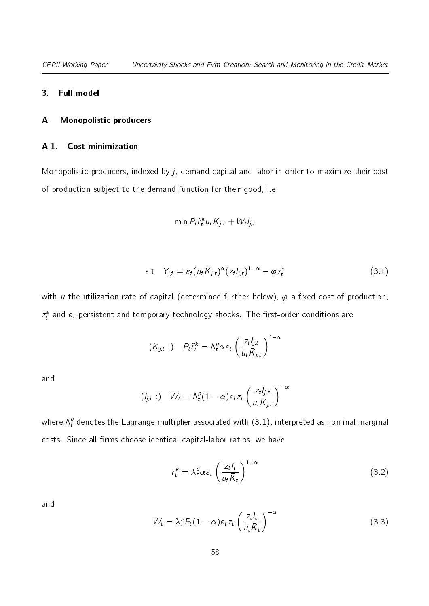# 3. Full model

### A. Monopolistic producers

# A.1. Cost minimization

Monopolistic producers, indexed by  $j$ , demand capital and labor in order to maximize their cost of production subject to the demand function for their good, i.e

$$
\min P_t \tilde{r}_t^k u_t \bar{K}_{j,t} + W_t I_{j,t}
$$

$$
\text{s.t} \quad Y_{j,t} = \varepsilon_t (u_t \bar{K}_{j,t})^{\alpha} (z_t I_{j,t})^{1-\alpha} - \varphi z_t^* \tag{3.1}
$$

<span id="page-57-0"></span>with u the utilization rate of capital (determined further below),  $\varphi$  a fixed cost of production,  $z_{t}^{\ast}$  and  $\varepsilon_{t}$  persistent and temporary technology shocks. The first-order conditions are

$$
(K_{j,t} :) \quad P_t \tilde{r}_t^k = \Lambda_t^p \alpha \varepsilon_t \left( \frac{z_t I_{j,t}}{u_t \overline{K}_{j,t}} \right)^{1-\alpha}
$$

and

$$
(l_{j,t} :) \quad W_t = \Lambda_t^p (1-\alpha) \varepsilon_t z_t \left( \frac{z_t l_{j,t}}{u_t \overline{K}_{j,t}} \right)^{-\alpha}
$$

where  $\Lambda^p_t$  denotes the Lagrange multiplier associated with [\(3.1\)](#page-57-0), interpreted as nominal marginal costs. Since all firms choose identical capital-labor ratios, we have

<span id="page-57-1"></span>
$$
\tilde{r}_t^k = \lambda_t^{\rho} \alpha \varepsilon_t \left( \frac{z_t l_t}{u_t \bar{K}_t} \right)^{1-\alpha} \tag{3.2}
$$

<span id="page-57-2"></span>and

$$
W_t = \lambda_t^p P_t (1 - \alpha) \varepsilon_t z_t \left(\frac{z_t I_t}{u_t \bar{K}_t}\right)^{-\alpha} \tag{3.3}
$$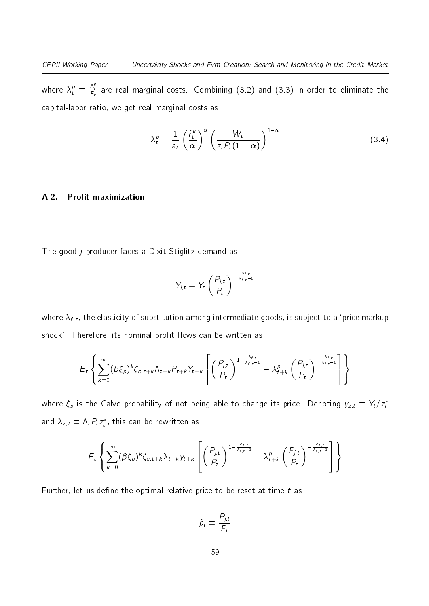where  $\lambda_t^p\equiv\frac{\Lambda_t^p}{P_t}$  are real marginal costs. Combining [\(3.2\)](#page-57-1) and [\(3.3\)](#page-57-2) in order to eliminate the capital-labor ratio, we get real marginal costs as

$$
\lambda_t^p = \frac{1}{\varepsilon_t} \left(\frac{\tilde{r}_t^k}{\alpha}\right)^{\alpha} \left(\frac{W_t}{z_t P_t (1 - \alpha)}\right)^{1 - \alpha} \tag{3.4}
$$

### A.2. Profit maximization

The good j producer faces a Dixit-Stiglitz demand as

$$
Y_{j,t} = Y_t \left(\frac{P_{j,t}}{P_t}\right)^{-\frac{\lambda_{f,t}}{\lambda_{f,t}-1}}
$$

where  $\lambda_{f,t}$ , the elasticity of substitution among intermediate goods, is subject to a 'price markup shock'. Therefore, its nominal profit flows can be written as

$$
E_t\left\{\sum_{k=0}^{\infty}(\beta\xi_p)^k\zeta_{c,t+k}\Lambda_{t+k}P_{t+k}Y_{t+k}\left[\left(\frac{P_{j,t}}{P_t}\right)^{1-\frac{\lambda_{f,t}}{\lambda_{f,t}-1}}-\lambda_{t+k}^p\left(\frac{P_{j,t}}{P_t}\right)^{-\frac{\lambda_{f,t}}{\lambda_{f,t}-1}}\right]\right\}
$$

where  $\xi_p$  is the Calvo probability of not being able to change its price. Denoting  $y_{z,t} \equiv Y_t/z_t^*$ and  $\lambda_{z,t} \equiv \Lambda_t P_t z_t^*$ , this can be rewritten as

$$
E_t\left\{\sum_{k=0}^{\infty}(\beta\xi_p)^k\zeta_{c,t+k}\lambda_{t+k}y_{t+k}\left[\left(\frac{P_{j,t}}{P_t}\right)^{1-\frac{\lambda_{f,t}}{\lambda_{f,t}-1}}-\lambda_{t+k}^p\left(\frac{P_{j,t}}{P_t}\right)^{-\frac{\lambda_{f,t}}{\lambda_{f,t}-1}}\right]\right\}
$$

Further, let us define the optimal relative price to be reset at time  $t$  as

$$
\tilde{p}_t \equiv \frac{P_{j,t}}{P_t}
$$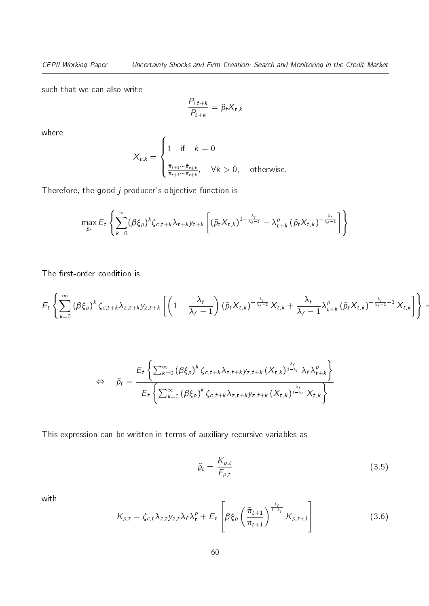such that we can also write

$$
\frac{P_{i,t+k}}{P_{t+k}} = \tilde{p}_t X_{t,k}
$$

where

$$
X_{t,k} = \begin{cases} 1 & \text{if } k = 0 \\ \frac{\tilde{\pi}_{t+1} \cdots \tilde{\pi}_{t+k}}{\pi_{t+1} \cdots \pi_{t+k}}, \quad \forall k > 0, \quad \text{otherwise.} \end{cases}
$$

Therefore, the good  $j$  producer's objective function is

$$
\max_{\tilde{\rho}_t} E_t \left\{ \sum_{k=0}^{\infty} (\beta \xi_p)^k \zeta_{c,t+k} \lambda_{t+k} y_{t+k} \left[ (\tilde{\rho}_t X_{t,k})^{1-\frac{\lambda_f}{\lambda_f-1}} - \lambda_{t+k}^p (\tilde{\rho}_t X_{t,k})^{-\frac{\lambda_f}{\lambda_f-1}} \right] \right\}
$$

The first-order condition is

$$
E_t\left\{\sum_{k=0}^{\infty}(\beta\xi_p)^k\zeta_{c,t+k}\lambda_{z,t+k}y_{z,t+k}\left[\left(1-\frac{\lambda_f}{\lambda_f-1}\right)(\tilde{\rho}_tX_{t,k})^{-\frac{\lambda_f}{\lambda_f-1}}X_{t,k}+\frac{\lambda_f}{\lambda_f-1}\lambda_{t+k}^p(\tilde{\rho}_tX_{t,k})^{-\frac{\lambda_f}{\lambda_f-1}-1}X_{t,k}\right]\right\}
$$

$$
\Leftrightarrow \quad \tilde{p}_t = \frac{E_t \left\{ \sum_{k=0}^{\infty} (\beta \xi_p)^k \zeta_{c,t+k} \lambda_{z,t+k} y_{z,t+k} (X_{t,k})^{\frac{\lambda_f}{1-\lambda_f}} \lambda_f \lambda_{t+k}^{\rho} \right\}}{E_t \left\{ \sum_{k=0}^{\infty} (\beta \xi_p)^k \zeta_{c,t+k} \lambda_{z,t+k} y_{z,t+k} (X_{t,k})^{\frac{\lambda_f}{1-\lambda_f}} X_{t,k} \right\}}
$$

This expression can be written in terms of auxiliary recursive variables as

<span id="page-59-0"></span>
$$
\tilde{p}_t = \frac{K_{p,t}}{F_{p,t}}\tag{3.5}
$$

 $=$ 

with

$$
K_{p,t} = \zeta_{c,t} \lambda_{z,t} y_{z,t} \lambda_f \lambda_t^p + E_t \left[ \beta \xi_p \left( \frac{\tilde{\pi}_{t+1}}{\pi_{t+1}} \right)^{\frac{\lambda_f}{1-\lambda_f}} K_{p,t+1} \right]
$$
(3.6)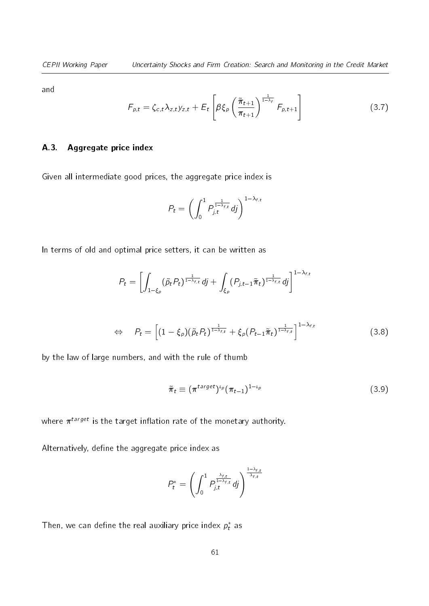and

$$
F_{p,t} = \zeta_{c,t} \lambda_{z,t} y_{z,t} + E_t \left[ \beta \xi_p \left( \frac{\tilde{\pi}_{t+1}}{\pi_{t+1}} \right)^{\frac{1}{1-\lambda_f}} F_{p,t+1} \right]
$$
(3.7)

# A.3. Aggregate price index

Given all intermediate good prices, the aggregate price index is

$$
P_t = \left(\int_0^1 P_{j,t}^{\frac{1}{1-\lambda_{f,t}}} df\right)^{1-\lambda_{f,t}}
$$

<span id="page-60-0"></span>In terms of old and optimal price setters, it can be written as

$$
P_t = \left[ \int_{1-\xi_p} (\tilde{\rho}_t P_t)^{\frac{1}{1-\lambda_{f,t}}} df + \int_{\xi_p} (P_{j,t-1} \tilde{\pi}_t)^{\frac{1}{1-\lambda_{f,t}}} df \right]^{1-\lambda_{f,t}}
$$
  
\n
$$
\Leftrightarrow \quad P_t = \left[ (1-\xi_p)(\tilde{\rho}_t P_t)^{\frac{1}{1-\lambda_{f,t}}} + \xi_p (P_{t-1} \tilde{\pi}_t)^{\frac{1}{1-\lambda_{f,t}}} \right]^{1-\lambda_{f,t}}
$$

by the law of large numbers, and with the rule of thumb

$$
\tilde{\pi}_t \equiv (\pi^{target})^{\iota_p} (\pi_{t-1})^{1-\iota_p} \tag{3.9}
$$

(3.8)

where  $\pi^{target}$  is the target inflation rate of the monetary authority.

Alternatively, define the aggregate price index as

$$
P_t^* = \left(\int_0^1 P_{j,t}^{\frac{\lambda_{f,t}}{1-\lambda_{f,t}}} df\right)^{\frac{1-\lambda_{f,t}}{\lambda_{f,t}}}
$$

Then, we can define the real auxiliary price index  $\rho_t^*$  as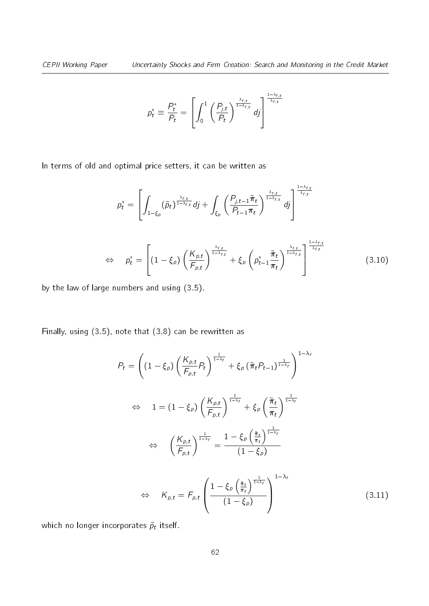$$
p_t^* \equiv \frac{P_t^*}{P_t} = \left[ \int_0^1 \left( \frac{P_{j,t}}{P_t} \right)^{\frac{\lambda_{f,t}}{1-\lambda_{f,t}}} dj \right]^{\frac{1-\lambda_{f,t}}{\lambda_{f,t}}}
$$

In terms of old and optimal price setters, it can be written as

$$
\rho_t^* = \left[ \int_{1-\xi_\rho} (\tilde{\rho}_t)^{\frac{\lambda_{f,t}}{1-\lambda_{f,t}}} df + \int_{\xi_\rho} \left( \frac{P_{j,t-1} \tilde{\pi}_t}{P_{t-1} \pi_t} \right)^{\frac{\lambda_{f,t}}{1-\lambda_{f,t}}} df \right]^{\frac{1-\lambda_{f,t}}{\lambda_{f,t}}} \right]
$$
  
\n
$$
\Leftrightarrow \quad \rho_t^* = \left[ (1-\xi_\rho) \left( \frac{K_{\rho,t}}{F_{\rho,t}} \right)^{\frac{\lambda_{f,t}}{1-\lambda_{f,t}}} + \xi_\rho \left( \rho_{t-1}^* \frac{\tilde{\pi}_t}{\pi_t} \right)^{\frac{\lambda_{f,t}}{1-\lambda_{f,t}}} \right]^{\frac{1-\lambda_{f,t}}{\lambda_{f,t}}} \tag{3.10}
$$

by the law of large numbers and using [\(3.5\)](#page-59-0).

Finally, using [\(3.5\)](#page-59-0), note that [\(3.8\)](#page-60-0) can be rewritten as

$$
P_{t} = \left( (1 - \xi_{p}) \left( \frac{K_{p,t}}{F_{p,t}} P_{t} \right)^{\frac{1}{1 - \lambda_{f}}} + \xi_{p} \left( \tilde{\pi}_{t} P_{t-1} \right)^{\frac{1}{1 - \lambda_{f}}} \right)^{1 - \lambda_{f}}
$$
  
\n
$$
\Leftrightarrow 1 = (1 - \xi_{p}) \left( \frac{K_{p,t}}{F_{p,t}} \right)^{\frac{1}{1 - \lambda_{f}}} + \xi_{p} \left( \frac{\tilde{\pi}_{t}}{\pi_{t}} \right)^{\frac{1}{1 - \lambda_{f}}}
$$
  
\n
$$
\Leftrightarrow \left( \frac{K_{p,t}}{F_{p,t}} \right)^{\frac{1}{1 - \lambda_{f}}} = \frac{1 - \xi_{p} \left( \frac{\tilde{\pi}_{t}}{\pi_{t}} \right)^{\frac{1}{1 - \lambda_{f}}}}{(1 - \xi_{p})}
$$
  
\n
$$
\Leftrightarrow K_{p,t} = F_{p,t} \left( \frac{1 - \xi_{p} \left( \frac{\tilde{\pi}_{t}}{\pi_{t}} \right)^{\frac{1}{1 - \lambda_{f}}}}{(1 - \xi_{p})} \right)^{1 - \lambda_{f}}
$$
(3.11)

which no longer incorporates  $\tilde{\rho}_t$  itself.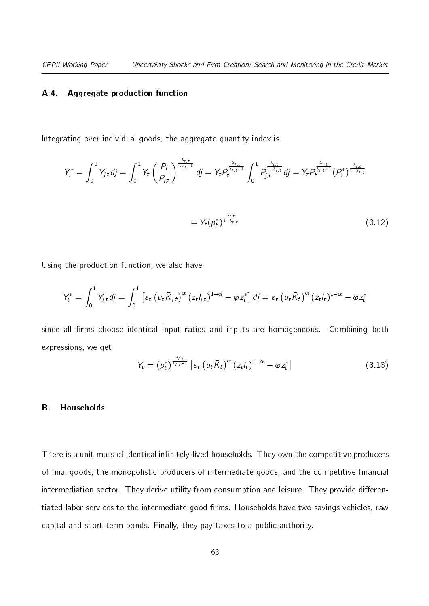### A.4. Aggregate production function

Integrating over individual goods, the aggregate quantity index is

$$
Y_{t}^{*} = \int_{0}^{1} Y_{j,t} df = \int_{0}^{1} Y_{t} \left(\frac{P_{t}}{P_{j,t}}\right)^{\frac{\lambda_{f,t}}{\lambda_{f,t}-1}} df = Y_{t} P_{t}^{\frac{\lambda_{f,t}}{\lambda_{f,t}-1}} \int_{0}^{1} P_{j,t}^{\frac{\lambda_{f,t}}{1-\lambda_{f,t}}} df = Y_{t} P_{t}^{\frac{\lambda_{f,t}}{\lambda_{f,t}-1}} (P_{t}^{*})^{\frac{\lambda_{f,t}}{1-\lambda_{f,t}}} = Y_{t} (p_{t}^{*})^{\frac{\lambda_{f,t}}{1-\lambda_{f,t}}} \tag{3.12}
$$

Using the production function, we also have

$$
Y_t^* = \int_0^1 Y_{j,t} df = \int_0^1 \left[ \varepsilon_t \left( u_t \overline{K}_{j,t} \right)^{\alpha} \left( z_t I_{j,t} \right)^{1-\alpha} - \varphi z_t^* \right] dj = \varepsilon_t \left( u_t \overline{K}_t \right)^{\alpha} \left( z_t I_t \right)^{1-\alpha} - \varphi z_t^*
$$

since all firms choose identical input ratios and inputs are homogeneous. Combining both expressions, we get

$$
Y_t = (p_t^*)^{\frac{\lambda_{f,t}}{\lambda_{f,t}-1}} \left[ \varepsilon_t \left( u_t \bar{K}_t \right)^{\alpha} \left( z_t I_t \right)^{1-\alpha} - \varphi z_t^* \right] \tag{3.13}
$$

# B. Households

There is a unit mass of identical infinitely-lived households. They own the competitive producers of final goods, the monopolistic producers of intermediate goods, and the competitive financial intermediation sector. They derive utility from consumption and leisure. They provide differentiated labor services to the intermediate good firms. Households have two savings vehicles, raw capital and short-term bonds. Finally, they pay taxes to a public authority.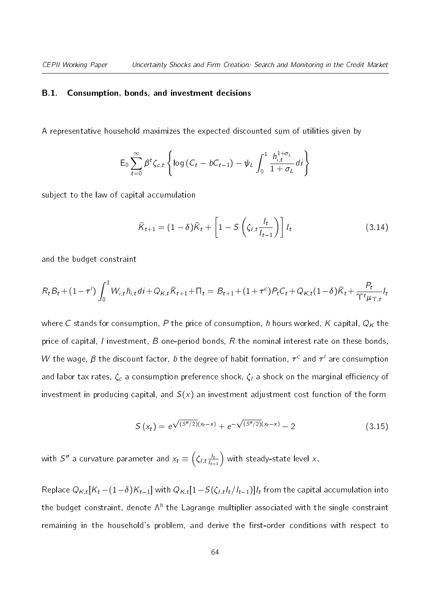# B.1. Consumption, bonds, and investment decisions

A representative household maximizes the expected discounted sum of utilities given by

$$
\mathsf{E}_0 \sum_{t=0}^{\infty} \beta^t \zeta_{c,t} \left\{ \log \left( C_t - b C_{t-1} \right) - \psi_L \int_0^1 \frac{h_{i,t}^{1+\sigma_L}}{1+\sigma_L} d i \right\}
$$

subject to the law of capital accumulation

$$
\bar{K}_{t+1} = (1-\delta)\bar{K}_t + \left[1 - S\left(\zeta_{l,t}\frac{l_t}{l_{t-1}}\right)\right]l_t
$$
\n(3.14)

and the budget constraint

$$
R_t B_t + (1 - \tau^t) \int_0^1 W_{i,t} h_{i,t} dt + Q_{K,t} \overline{K}_{t+1} + \Pi_t = B_{t+1} + (1 + \tau^c) P_t C_t + Q_{K,t} (1 - \delta) \overline{K}_t + \frac{P_t}{\gamma t \mu_{\gamma,t}} I_t
$$

where C stands for consumption, P the price of consumption, h hours worked, K capital,  $Q_K$  the price of capital, *I* investment, *B* one-period bonds, *R* the nominal interest rate on these bonds,  $W$  the wage,  $\beta$  the discount factor,  $b$  the degree of habit formation,  $\tau^c$  and  $\tau^{\prime}$  are consumption and labor tax rates,  $\zeta_c$  a consumption preference shock,  $\zeta_l$  a shock on the marginal efficiency of investment in producing capital, and  $S(x)$  an investment adjustment cost function of the form

$$
S(x_t) = e^{\sqrt{(S''/2)}(x_t - x)} + e^{-\sqrt{(S''/2)}(x_t - x)} - 2
$$
\n(3.15)

with  $S''$  a curvature parameter and  $\mathsf{x}_t \equiv \left(\zeta_{l,t} \frac{l_t}{l_t} \right)$  $1_{t-1}$ ) with steady-state level  $x$ .

Replace  $Q_{K,t}[K_t - (1-\delta)K_{t-1}]$  with  $Q_{K,t}[1-S(\zeta_{I,t}I_t/_I_{t-1})]I_t$  from the capital accumulation into the budget constraint, denote  $\Lambda^h$  the Lagrange multiplier associated with the single constraint remaining in the household's problem, and derive the first-order conditions with respect to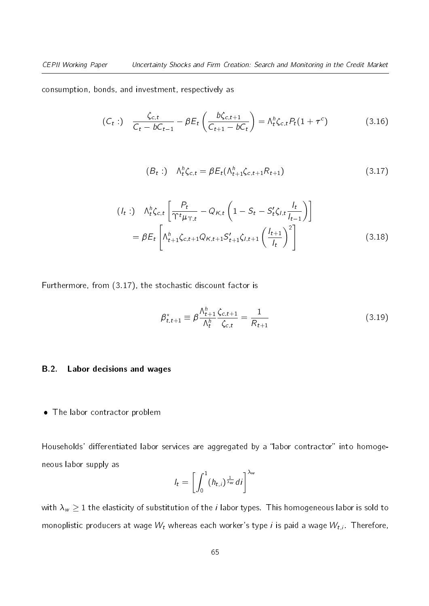<span id="page-64-0"></span>consumption, bonds, and investment, respectively as

$$
(C_t:) \quad \frac{\zeta_{c,t}}{C_t - bC_{t-1}} - \beta E_t \left( \frac{b\zeta_{c,t+1}}{C_{t+1} - bC_t} \right) = \Lambda_t^h \zeta_{c,t} P_t (1 + \tau^c)
$$
\n(3.16)

$$
(B_t: ) \quad \Lambda_t^h \zeta_{c,t} = \beta E_t (\Lambda_{t+1}^h \zeta_{c,t+1} R_{t+1}) \tag{3.17}
$$

$$
(l_{t}) \quad \Lambda_{t}^{h} \zeta_{c,t} \left[ \frac{P_{t}}{\gamma t_{\mu_{\Upsilon,t}}} - Q_{K,t} \left( 1 - S_{t} - S_{t}' \zeta_{l,t} \frac{l_{t}}{l_{t-1}} \right) \right]
$$

$$
= \beta E_{t} \left[ \Lambda_{t+1}^{h} \zeta_{c,t+1} Q_{K,t+1} S_{t+1}' \zeta_{l,t+1} \left( \frac{l_{t+1}}{l_{t}} \right)^{2} \right]
$$
(3.18)

Furthermore, from [\(3.17\)](#page-64-0), the stochastic discount factor is

$$
\beta_{t,t+1}^{\star} \equiv \beta \frac{\Lambda_{t+1}^h}{\Lambda_t^h} \frac{\zeta_{c,t+1}}{\zeta_{c,t}} = \frac{1}{R_{t+1}}
$$
(3.19)

### B.2. Labor decisions and wages

#### • The labor contractor problem

Households' differentiated labor services are aggregated by a "labor contractor" into homogeneous labor supply as

$$
I_t = \left[ \int_0^1 (h_{t,i})^{\frac{1}{\lambda_w}} di \right]^{\lambda_w}
$$

with  $\lambda_w \ge 1$  the elasticity of substitution of the *i* labor types. This homogeneous labor is sold to monoplistic producers at wage  $W_t$  whereas each worker's type *i* is paid a wage  $W_{t,i}$ . Therefore,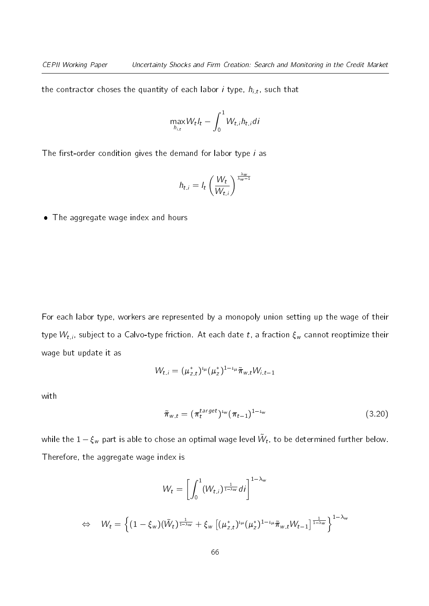the contractor choses the quantity of each labor *i* type,  $h_{i,t}$ , such that

$$
\max_{h_{i,t}} W_t l_t - \int_0^1 W_{t,i} h_{t,i} di
$$

The first-order condition gives the demand for labor type  $i$  as

$$
h_{t,i} = l_t \left(\frac{W_t}{W_{t,i}}\right)^{\frac{\lambda_W}{\lambda_W - 1}}
$$

• The aggregate wage index and hours

For each labor type, workers are represented by a monopoly union setting up the wage of their type  $W_{t,i}$ , subject to a Calvo-type friction. At each date t, a fraction  $\xi_w$  cannot reoptimize their wage but update it as

$$
W_{t,i} = (\mu_{z,t}^*)^{\iota_{\mu}} (\mu_z^*)^{1-\iota_{\mu}} \tilde{\pi}_{w,t} W_{i,t-1}
$$

<span id="page-65-0"></span>with

$$
\tilde{\pi}_{w,t} = (\pi_t^{\text{target}})^{\iota_w} (\pi_{t-1})^{1-\iota_w} \tag{3.20}
$$

while the  $1-\xi_w$  part is able to chose an optimal wage level  $\tilde{W}_t$ , to be determined further below. Therefore, the aggregate wage index is

$$
W_t = \left[\int_0^1 (W_{t,i})^{\frac{1}{1-\lambda_w}} di\right]^{1-\lambda_w}
$$
  
\n
$$
\Leftrightarrow \quad W_t = \left\{ (1-\xi_w)(\tilde{W}_t)^{\frac{1}{1-\lambda_w}} + \xi_w \left[ (\mu_{z,t}^*)^{\iota_\mu} (\mu_z^*)^{1-\iota_\mu} \tilde{\pi}_{w,t} W_{t-1} \right]^{\frac{1}{1-\lambda_w}} \right\}^{1-\lambda_w}
$$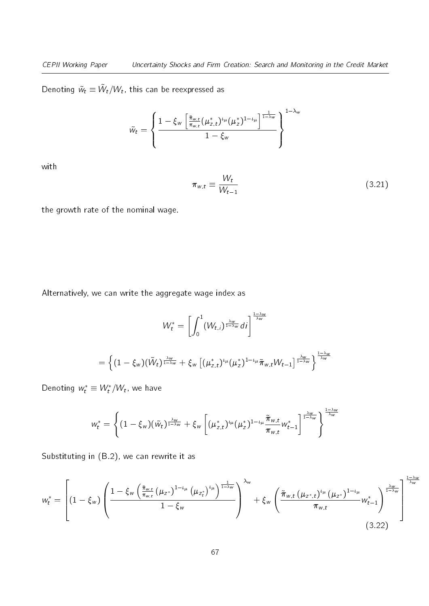Denoting  $\tilde{w}_t \equiv \tilde{W}_t / W_t$ , this can be reexpressed as

$$
\tilde{w}_t = \left\{\frac{1-\xi_w\left[\frac{\tilde{\pi}_{w,t}}{\pi_{w,t}}(\mu^*_{z,t})^{\iota_\mu}(\mu^*_z)^{1-\iota_\mu}\right]^{\frac{1}{1-\lambda_w}}}{1-\xi_w}\right\}^{1-\lambda_w}
$$

with

$$
\pi_{w,t} \equiv \frac{W_t}{W_{t-1}} \tag{3.21}
$$

the growth rate of the nominal wage.

Alternatively, we can write the aggregate wage index as

$$
W_t^* = \left[ \int_0^1 (W_{t,i})^{\frac{\lambda_W}{1-\lambda_W}} di \right]^{\frac{1-\lambda_W}{\lambda_W}}
$$
  
=  $\left\{ (1-\xi_w)(\tilde{W}_t)^{\frac{\lambda_W}{1-\lambda_W}} + \xi_w \left[ (\mu_{z,t}^*)^{\iota_\mu} (\mu_z^*)^{1-\iota_\mu} \tilde{\pi}_{w,t} W_{t-1} \right]^{\frac{\lambda_W}{1-\lambda_W}} \right\}^{\frac{1-\lambda_W}{\lambda_W}}$ 

Denoting  $w_t^* \equiv W_t^* / W_t$ , we have

$$
w_t^* = \left\{ (1-\xi_w)(\tilde{w}_t)^{\frac{\lambda_w}{1-\lambda_w}} + \xi_w \left[ (\mu_{z,t}^*)^{\iota_\mu} (\mu_z^*)^{1-\iota_\mu} \frac{\tilde{\pi}_{w,t}}{\pi_{w,t}} w_{t-1}^* \right]^{\frac{\lambda_w}{1-\lambda_w}} \right\}^{\frac{1-\lambda_w}{\lambda_w}}
$$

Substituting in [\(B.2\)](#page-65-0), we can rewrite it as

$$
w_{t}^{*} = \left[ (1 - \xi_{w}) \left( \frac{1 - \xi_{w} \left( \frac{\tilde{\pi}_{w,t}}{\pi_{w,t}} (\mu_{z^{*}})^{1 - \iota_{\mu}} (\mu_{z_{t}^{*}})^{\iota_{\mu}} \right)^{\frac{1}{1 - \lambda_{w}}}}{1 - \xi_{w}} \right)^{\lambda_{w}} + \xi_{w} \left( \frac{\tilde{\pi}_{w,t} (\mu_{z^{*},t})^{\iota_{\mu}} (\mu_{z^{*}})^{1 - \iota_{\mu}}}{\pi_{w,t}} w_{t-1}^{*} \right)^{\frac{\lambda_{w}}{1 - \lambda_{w}}} \right] \tag{3.22}
$$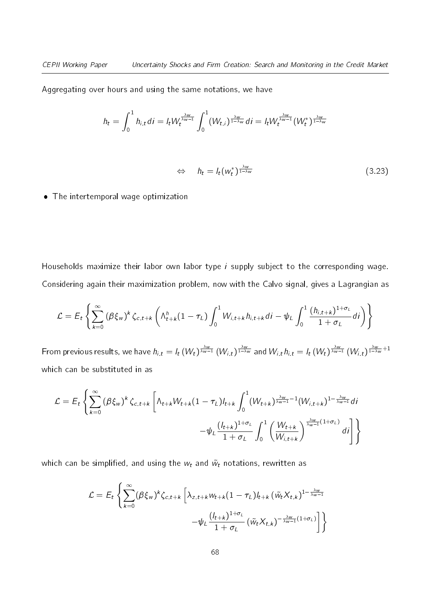Aggregating over hours and using the same notations, we have

$$
h_t = \int_0^1 h_{i,t}di = I_t W_t^{\frac{\lambda_w}{\lambda_w - 1}} \int_0^1 (W_{t,i})^{\frac{\lambda_w}{1 - \lambda_w}}di = I_t W_t^{\frac{\lambda_w}{\lambda_w - 1}} (W_t^*)^{\frac{\lambda_w}{1 - \lambda_w}}
$$

$$
\Leftrightarrow \quad h_t = l_t(w_t^*)^{\frac{\lambda_W}{1-\lambda_W}} \tag{3.23}
$$

• The intertemporal wage optimization

Households maximize their labor own labor type  $i$  supply subject to the corresponding wage. Considering again their maximization problem, now with the Calvo signal, gives a Lagrangian as

$$
\mathcal{L} = \mathcal{E}_t \left\{ \sum_{k=0}^{\infty} (\beta \xi_w)^k \zeta_{c,t+k} \left( \Lambda_{t+k}^h (1 - \tau_L) \int_0^1 W_{i,t+k} h_{i,t+k} \, di - \psi_L \int_0^1 \frac{(h_{i,t+k})^{1+\sigma_L}}{1 + \sigma_L} \, di \right) \right\}
$$

From previous results, we have  $h_{i,t}=l_t$   $(W_t)^{\frac{\lambda_W}{\lambda_W-1}}$   $(W_{i,t})^{\frac{\lambda_W}{1-\lambda_W}}$  and  $W_{i,t}h_{i,t}=l_t$   $(W_t)^{\frac{\lambda_W}{\lambda_W-1}}$   $(W_{i,t})^{\frac{\lambda_W}{1-\lambda_W}+1}$ which can be substituted in as

$$
\mathcal{L} = \mathcal{E}_t \left\{ \sum_{k=0}^{\infty} \left( \beta \xi_w \right)^k \zeta_{c,t+k} \left[ \Lambda_{t+k} W_{t+k} (1 - \tau_L) I_{t+k} \int_0^1 (W_{t+k})^{\frac{\lambda_w}{\lambda_w - 1} - 1} (W_{i,t+k})^{1 - \frac{\lambda_w}{\lambda_w - 1}} di - \psi_L \frac{(I_{t+k})^{1 + \sigma_L}}{1 + \sigma_L} \int_0^1 \left( \frac{W_{t+k}}{W_{i,t+k}} \right)^{\frac{\lambda_w}{\lambda_w - 1} (1 + \sigma_L)} di \right] \right\}
$$

which can be simplified, and using the  $w_t$  and  $\tilde{w}_t$  notations, rewritten as

$$
\mathcal{L} = E_t \left\{ \sum_{k=0}^{\infty} (\beta \xi_w)^k \zeta_{c,t+k} \left[ \lambda_{z,t+k} w_{t+k} (1 - \tau_L) I_{t+k} \left( \tilde{w}_t X_{t,k} \right)^{1 - \frac{\lambda_w}{\lambda_w - 1}} - \psi_L \frac{(I_{t+k})^{1 + \sigma_L}}{1 + \sigma_L} \left( \tilde{w}_t X_{t,k} \right)^{-\frac{\lambda_w}{\lambda_w - 1} (1 + \sigma_L)} \right] \right\}
$$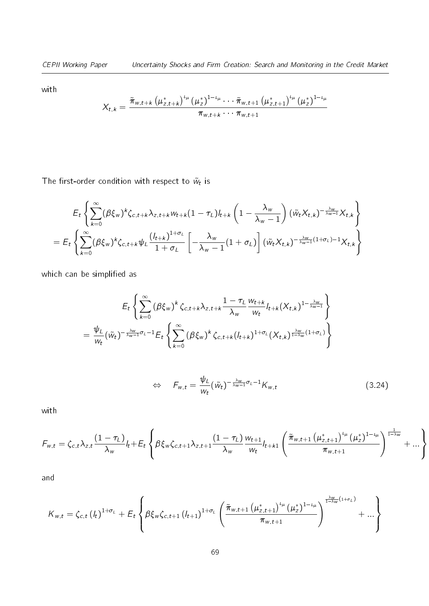with

$$
X_{t,k} = \frac{\tilde{\pi}_{w,t+k} \left(\mu_{z,t+k}^*\right)^{\iota_{\mu}} \left(\mu_{z}^*\right)^{1-\iota_{\mu}} \cdots \tilde{\pi}_{w,t+1} \left(\mu_{z,t+1}^*\right)^{\iota_{\mu}} \left(\mu_{z}^*\right)^{1-\iota_{\mu}}}{\pi_{w,t+k} \cdots \pi_{w,t+1}}
$$

The first-order condition with respect to  $\tilde{w_t}$  is

$$
E_t \left\{ \sum_{k=0}^{\infty} (\beta \xi_w)^k \zeta_{c,t+k} \lambda_{z,t+k} w_{t+k} (1 - \tau_L) I_{t+k} \left( 1 - \frac{\lambda_w}{\lambda_w - 1} \right) (\tilde{w}_t X_{t,k})^{-\frac{\lambda_w}{\lambda_w - 1}} X_{t,k} \right\}
$$
  
= 
$$
E_t \left\{ \sum_{k=0}^{\infty} (\beta \xi_w)^k \zeta_{c,t+k} \psi_L \frac{(I_{t+k})^{1+\sigma_L}}{1+\sigma_L} \left[ -\frac{\lambda_w}{\lambda_w - 1} (1 + \sigma_L) \right] (\tilde{w}_t X_{t,k})^{-\frac{\lambda_w}{\lambda_w - 1} (1 + \sigma_L) - 1} X_{t,k} \right\}
$$

which can be simplified as

$$
E_t\left\{\sum_{k=0}^{\infty}(\beta\xi_w)^k\zeta_{c,t+k}\lambda_{z,t+k}\frac{1-\tau_L}{\lambda_w}\frac{w_{t+k}}{w_t}I_{t+k}(X_{t,k})^{1-\frac{\lambda_w}{\lambda_w-1}}\right\}
$$
  
=  $\frac{\psi_L}{w_t}(\tilde{w}_t)^{-\frac{\lambda_w}{\lambda_w-1}\sigma_L-1}E_t\left\{\sum_{k=0}^{\infty}(\beta\xi_w)^k\zeta_{c,t+k}(I_{t+k})^{1+\sigma_L}(X_{t,k})^{\frac{\lambda_w}{1-\lambda_w}(1+\sigma_L)}\right\}$ 

$$
\Leftrightarrow \quad F_{w,t} = \frac{\psi_L}{w_t} (\tilde{w}_t)^{-\frac{\lambda_w}{\lambda_w - 1} \sigma_L - 1} K_{w,t} \tag{3.24}
$$

<span id="page-68-0"></span>with

$$
F_{w,t} = \zeta_{c,t} \lambda_{z,t} \frac{(1 - \tau_L)}{\lambda_w} I_t + E_t \left\{ \beta \xi_w \zeta_{c,t+1} \lambda_{z,t+1} \frac{(1 - \tau_L)}{\lambda_w} \frac{w_{t+1}}{w_t} I_{t+k1} \left( \frac{\tilde{\pi}_{w,t+1} \left( \mu_{z,t+1}^* \right)^{t_\mu} \left( \mu_z^* \right)^{1-t_\mu}}{\pi_{w,t+1}} \right)^{\frac{1}{1 - \lambda_w}} + \dots \right\}
$$

and

$$
K_{w,t} = \zeta_{c,t} (l_t)^{1+\sigma_L} + E_t \left\{ \beta \xi_w \zeta_{c,t+1} (l_{t+1})^{1+\sigma_L} \left( \frac{\tilde{\pi}_{w,t+1} (\mu_{z,t+1}^*)^{\iota_{\mu}} (\mu_z^*)^{1-\iota_{\mu}}}{\pi_{w,t+1}} \right)^{\frac{\lambda_w}{1-\lambda_w} (1+\sigma_L)} + \dots \right\}
$$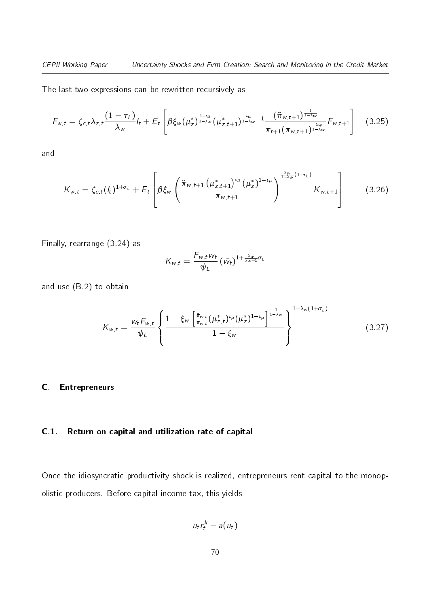The last two expressions can be rewritten recursively as

$$
F_{w,t} = \zeta_{c,t} \lambda_{z,t} \frac{(1 - \tau_L)}{\lambda_w} I_t + E_t \left[ \beta \xi_w (\mu_z^*)^{\frac{1 - \mu_u}{1 - \lambda_w}} (\mu_{z,t+1}^*)^{\frac{\mu_u}{1 - \lambda_w} - 1} \frac{(\tilde{\pi}_{w,t+1})^{\frac{1}{1 - \lambda_w}}}{\pi_{t+1} (\pi_{w,t+1})^{\frac{\lambda_w}{1 - \lambda_w}}} F_{w,t+1} \right] \quad (3.25)
$$

and

$$
K_{w,t} = \zeta_{c,t}(l_t)^{1+\sigma_L} + E_t \left[ \beta \xi_w \left( \frac{\tilde{\pi}_{w,t+1} \left( \mu_{z,t+1}^* \right)^{\iota_\mu} \left( \mu_z^* \right)^{1-\iota_\mu}}{\pi_{w,t+1}} \right)^{\frac{\lambda_w}{1-\lambda_w} \left( 1+\sigma_L \right)} K_{w,t+1} \right] \tag{3.26}
$$

Finally, rearrange [\(3.24\)](#page-68-0) as

$$
K_{w,t} = \frac{F_{w,t}w_t}{\psi_L} (\tilde{w}_t)^{1+\frac{\lambda_w}{\lambda_w-1}\sigma_L}
$$

and use [\(B.2\)](#page-65-0) to obtain

$$
K_{w,t} = \frac{w_t F_{w,t}}{\psi_L} \left\{ \frac{1 - \xi_w \left[ \frac{\tilde{\pi}_{w,t}}{\pi_{w,t}} (\mu_{z,t}^*)^{\iota_\mu} (\mu_z^*)^{1-\iota_\mu} \right]^{\frac{1}{1-\lambda_w}}}{1 - \xi_w} \right\}^{1 - \lambda_w (1 + \sigma_L)}
$$
(3.27)

# C. Entrepreneurs

# C.1. Return on capital and utilization rate of capital

Once the idiosyncratic productivity shock is realized, entrepreneurs rent capital to the monopolistic producers. Before capital income tax, this yields

$$
u_t r_t^k - a(u_t)
$$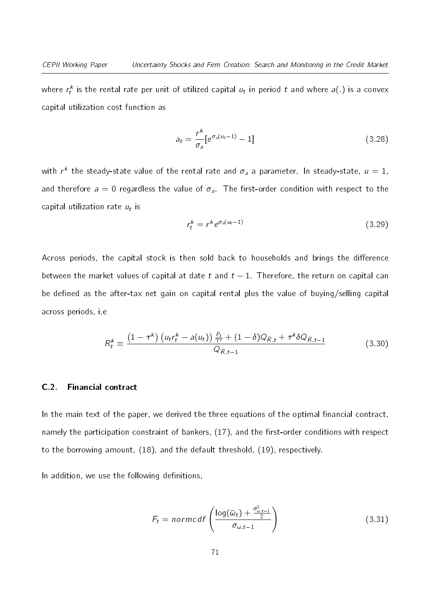where  $r_{t}^{k}$  is the rental rate per unit of utilized capital  $u_{t}$  in period  $t$  and where  $\overline{a}(.)$  is a convex capital utilization cost function as

$$
a_t = \frac{r^k}{\sigma_a} [e^{\sigma_a(u_t - 1)} - 1] \tag{3.28}
$$

with  $r^k$  the steady-state value of the rental rate and  $\sigma_a$  a parameter. In steady-state,  $u=1$ , and therefore  $a = 0$  regardless the value of  $\sigma_a$ . The first-order condition with respect to the capital utilization rate  $u_t$  is

$$
r_t^k = r^k e^{\sigma_a(u_t - 1)} \tag{3.29}
$$

Across periods, the capital stock is then sold back to households and brings the difference between the market values of capital at date t and  $t-1$ . Therefore, the return on capital can be defined as the after-tax net gain on capital rental plus the value of buying/selling capital across periods, i.e

$$
R_t^k \equiv \frac{\left(1 - \tau^k\right) \left(u_t r_t^k - a(u_t)\right) \frac{P_t}{\Upsilon^t} + (1 - \delta) Q_{\bar{K},t} + \tau^k \delta Q_{\bar{K},t-1}}{Q_{\bar{K},t-1}}
$$
(3.30)

### C.2. Financial contract

In the main text of the paper, we derived the three equations of the optimal financial contract, namely the participation constraint of bankers, [\(17\)](#page-17-0), and the first-order conditions with respect to the borrowing amount, [\(18\)](#page-17-1), and the default threshold, [\(19\)](#page-17-2), respectively.

In addition, we use the following definitions,

$$
F_t = normcdf\left(\frac{\log(\bar{\omega}_t) + \frac{\sigma_{\omega,t-1}^2}{2}}{\sigma_{\omega,t-1}}\right)
$$
\n(3.31)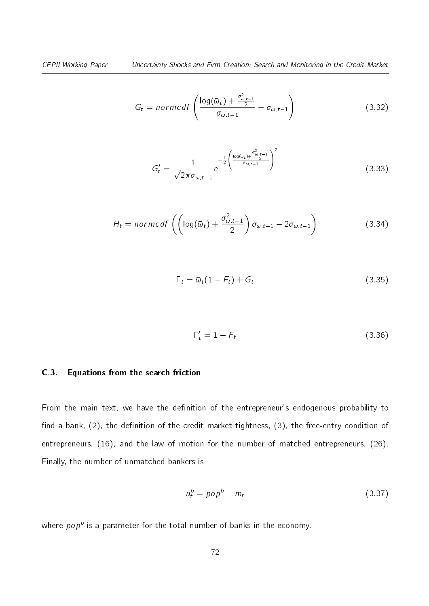$$
G_t = normcdf\left(\frac{\log(\bar{\omega}_t) + \frac{\sigma_{\omega,t-1}^2}{2}}{\sigma_{\omega,t-1}} - \sigma_{\omega,t-1}\right)
$$
(3.32)

$$
G'_{t} = \frac{1}{\sqrt{2\pi}\sigma_{\omega,t-1}}e^{-\frac{1}{2}\left(\frac{\log(\tilde{\omega}_{t}) + \frac{\sigma_{\omega,t-1}^{2}}{\sigma_{\omega,t-1}}}{\sigma_{\omega,t-1}}\right)^{2}}
$$
(3.33)

$$
H_t = normcdf\left(\left(\log(\bar{\omega}_t) + \frac{\sigma_{\omega,t-1}^2}{2}\right)\sigma_{\omega,t-1} - 2\sigma_{\omega,t-1}\right)
$$
(3.34)

$$
\Gamma_t = \bar{\omega}_t (1 - F_t) + G_t \tag{3.35}
$$

$$
\Gamma'_t = 1 - F_t \tag{3.36}
$$

### C.3. Equations from the search friction

From the main text, we have the definition of the entrepreneur's endogenous probability to find a bank,  $(2)$ , the definition of the credit market tightness,  $(3)$ , the free-entry condition of entrepreneurs, [\(16\)](#page-16-0), and the law of motion for the number of matched entrepreneurs, [\(26\)](#page-19-0). Finally, the number of unmatched bankers is

$$
u_t^b = \rho \circ p^b - m_t \tag{3.37}
$$

where  $\rho \, o \rho^{b}$  is a parameter for the total number of banks in the economy.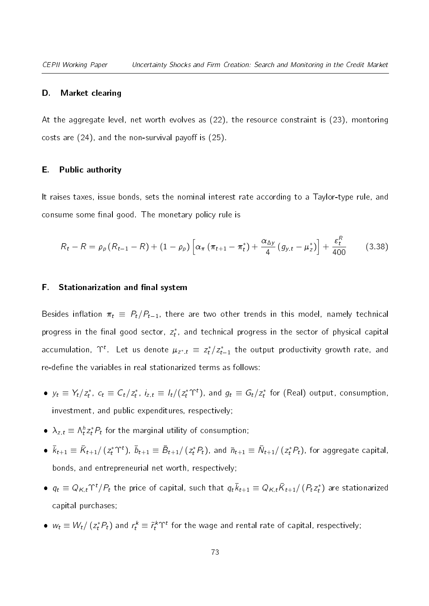## D. Market clearing

At the aggregate level, net worth evolves as [\(22\)](#page-18-0), the resource constraint is [\(23\)](#page-19-0), montoring costs are  $(24)$ , and the non-survival payoff is  $(25)$ .

## E. Public authority

It raises taxes, issue bonds, sets the nominal interest rate according to a Taylor-type rule, and consume some final good. The monetary policy rule is

<span id="page-72-0"></span>
$$
R_t - R = \rho_p (R_{t-1} - R) + (1 - \rho_p) \left[ \alpha_\pi (\pi_{t+1} - \pi_t^*) + \frac{\alpha_{\Delta y}}{4} (g_{y,t} - \mu_z^*) \right] + \frac{\varepsilon_t^R}{400} \tag{3.38}
$$

## F. Stationarization and final system

Besides inflation  $\pi_t \equiv P_t/P_{t-1}$ , there are two other trends in this model, namely technical progress in the final good sector,  $z_t^*$ , and technical progress in the sector of physical capital accumulation,  $\Upsilon^t$ . Let us denote  $\mu_{z^*,t} \, \equiv \, z^*_t/z^*_{t-1}$  the output productivity growth rate, and re-define the variables in real stationarized terms as follows:

- $y_t \equiv Y_t / z_t^*$ ,  $c_t \equiv C_t / z_t^*$ ,  $i_{z,t} \equiv I_t / (z_t^* \Upsilon^t)$ , and  $g_t \equiv G_t / z_t^*$  for (Real) output, consumption, investment, and public expenditures, respectively;
- $\lambda_{z,t} \equiv \Lambda_t^h z_t^* P_t$  for the marginal utility of consumption;
- $\bullet$   $\bar{k}_{t+1} \equiv \bar{K}_{t+1}/(z_t^* \Upsilon^t)$ ,  $\bar{b}_{t+1} \equiv \bar{B}_{t+1}/(z_t^* P_t)$ , and  $\bar{n}_{t+1} \equiv \bar{N}_{t+1}/(z_t^* P_t)$ , for aggregate capital, bonds, and entrepreneurial net worth, respectively;
- $q_t \equiv Q_{K,t} \Upsilon^t/P_t$  the price of capital, such that  $q_t \overline{k}_{t+1} \equiv Q_{K,t} \overline{K}_{t+1}/(P_t z_t^*)$  are stationarized capital purchases;
- $\bullet$   $w_t \equiv W_t / (z_t^* P_t)$  and  $r_t^k \equiv \tilde{r}_t^k \Upsilon^t$  for the wage and rental rate of capital, respectively;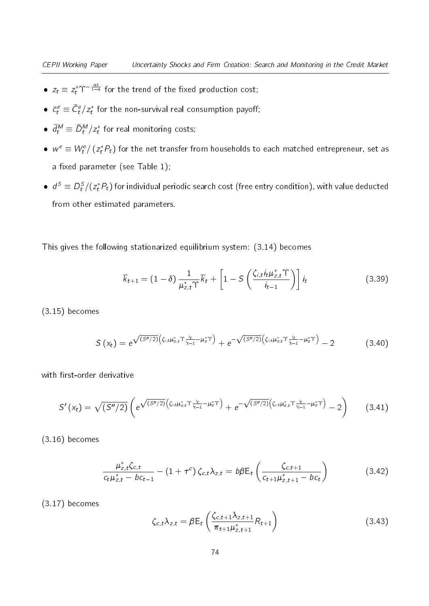- $z_t \equiv z_t^* \Upsilon^{-\frac{\alpha t}{1-\alpha}}$  for the trend of the fixed production cost;
- $\bar{c}_t^e \equiv \bar{C}_t^e/z_t^*$  for the non-survival real consumption payoff;
- $\bar{d}_t^M \equiv \bar{D}_t^M/z_t^*$  for real monitoring costs;
- $\bullet \;\; w^e \equiv W^e_t \,/\, (z^*_t P_t)$  for the net transfer from households to each matched entrepreneur, set as a fixed parameter (see Table  $1$ );
- $\bullet$   $d^S \equiv D_t^S/(z_t^* P_t)$  for individual periodic search cost (free entry condition), with value deducted from other estimated parameters.

This gives the following stationarized equilibrium system: [\(3.14\)](#page-63-0) becomes

$$
\overline{k}_{t+1} = (1 - \delta) \frac{1}{\mu_{z,t}^* \gamma} \overline{k}_t + \left[ 1 - S \left( \frac{\zeta_{i,t} i_t \mu_{z,t}^* \gamma}{i_{t-1}} \right) \right] i_t
$$
(3.39)

[\(3.15\)](#page-63-1) becomes

$$
S(x_t) = e^{\sqrt{(S''/2)} \left( \zeta_{i,t} \mu_{z,t}^* \gamma \frac{i_t}{i_{t-1}} - \mu_z^* \gamma \right)} + e^{-\sqrt{(S''/2)} \left( \zeta_{i,t} \mu_{z,t}^* \gamma \frac{i_t}{i_{t-1}} - \mu_z^* \gamma \right)} - 2 \tag{3.40}
$$

with first-order derivative

$$
S'(x_t) = \sqrt{(S''/2)} \left( e^{\sqrt{(S''/2)} \left( \zeta_{i,t} \mu_{z,t}^* \Upsilon \frac{i_t}{i_{t-1}} - \mu_z^* \Upsilon \right)} + e^{-\sqrt{(S''/2)} \left( \zeta_{i,t} \mu_{z,t}^* \Upsilon \frac{i_t}{i_{t-1}} - \mu_z^* \Upsilon \right)} - 2 \right)
$$
(3.41)

[\(3.16\)](#page-64-0) becomes

$$
\frac{\mu_{z,t}^*\zeta_{c,t}}{c_t\mu_{z,t}^*-bc_{t-1}} - (1+\tau^c)\,\zeta_{c,t}\lambda_{z,t} = b\beta \mathsf{E}_t\left(\frac{\zeta_{c,t+1}}{c_{t+1}\mu_{z,t+1}^*-bc_t}\right) \tag{3.42}
$$

[\(3.17\)](#page-64-1) becomes

$$
\zeta_{c,t}\lambda_{z,t} = \beta E_t \left( \frac{\zeta_{c,t+1}\lambda_{z,t+1}}{\pi_{t+1}\mu_{z,t+1}^*}R_{t+1} \right)
$$
(3.43)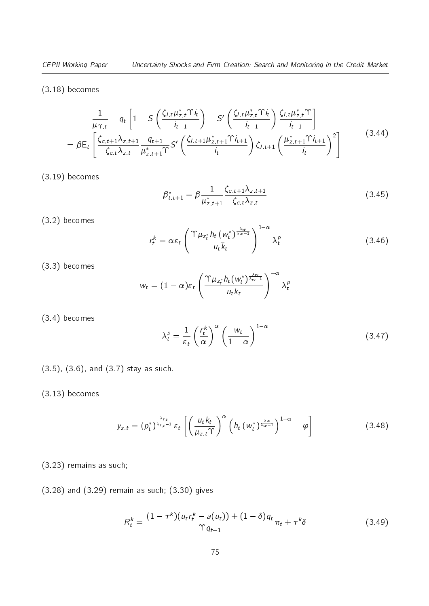## [\(3.18\)](#page-64-2) becomes

$$
\frac{1}{\mu_{\Upsilon,t}} - q_t \left[ 1 - S \left( \frac{\zeta_{l,t} \mu_{z,t}^* \Upsilon_{i_t}}{i_{t-1}} \right) - S' \left( \frac{\zeta_{l,t} \mu_{z,t}^* \Upsilon_{i_t}}{i_{t-1}} \right) \frac{\zeta_{l,t} \mu_{z,t}^* \Upsilon}{i_{t-1}} \right]
$$
\n
$$
= \beta \mathsf{E}_t \left[ \frac{\zeta_{c,t+1} \lambda_{z,t+1}}{\zeta_{c,t} \lambda_{z,t}} \frac{q_{t+1}}{\mu_{z,t+1}^* \Upsilon} S' \left( \frac{\zeta_{l,t+1} \mu_{z,t+1}^* \Upsilon_{i_{t+1}}}{i_t} \right) \zeta_{l,t+1} \left( \frac{\mu_{z,t+1}^* \Upsilon_{i_{t+1}}}{i_t} \right)^2 \right]
$$
\n(3.44)

[\(3.19\)](#page-64-3) becomes

$$
\beta_{t,t+1}^* = \beta \frac{1}{\mu_{z,t+1}^*} \frac{\zeta_{c,t+1} \lambda_{z,t+1}}{\zeta_{c,t} \lambda_{z,t}}
$$
(3.45)

[\(3.2\)](#page-57-0) becomes

$$
r_t^k = \alpha \varepsilon_t \left( \frac{\Upsilon \mu_{z_t^*} h_t \left( w_t^* \right)^{\frac{\lambda_W}{\lambda_W - 1}}}{u_t \bar{k}_t} \right)^{1 - \alpha} \lambda_t^p \tag{3.46}
$$

[\(3.3\)](#page-57-1) becomes

$$
w_t = (1 - \alpha)\varepsilon_t \left( \frac{\Upsilon \mu_{z_t^*} h_t(w_t^*)^{\frac{\lambda_w}{\lambda_w - 1}}}{u_t \bar{k}_t} \right)^{-\alpha} \lambda_t^{\rho}
$$

[\(3.4\)](#page-58-0) becomes

$$
\lambda_t^p = \frac{1}{\varepsilon_t} \left(\frac{r_t^k}{\alpha}\right)^{\alpha} \left(\frac{w_t}{1-\alpha}\right)^{1-\alpha} \tag{3.47}
$$

[\(3.5\)](#page-59-0), [\(3.6\)](#page-59-1), and [\(3.7\)](#page-60-0) stay as such.

[\(3.13\)](#page-62-0) becomes

$$
y_{z,t} = (p_t^*)^{\frac{\lambda_{f,t}}{\lambda_{f,t}-1}} \varepsilon_t \left[ \left( \frac{u_t k_t}{\mu_{z,t} \gamma} \right)^{\alpha} \left( h_t \left( w_t^* \right)^{\frac{\lambda_W}{\lambda_W - 1}} \right)^{1-\alpha} - \varphi \right]
$$
(3.48)

[\(3.23\)](#page-67-0) remains as such;

[\(3.28\)](#page-70-0) and [\(3.29\)](#page-29-0) remain as such; [\(3.30\)](#page-70-1) gives

$$
R_t^k = \frac{(1 - \tau^k)(u_t r_t^k - a(u_t)) + (1 - \delta)q_t}{\Upsilon q_{t-1}} \pi_t + \tau^k \delta \tag{3.49}
$$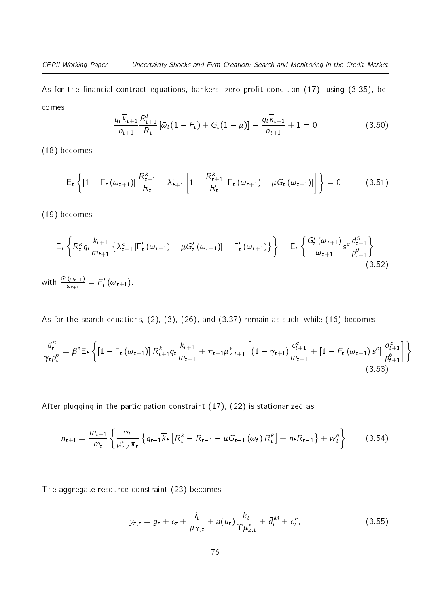As for the financial contract equations, bankers' zero profit condition  $(17)$ , using  $(3.35)$ , becomes

$$
\frac{q_t \overline{k}_{t+1}}{\overline{n}_{t+1}} \frac{R_{t+1}^k}{R_t} \left[ \bar{\omega}_t (1 - F_t) + G_t (1 - \mu) \right] - \frac{q_t \overline{k}_{t+1}}{\overline{n}_{t+1}} + 1 = 0 \tag{3.50}
$$

[\(18\)](#page-17-1) becomes

$$
E_{t}\left\{ \left[1-\Gamma_{t}\left(\overline{\omega}_{t+1}\right)\right] \frac{R_{t+1}^{k}}{R_{t}}-\lambda_{t+1}^{c}\left[1-\frac{R_{t+1}^{k}}{R_{t}}\left[\Gamma_{t}\left(\overline{\omega}_{t+1}\right)-\mu G_{t}\left(\overline{\omega}_{t+1}\right)\right]\right] \right\} = 0 \tag{3.51}
$$

[\(19\)](#page-17-2) becomes

$$
E_{t}\left\{R_{t}^{k}q_{t}\frac{\bar{k}_{t+1}}{m_{t+1}}\left\{\lambda_{t+1}^{c}\left[\Gamma_{t}'\left(\overline{\omega}_{t+1}\right)-\mu G_{t}'\left(\overline{\omega}_{t+1}\right)\right]-\Gamma_{t}'\left(\overline{\omega}_{t+1}\right)\right\}\right\} = E_{t}\left\{\frac{G_{t}'\left(\overline{\omega}_{t+1}\right)}{\overline{\omega}_{t+1}}s^{c}\frac{d_{t+1}^{S}}{\rho_{t+1}^{\theta}}\right\}
$$
\nwith  $\frac{G_{t}'(\overline{\omega}_{t+1})}{\overline{\omega}_{t+1}} = F_{t}'\left(\overline{\omega}_{t+1}\right).$ 

\n(3.52)

 $\frac{d(\omega_{t+1})}{\omega_{t+1}} = F'_t(\overline{\omega}_{t+1}).$ 

As for the search equations, [\(2\)](#page-11-0), [\(3\)](#page-11-1), [\(26\)](#page-19-3), and [\(3.37\)](#page-71-1) remain as such, while [\(16\)](#page-16-0) becomes

$$
\frac{d_t^S}{\gamma_t \rho_t^\theta} = \beta^e E_t \left\{ \left[ 1 - \Gamma_t \left( \overline{\omega}_{t+1} \right) \right] R_{t+1}^k q_t \frac{\overline{k}_{t+1}}{m_{t+1}} + \pi_{t+1} \mu_{z,t+1}^* \left[ (1 - \gamma_{t+1}) \frac{\overline{c}_{t+1}^e}{m_{t+1}} + \left[ 1 - F_t \left( \overline{\omega}_{t+1} \right) s^c \right] \frac{d_{t+1}^S}{\rho_{t+1}^\theta} \right] \right\}
$$
\n(3.53)

After plugging in the participation constraint [\(17\)](#page-17-0), [\(22\)](#page-18-0) is stationarized as

$$
\overline{n}_{t+1} = \frac{m_{t+1}}{m_t} \left\{ \frac{\gamma_t}{\mu_{z,t}^* \pi_t} \left\{ q_{t-1} \overline{k}_t \left[ R_t^k - R_{t-1} - \mu G_{t-1} \left( \bar{\omega}_t \right) R_t^k \right] + \overline{n}_t R_{t-1} \right\} + \overline{w}_t^e \right\} \tag{3.54}
$$

The aggregate resource constraint [\(23\)](#page-19-0) becomes

$$
y_{z,t} = g_t + c_t + \frac{i_t}{\mu_{\Upsilon,t}} + a(u_t) \frac{\overline{k}_t}{\Upsilon \mu_{z,t}^*} + \overline{d}_t^M + \overline{c}_t^e, \qquad (3.55)
$$